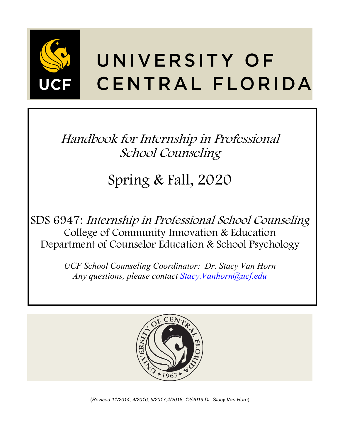

# UNIVERSITY OF CENTRAL FLORIDA

Handbook for Internship in Professional School Counseling

# Spring & Fall, 2020

SDS 6947: Internship in Professional School Counseling College of Community Innovation & Education Department of Counselor Education & School Psychology

> *UCF School Counseling Coordinator: Dr. Stacy Van Horn Any questions, please contact [Stacy.Vanhorn@ucf.edu](mailto:Stacy.Vanhorn@ucf.edu)*



(*Revised 11/2014; 4/2016; 5/2017;4/2018; 12/2019 Dr. Stacy Van Horn*)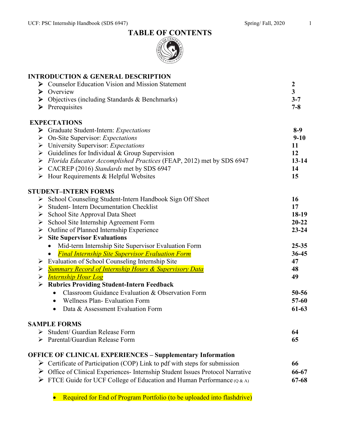



|   | <b>INTRODUCTION &amp; GENERAL DESCRIPTION</b>                                             |                         |
|---|-------------------------------------------------------------------------------------------|-------------------------|
|   | <b>Counselor Education Vision and Mission Statement</b>                                   | $\boldsymbol{2}$        |
| ➤ | Overview                                                                                  | $\overline{\mathbf{3}}$ |
|   | $\triangleright$ Objectives (including Standards & Benchmarks)                            | $3 - 7$                 |
| ➤ | Prerequisites                                                                             | $7 - 8$                 |
|   | <b>EXPECTATIONS</b>                                                                       |                         |
|   | > Graduate Student-Intern: Expectations                                                   | $8-9$                   |
| ➤ | On-Site Supervisor: Expectations                                                          | $9 - 10$                |
| ➤ | University Supervisor: Expectations                                                       | 11                      |
|   | $\triangleright$ Guidelines for Individual & Group Supervision                            | 12                      |
| ➤ | Florida Educator Accomplished Practices (FEAP, 2012) met by SDS 6947                      | $13 - 14$               |
|   | > CACREP (2016) Standards met by SDS 6947                                                 | 14                      |
|   | $\triangleright$ Hour Requirements & Helpful Websites                                     | 15                      |
|   | <b>STUDENT-INTERN FORMS</b>                                                               |                         |
|   | > School Counseling Student-Intern Handbook Sign Off Sheet                                | 16                      |
| ➤ | <b>Student-Intern Documentation Checklist</b>                                             | 17                      |
| ➤ | School Site Approval Data Sheet                                                           | 18-19                   |
| ➤ | School Site Internship Agreement Form                                                     | $20 - 22$               |
| ➤ | Outline of Planned Internship Experience                                                  | $23 - 24$               |
| ➤ | <b>Site Supervisor Evaluations</b>                                                        |                         |
|   | Mid-term Internship Site Supervisor Evaluation Form<br>$\bullet$                          | $25 - 35$               |
|   | <b>Final Internship Site Supervisor Evaluation Form</b>                                   | 36-45                   |
| ➤ | Evaluation of School Counseling Internship Site                                           | 47                      |
| ➤ | <b>Summary Record of Internship Hours &amp; Supervisory Data</b>                          | 48                      |
| ➤ | <b>Internship Hour Log</b>                                                                | 49                      |
|   | <b>Rubrics Providing Student-Intern Feedback</b>                                          |                         |
|   | Classroom Guidance Evaluation & Observation Form<br>$\bullet$                             | $50 - 56$               |
|   | <b>Wellness Plan- Evaluation Form</b>                                                     | $57-60$                 |
|   | Data & Assessment Evaluation Form<br>$\bullet$                                            | $61-63$                 |
|   | <b>SAMPLE FORMS</b>                                                                       |                         |
| ➤ | Student/ Guardian Release Form                                                            | 64                      |
|   | > Parental/Guardian Release Form                                                          | 65                      |
|   | <b>OFFICE OF CLINICAL EXPERIENCES – Supplementary Information</b>                         |                         |
|   | $\triangleright$ Certificate of Participation (COP) Link to pdf with steps for submission | 66                      |
|   | Office of Clinical Experiences- Internship Student Issues Protocol Narrative              | 66-67                   |
|   | $\triangleright$ FTCE Guide for UCF College of Education and Human Performance (Q & A)    | 67-68                   |

• Required for End of Program Portfolio (to be uploaded into flashdrive)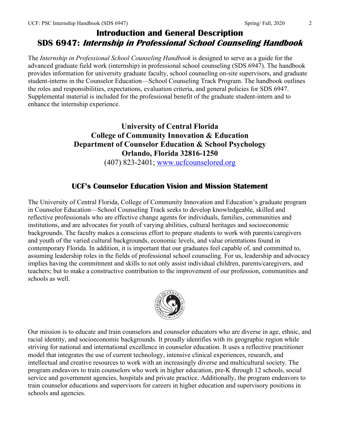# **Introduction and General Description SDS 6947: Internship in Professional School Counseling Handbook**

The *Internship in Professional School Counseling Handbook* is designed to serve as a guide for the advanced graduate field work (internship) in professional school counseling (SDS 6947). The handbook provides information for university graduate faculty, school counseling on-site supervisors, and graduate student-interns in the Counselor Education—School Counseling Track Program. The handbook outlines the roles and responsibilities, expectations, evaluation criteria, and general policies for SDS 6947. Supplemental material is included for the professional benefit of the graduate student-intern and to enhance the internship experience.

# **University of Central Florida College of Community Innovation & Education Department of Counselor Education & School Psychology Orlando, Florida 32816-1250**

(407) 823-2401; [www.ucfcounselored.org](http://www.ucfcounselored.org/)

# **UCF's Counselor Education Vision and Mission Statement**

The University of Central Florida, College of Community Innovation and Education's graduate program in Counselor Education—School Counseling Track seeks to develop knowledgeable, skilled and reflective professionals who are effective change agents for individuals, families, communities and institutions, and are advocates for youth of varying abilities, cultural heritages and socioeconomic backgrounds. The faculty makes a conscious effort to prepare students to work with parents/caregivers and youth of the varied cultural backgrounds, economic levels, and value orientations found in contemporary Florida. In addition, it is important that our graduates feel capable of, and committed to, assuming leadership roles in the fields of professional school counseling. For us, leadership and advocacy implies having the commitment and skills to not only assist individual children, parents/caregivers, and teachers; but to make a constructive contribution to the improvement of our profession, communities and schools as well.



Our mission is to educate and train counselors and counselor educators who are diverse in age, ethnic, and racial identity, and socioeconomic backgrounds. It proudly identifies with its geographic region while striving for national and international excellence in counselor education. It uses a reflective practitioner model that integrates the use of current technology, intensive clinical experiences, research, and intellectual and creative resources to work with an increasingly diverse and multicultural society. The program endeavors to train counselors who work in higher education, pre-K through 12 schools, social service and government agencies, hospitals and private practice. Additionally, the program endeavors to train counselor educations and supervisors for careers in higher education and supervisory positions in schools and agencies.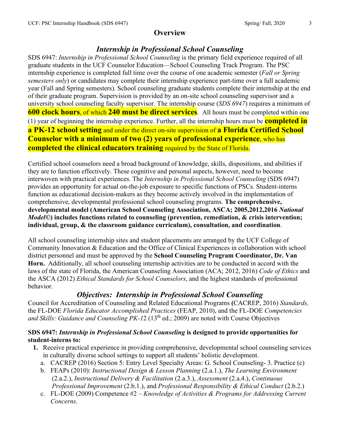# **Overview**

# *Internship in Professional School Counseling*

SDS 6947: *Internship in Professional School Counseling* is the primary field experience required of all graduate students in the UCF Counselor Education—School Counseling Track Program. The PSC internship experience is completed full time over the course of one academic semester (*Fall or Spring semesters only*) or candidates may complete their internship experience part-time over a full academic year (Fall and Spring semesters). School counseling graduate students complete their internship at the end of their graduate program. Supervision is provided by an on-site school counseling supervisor and a university school counseling faculty supervisor. The internship course (*SDS 6947*) requires a minimum of **600 clock hours**, of which **240 must be direct services**. All hours must be completed within one (1) year of beginning the internship experience. Further, all the internship hours must be **completed in a PK-12 school setting** and under the direct on-site supervision of **a Florida Certified School Counselor with a minimum of two (2) years of professional experience**, who has **completed the clinical educators training** required by the State of Florida.

Certified school counselors need a broad background of knowledge, skills, dispositions, and abilities if they are to function effectively. These cognitive and personal aspects, however, need to become interwoven with practical experiences. The *Internship in Professional School Counseling* (SDS 6947) provides an opportunity for actual on-the-job exposure to specific functions of PSCs. Student-interns function as educational decision-makers as they become actively involved in the implementation of comprehensive, developmental professional school counseling programs. **The comprehensive, developmental model (American School Counseling Association, ASCA; 2005,2012,2016** *National Model©***) includes functions related to counseling (prevention, remediation, & crisis intervention; individual, group, & the classroom guidance curriculum), consultation, and coordination**.

All school counseling internship sites and student placements are arranged by the UCF College of Community Innovation & Education and the Office of Clinical Experiences in collaboration with school district personnel and must be approved by the **School Counseling Program Coordinator, Dr. Van Horn.** Additionally, all school counseling internship activities are to be conducted in accord with the laws of the state of Florida, the American Counseling Association (ACA; 2012, 2016) *Code of Ethics* and the ASCA (2012) *Ethical Standards for School Counselors*, and the highest standards of professional behavior.

# *Objectives: Internship in Professional School Counseling*

Council for Accreditation of Counseling and Related Educational Programs **(**CACREP, 2016) *Standards,* the FL-DOE *Florida Educator Accomplished Practices* (FEAP, 2010), and the FL-DOE *Competencies*  and Skills: Guidance and Counseling PK-12 (13<sup>th</sup> ed.; 2009) are noted with Course Objectives

#### **SDS 6947:** *Internship in Professional School Counseling* **is designed to provide opportunities for student-interns to:**

- **1.** Receive practical experience in providing comprehensive, developmental school counseling services in culturally diverse school settings to support all students' holistic development.
	- a. CACREP (2016) Section 5: Entry Level Specialty Areas: G. School Counseling- 3. Practice (c)
	- b. FEAPs (2010): *Instructional Design & Lesson Planning* (2.a.1.), *The Learning Environment* (2.a.2.), *Instructional Delivery & Facilitation* (2.a.3.), *Assessment* (2.a.4.), *Continuous Professional Improvement* (2.b.1.), and *Professional Responsibility & Ethical Conduct* (2.b.2.)
	- c. FL-DOE (2009) Competence #2 *Knowledge of Activities & Programs for Addressing Current Concerns*.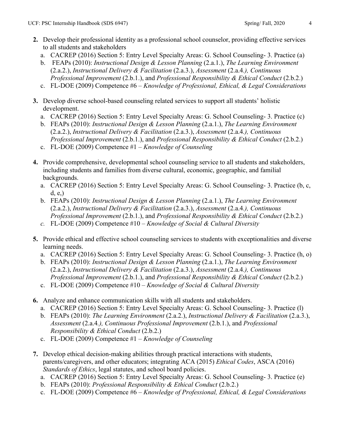- **2.** Develop their professional identity as a professional school counselor, providing effective services to all students and stakeholders
	- a. CACREP (2016) Section 5: Entry Level Specialty Areas: G. School Counseling- 3. Practice (a)
	- b. FEAPs (2010): *Instructional Design & Lesson Planning* (2.a.1.), *The Learning Environment* (2.a.2.), *Instructional Delivery & Facilitation* (2.a.3.), *Assessment* (2.a.4*.), Continuous Professional Improvement* (2.b.1.), and *Professional Responsibility & Ethical Conduct* (2.b.2.)
	- c. FL-DOE (2009) Competence #6 *Knowledge of Professional, Ethical, & Legal Considerations*
- **3.** Develop diverse school-based counseling related services to support all students' holistic development.
	- a. CACREP (2016) Section 5: Entry Level Specialty Areas: G. School Counseling- 3. Practice (c)
	- b. FEAPs (2010): *Instructional Design & Lesson Planning* (2.a.1.), *The Learning Environment* (2.a.2.), *Instructional Delivery & Facilitation* (2.a.3.), *Assessment* (2.a.4*.), Continuous Professional Improvement* (2.b.1.), and *Professional Responsibility & Ethical Conduct* (2.b.2.)
	- c. FL-DOE (2009) Competence #1 *Knowledge of Counseling*
- **4.** Provide comprehensive, developmental school counseling service to all students and stakeholders, including students and families from diverse cultural, economic, geographic, and familial backgrounds.
	- a. CACREP (2016) Section 5: Entry Level Specialty Areas: G. School Counseling- 3. Practice (b, c, d, e,)
	- b. FEAPs (2010): *Instructional Design & Lesson Planning* (2.a.1.), *The Learning Environment* (2.a.2.), *Instructional Delivery & Facilitation* (2.a.3.), *Assessment* (2.a.4*.), Continuous Professional Improvement* (2.b.1.), and *Professional Responsibility & Ethical Conduct* (2.b.2.)
	- *c.* FL-DOE (2009) Competence #10 *Knowledge of Social & Cultural Diversity*
- **5.** Provide ethical and effective school counseling services to students with exceptionalities and diverse learning needs.
	- a. CACREP (2016) Section 5: Entry Level Specialty Areas: G. School Counseling- 3. Practice (h, o)
	- b. FEAPs (2010): *Instructional Design & Lesson Planning* (2.a.1.), *The Learning Environment* (2.a.2.), *Instructional Delivery & Facilitation* (2.a.3.), *Assessment* (2.a.4*.), Continuous Professional Improvement* (2.b.1.), and *Professional Responsibility & Ethical Conduct* (2.b.2.)
	- c. FL-DOE (2009) Competence #10 *Knowledge of Social & Cultural Diversity*
- **6.** Analyze and enhance communication skills with all students and stakeholders.
	- a. CACREP (2016) Section 5: Entry Level Specialty Areas: G. School Counseling- 3. Practice (l)
	- b. FEAPs (2010): *The Learning Environment* (2.a.2.), *Instructional Delivery & Facilitation* (2.a.3.), *Assessment* (2.a.4*.), Continuous Professional Improvement* (2.b.1.), and *Professional Responsibility & Ethical Conduct* (2.b.2.)
	- c. FL-DOE (2009) Competence #1 *Knowledge of Counseling*
- **7.** Develop ethical decision-making abilities through practical interactions with students, parents/caregivers, and other educators; integrating ACA (2015) *Ethical Codes*, ASCA (2016) *Standards of Ethics*, legal statutes, and school board policies.
	- a. CACREP (2016) Section 5: Entry Level Specialty Areas: G. School Counseling- 3. Practice (e)
	- b. FEAPs (2010): *Professional Responsibility & Ethical Conduct* (2.b.2.)
	- c. FL-DOE (2009) Competence #6 *Knowledge of Professional, Ethical, & Legal Considerations*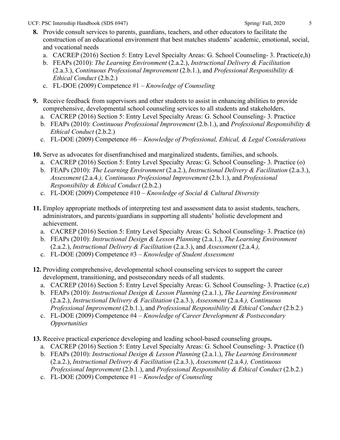### **8.** Provide consult services to parents, guardians, teachers, and other educators to facilitate the construction of an educational environment that best matches students' academic, emotional, social, and vocational needs

- a. CACREP (2016) Section 5: Entry Level Specialty Areas: G. School Counseling- 3. Practice(e,h)
- b. FEAPs (2010): *The Learning Environment* (2.a.2.), *Instructional Delivery & Facilitation* (2.a.3.), *Continuous Professional Improvement* (2.b.1.), and *Professional Responsibility & Ethical Conduct* (2.b.2.)
- c. FL-DOE (2009) Competence #1 *Knowledge of Counseling*
- **9.** Receive feedback from supervisors and other students to assist in enhancing abilities to provide comprehensive, developmental school counseling services to all students and stakeholders.
	- a. CACREP (2016) Section 5: Entry Level Specialty Areas: G. School Counseling- 3. Practice
	- b. FEAPs (2010): *Continuous Professional Improvement* (2.b.1.), and *Professional Responsibility & Ethical Conduct* (2.b.2.)
	- c. FL-DOE (2009) Competence #6 *Knowledge of Professional, Ethical, & Legal Considerations*
- **10.** Serve as advocates for disenfranchised and marginalized students, families, and schools.
	- a. CACREP (2016) Section 5: Entry Level Specialty Areas: G. School Counseling- 3. Practice (o)
	- b. FEAPs (2010): *The Learning Environment* (2.a.2.), *Instructional Delivery & Facilitation* (2.a.3.), *Assessment* (2.a.4*.), Continuous Professional Improvement* (2.b.1.), and *Professional Responsibility & Ethical Conduct* (2.b.2.)
	- c. FL-DOE (2009) Competence #10 *Knowledge of Social & Cultural Diversity*
- **11.** Employ appropriate methods of interpreting test and assessment data to assist students, teachers, administrators, and parents/guardians in supporting all students' holistic development and achievement.
	- a. CACREP (2016) Section 5: Entry Level Specialty Areas: G. School Counseling- 3. Practice (n)
	- b. FEAPs (2010): *Instructional Design & Lesson Planning* (2.a.1.), *The Learning Environment* (2.a.2.), *Instructional Delivery & Facilitation* (2.a.3.), and *Assessment* (2.a.4*.),*
	- c. FL-DOE (2009) Competence #3 *Knowledge of Student Assessment*
- **12.** Providing comprehensive, developmental school counseling services to support the career development, transitioning, and postsecondary needs of all students.
	- a. CACREP (2016) Section 5: Entry Level Specialty Areas: G. School Counseling- 3. Practice (c,e)
	- b. FEAPs (2010): *Instructional Design & Lesson Planning* (2.a.1.), *The Learning Environment* (2.a.2.), *Instructional Delivery & Facilitation* (2.a.3.), *Assessment* (2.a.4*.), Continuous Professional Improvement* (2.b.1.), and *Professional Responsibility & Ethical Conduct* (2.b.2.)
	- c. FL-DOE (2009) Competence #4 *Knowledge of Career Development & Postsecondary Opportunities*
- **13.** Receive practical experience developing and leading school-based counseling groups**.**
	- a. CACREP (2016) Section 5: Entry Level Specialty Areas: G. School Counseling- 3. Practice (f)
	- b. FEAPs (2010): *Instructional Design & Lesson Planning* (2.a.1.), *The Learning Environment* (2.a.2.), *Instructional Delivery & Facilitation* (2.a.3.), *Assessment* (2.a.4*.), Continuous Professional Improvement* (2.b.1.), and *Professional Responsibility & Ethical Conduct* (2.b.2.)
	- c. FL-DOE (2009) Competence #1 *Knowledge of Counseling*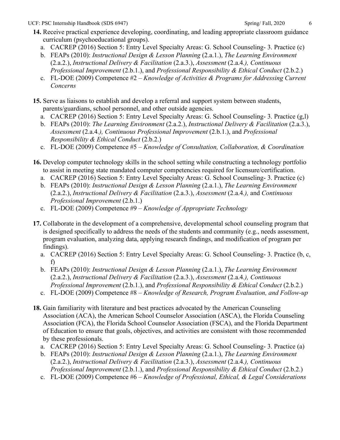- **14.** Receive practical experience developing, coordinating, and leading appropriate classroom guidance curriculum (psychoeducational groups).
	- a. CACREP (2016) Section 5: Entry Level Specialty Areas: G. School Counseling- 3. Practice (c)
	- b. FEAPs (2010): *Instructional Design & Lesson Planning* (2.a.1.), *The Learning Environment* (2.a.2.), *Instructional Delivery & Facilitation* (2.a.3.), *Assessment* (2.a.4*.), Continuous Professional Improvement* (2.b.1.), and *Professional Responsibility & Ethical Conduct* (2.b.2.)
	- c. FL-DOE (2009) Competence #2 *Knowledge of Activities & Programs for Addressing Current Concerns*
- **15.** Serve as liaisons to establish and develop a referral and support system between students, parents/guardians, school personnel, and other outside agencies.
	- a. CACREP (2016) Section 5: Entry Level Specialty Areas: G. School Counseling- 3. Practice (g,l)
	- b. FEAPs (2010): *The Learning Environment* (2.a.2.), *Instructional Delivery & Facilitation* (2.a.3.), *Assessment* (2.a.4*.), Continuous Professional Improvement* (2.b.1.), and *Professional Responsibility & Ethical Conduct* (2.b.2.)
	- c. FL-DOE (2009) Competence #5 *Knowledge of Consultation, Collaboration, & Coordination*
- **16.** Develop computer technology skills in the school setting while constructing a technology portfolio to assist in meeting state mandated computer competencies required for licensure/certification.
	- a. CACREP (2016) Section 5: Entry Level Specialty Areas: G. School Counseling- 3. Practice (c)
	- b. FEAPs (2010): *Instructional Design & Lesson Planning* (2.a.1.), *The Learning Environment* (2.a.2.), *Instructional Delivery & Facilitation* (2.a.3.), *Assessment* (2.a.4*.),* and *Continuous Professional Improvement* (2.b.1.)
	- c. FL-DOE (2009) Competence #9 *Knowledge of Appropriate Technology*
- **17.** Collaborate in the development of a comprehensive, developmental school counseling program that is designed specifically to address the needs of the students and community (e.g., needs assessment, program evaluation, analyzing data, applying research findings, and modification of program per findings).
	- a. CACREP (2016) Section 5: Entry Level Specialty Areas: G. School Counseling- 3. Practice (b, c, f)
	- b. FEAPs (2010): *Instructional Design & Lesson Planning* (2.a.1.), *The Learning Environment* (2.a.2.), *Instructional Delivery & Facilitation* (2.a.3.), *Assessment* (2.a.4*.), Continuous Professional Improvement* (2.b.1.), and *Professional Responsibility & Ethical Conduct* (2.b.2.)
	- c. FL-DOE (2009) Competence #8 *Knowledge of Research, Program Evaluation, and Follow-up*
- **18.** Gain familiarity with literature and best practices advocated by the American Counseling Association (ACA), the American School Counselor Association (ASCA), the Florida Counseling Association (FCA), the Florida School Counselor Association (FSCA), and the Florida Department of Education to ensure that goals, objectives, and activities are consistent with those recommended by these professionals.
	- a. CACREP (2016) Section 5: Entry Level Specialty Areas: G. School Counseling- 3. Practice (a)
	- b. FEAPs (2010): *Instructional Design & Lesson Planning* (2.a.1.), *The Learning Environment* (2.a.2.), *Instructional Delivery & Facilitation* (2.a.3.), *Assessment* (2.a.4*.), Continuous Professional Improvement* (2.b.1.), and *Professional Responsibility & Ethical Conduct* (2.b.2.)
	- c. FL-DOE (2009) Competence #6 *Knowledge of Professional, Ethical, & Legal Considerations*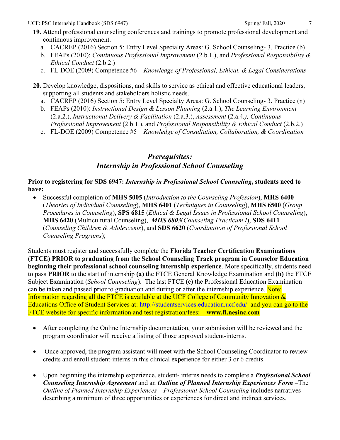### **19.** Attend professional counseling conferences and trainings to promote professional development and continuous improvement.

- a. CACREP (2016) Section 5: Entry Level Specialty Areas: G. School Counseling- 3. Practice (b)
- b. FEAPs (2010): *Continuous Professional Improvement* (2.b.1.), and *Professional Responsibility & Ethical Conduct* (2.b.2.)
- c. FL-DOE (2009) Competence #6 *Knowledge of Professional, Ethical, & Legal Considerations*
- **20.** Develop knowledge, dispositions, and skills to service as ethical and effective educational leaders, supporting all students and stakeholders holistic needs.
	- a. CACREP (2016) Section 5: Entry Level Specialty Areas: G. School Counseling- 3. Practice (n)
	- b. FEAPs (2010): *Instructional Design & Lesson Planning* (2.a.1.), *The Learning Environment* (2.a.2.), *Instructional Delivery & Facilitation* (2.a.3.), *Assessment* (2.a.4*.), Continuous Professional Improvement* (2.b.1.), and *Professional Responsibility & Ethical Conduct* (2.b.2.)
	- c. FL-DOE (2009) Competence #5 *Knowledge of Consultation, Collaboration, & Coordination*

# *Prerequisites: Internship in Professional School Counseling*

#### **Prior to registering for SDS 6947:** *Internship in Professional School Counseling***, students need to have:**

• Successful completion of **MHS 5005** (*Introduction to the Counseling Profession*), **MHS 6400**  (*Theories of Individual Counseling*), **MHS 6401** (*Techniques in Counseling*), **MHS 6500** (*Group Procedures in Counseling*), **SPS 6815** (*Ethical & Legal Issues in Professional School Counseling*), **MHS 6420** (Multicultural Counseling), *MHS 6803*(*Counseling Practicum I*), **SDS 6411** (*Counseling Children & Adolescents*), and **SDS 6620** (*Coordination of Professional School Counseling Programs*);

Students must register and successfully complete the **Florida Teacher Certification Examinations (FTCE) PRIOR to graduating from the School Counseling Track program in Counselor Education beginning their professional school counseling internship experience**. More specifically, students need to pass **PRIOR** to the start of internship **(a)** the FTCE General Knowledge Examination and **(b)** the FTCE Subject Examination (*School Counseling*). The last FTCE **(c)** the Professional Education Examination can be taken and passed prior to graduation and during or after the internship experience. Note: Information regarding all the FTCE is available at the UCF College of Community Innovation & Educations Office of Student Services at:<http://studentservices.education.ucf.edu/>and you can go to the FTCE website for specific information and test registration/fees: **[www.fl.nesinc.com](http://www.fl.nesinc.com/)**

- After completing the Online Internship documentation, your submission will be reviewed and the program coordinator will receive a listing of those approved student-interns.
- Once approved, the program assistant will meet with the School Counseling Coordinator to review credits and enroll student-interns in this clinical experience for either 3 or 6 credits.
- Upon beginning the internship experience, student- interns needs to complete a *Professional School Counseling Internship Agreement* and an *Outline of Planned Internship Experiences Form –*The *Outline of Planned Internship Experiences – Professional School Counseling* includes narratives describing a minimum of three opportunities or experiences for direct and indirect services.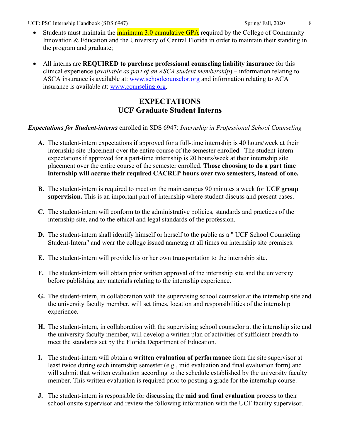- Students must maintain the minimum 3.0 cumulative GPA required by the College of Community Innovation & Education and the University of Central Florida in order to maintain their standing in the program and graduate;
- All interns are **REQUIRED to purchase professional counseling liability insurance** for this clinical experience (*available as part of an ASCA student membership*) – information relating to ASCA insurance is available at: [www.schoolcounselor.org](http://www.schoolcounselor.org/) and information relating to ACA insurance is available at: [www.counseling.org.](http://www.counseling.org/)

# **EXPECTATIONS UCF Graduate Student Interns**

#### *Expectations for Student-interns* enrolled in SDS 6947: *Internship in Professional School Counseling*

- **A.** The student-intern expectations if approved for a full-time internship is 40 hours/week at their internship site placement over the entire course of the semester enrolled. The student-intern expectations if approved for a part-time internship is 20 hours/week at their internship site placement over the entire course of the semester enrolled. **Those choosing to do a part time internship will accrue their required CACREP hours over two semesters, instead of one.**
- **B.** The student-intern is required to meet on the main campus 90 minutes a week for **UCF group supervision.** This is an important part of internship where student discuss and present cases.
- **C.** The student-intern will conform to the administrative policies, standards and practices of the internship site, and to the ethical and legal standards of the profession.
- **D.** The student-intern shall identify himself or herself to the public as a " UCF School Counseling Student-Intern" and wear the college issued nametag at all times on internship site premises.
- **E.** The student-intern will provide his or her own transportation to the internship site.
- **F.** The student-intern will obtain prior written approval of the internship site and the university before publishing any materials relating to the internship experience.
- **G.** The student-intern, in collaboration with the supervising school counselor at the internship site and the university faculty member, will set times, location and responsibilities of the internship experience.
- **H.** The student-intern, in collaboration with the supervising school counselor at the internship site and the university faculty member, will develop a written plan of activities of sufficient breadth to meet the standards set by the Florida Department of Education.
- **I.** The student-intern will obtain a **written evaluation of performance** from the site supervisor at least twice during each internship semester (e.g., mid evaluation and final evaluation form) and will submit that written evaluation according to the schedule established by the university faculty member. This written evaluation is required prior to posting a grade for the internship course.
- **J.** The student-intern is responsible for discussing the **mid and final evaluation** process to their school onsite supervisor and review the following information with the UCF faculty supervisor.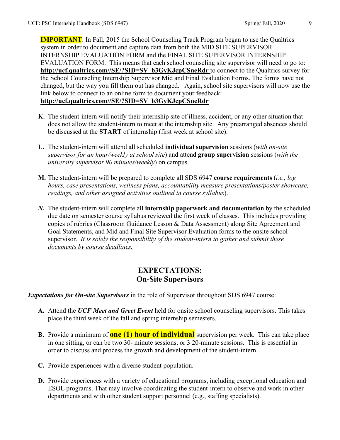**IMPORTANT**: In Fall, 2015 the School Counseling Track Program began to use the Qualtrics system in order to document and capture data from both the MID SITE SUPERVISOR INTERNSHIP EVALUATION FORM and the FINAL SITE SUPERVISOR INTERNSHIP EVALUATION FORM. This means that each school counseling site supervisor will need to go to: **[http://ucf.qualtrics.com//SE/?SID=SV\\_b3GyKJcpCSneRdr](http://ucf.qualtrics.com/SE/?SID=SV_b3GyKJcpCSneRdr)** to connect to the Qualtrics survey for the School Counseling Internship Supervisor Mid and Final Evaluation Forms. The forms have not changed, but the way you fill them out has changed. Again, school site supervisors will now use the link below to connect to an online form to document your feedback: **[http://ucf.qualtrics.com//SE/?SID=SV\\_b3GyKJcpCSneRdr](http://ucf.qualtrics.com/SE/?SID=SV_b3GyKJcpCSneRdr)**

- **K.** The student-intern will notify their internship site of illness, accident, or any other situation that does not allow the student-intern to meet at the internship site. Any prearranged absences should be discussed at the **START** of internship (first week at school site).
- **L.** The student-intern will attend all scheduled **individual supervision** sessions (*with on-site supervisor for an hour/weekly at school site*) and attend **group supervision** sessions (*with the university supervisor 90 minutes/weekly*) on campus.
- **M.** The student-intern will be prepared to complete all SDS 6947 **course requirements** (*i.e., log hours, case presentations, wellness plans, accountability measure presentations/poster showcase, readings, and other assigned activities outlined in course syllabus*).
- *N.* The student-intern will complete all **internship paperwork and documentation** by the scheduled due date on semester course syllabus reviewed the first week of classes. This includes providing copies of rubrics (Classroom Guidance Lesson & Data Assessment) along Site Agreement and Goal Statements, and Mid and Final Site Supervisor Evaluation forms to the onsite school supervisor. *It is solely the responsibility of the student-intern to gather and submit these documents by course deadlines.*

# **EXPECTATIONS: On-Site Supervisors**

*Expectations for On-site Supervisors* in the role of Supervisor throughout SDS 6947 course:

- **A.** Attend the *UCF Meet and Greet Event* held for onsite school counseling supervisors. This takes place the third week of the fall and spring internship semesters.
- **B.** Provide a minimum of **one (1) hour of individual** supervision per week. This can take place in one sitting, or can be two 30- minute sessions, or 3 20-minute sessions. This is essential in order to discuss and process the growth and development of the student-intern.
- **C.** Provide experiences with a diverse student population.
- **D.** Provide experiences with a variety of educational programs, including exceptional education and ESOL programs. That may involve coordinating the student-intern to observe and work in other departments and with other student support personnel (e.g., staffing specialists).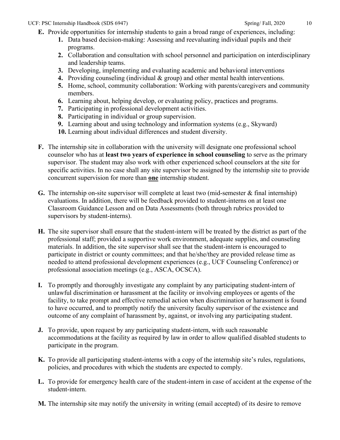- **E.** Provide opportunities for internship students to gain a broad range of experiences, including:
	- **1.** Data based decision-making: Assessing and reevaluating individual pupils and their programs.
	- **2.** Collaboration and consultation with school personnel and participation on interdisciplinary and leadership teams.
	- **3.** Developing, implementing and evaluating academic and behavioral interventions
	- **4.** Providing counseling (individual & group) and other mental health interventions.
	- **5.** Home, school, community collaboration: Working with parents/caregivers and community members.
	- **6.** Learning about, helping develop, or evaluating policy, practices and programs.
	- **7.** Participating in professional development activities.
	- **8.** Participating in individual or group supervision.
	- **9.** Learning about and using technology and information systems (e.g., Skyward)
	- **10.** Learning about individual differences and student diversity.
- **F.** The internship site in collaboration with the university will designate one professional school counselor who has at **least two years of experience in school counseling** to serve as the primary supervisor. The student may also work with other experienced school counselors at the site for specific activities. In no case shall any site supervisor be assigned by the internship site to provide concurrent supervision for more than **one** internship student.
- **G.** The internship on-site supervisor will complete at least two (mid-semester & final internship) evaluations. In addition, there will be feedback provided to student-interns on at least one Classroom Guidance Lesson and on Data Assessments (both through rubrics provided to supervisors by student-interns).
- **H.** The site supervisor shall ensure that the student-intern will be treated by the district as part of the professional staff; provided a supportive work environment, adequate supplies, and counseling materials. In addition, the site supervisor shall see that the student-intern is encouraged to participate in district or county committees; and that he/she/they are provided release time as needed to attend professional development experiences (e.g., UCF Counseling Conference) or professional association meetings (e.g., ASCA, OCSCA).
- **I.** To promptly and thoroughly investigate any complaint by any participating student-intern of unlawful discrimination or harassment at the facility or involving employees or agents of the facility, to take prompt and effective remedial action when discrimination or harassment is found to have occurred, and to promptly notify the university faculty supervisor of the existence and outcome of any complaint of harassment by, against, or involving any participating student.
- **J.** To provide, upon request by any participating student-intern, with such reasonable accommodations at the facility as required by law in order to allow qualified disabled students to participate in the program.
- **K.** To provide all participating student-interns with a copy of the internship site's rules, regulations, policies, and procedures with which the students are expected to comply.
- **L.** To provide for emergency health care of the student-intern in case of accident at the expense of the student-intern.
- **M.** The internship site may notify the university in writing (email accepted) of its desire to remove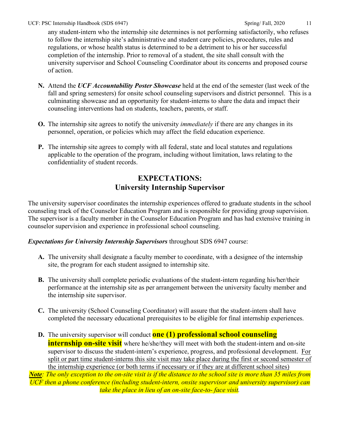any student-intern who the internship site determines is not performing satisfactorily, who refuses to follow the internship site's administrative and student care policies, procedures, rules and regulations, or whose health status is determined to be a detriment to his or her successful completion of the internship. Prior to removal of a student, the site shall consult with the university supervisor and School Counseling Coordinator about its concerns and proposed course of action.

- **N.** Attend the *UCF Accountability Poster Showcase* held at the end of the semester (last week of the fall and spring semesters) for onsite school counseling supervisors and district personnel. This is a culminating showcase and an opportunity for student-interns to share the data and impact their counseling interventions had on students, teachers, parents, or staff.
- **O.** The internship site agrees to notify the university *immediately* if there are any changes in its personnel, operation, or policies which may affect the field education experience.
- **P.** The internship site agrees to comply with all federal, state and local statutes and regulations applicable to the operation of the program, including without limitation, laws relating to the confidentiality of student records.

# **EXPECTATIONS: University Internship Supervisor**

The university supervisor coordinates the internship experiences offered to graduate students in the school counseling track of the Counselor Education Program and is responsible for providing group supervision. The supervisor is a faculty member in the Counselor Education Program and has had extensive training in counselor supervision and experience in professional school counseling.

### *Expectations for University Internship Supervisors* throughout SDS 6947 course:

- **A.** The university shall designate a faculty member to coordinate, with a designee of the internship site, the program for each student assigned to internship site.
- **B.** The university shall complete periodic evaluations of the student-intern regarding his/her/their performance at the internship site as per arrangement between the university faculty member and the internship site supervisor.
- **C.** The university (School Counseling Coordinator) will assure that the student-intern shall have completed the necessary educational prerequisites to be eligible for final internship experiences.
- **D.** The university supervisor will conduct **one (1) professional school counseling internship on-site visit** where he/she/they will meet with both the student-intern and on-site supervisor to discuss the student-intern's experience, progress, and professional development. For split or part time student-interns this site visit may take place during the first or second semester of the internship experience (or both terms if necessary or if they are at different school sites)

*Note: The only exception to the on-site visit is if the distance to the school site is more than 35 miles from UCF then a phone conference (including student-intern, onsite supervisor and university supervisor) can take the place in lieu of an on-site face-to- face visit.*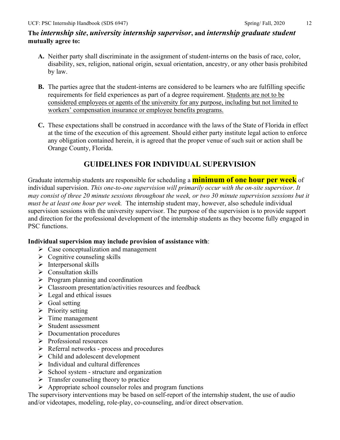- **A.** Neither party shall discriminate in the assignment of student-interns on the basis of race, color, disability, sex, religion, national origin, sexual orientation, ancestry, or any other basis prohibited by law.
- **B.** The parties agree that the student-interns are considered to be learners who are fulfilling specific requirements for field experiences as part of a degree requirement. Students are not to be considered employees or agents of the university for any purpose, including but not limited to workers' compensation insurance or employee benefits programs.
- **C.** These expectations shall be construed in accordance with the laws of the State of Florida in effect at the time of the execution of this agreement. Should either party institute legal action to enforce any obligation contained herein, it is agreed that the proper venue of such suit or action shall be Orange County, Florida.

# **GUIDELINES FOR INDIVIDUAL SUPERVISION**

Graduate internship students are responsible for scheduling a **minimum of one hour per week** of individual supervision. *This one-to-one supervision will primarily occur with the on-site supervisor. It may consist of three 20 minute sessions throughout the week, or two 30 minute supervision sessions but it must be at least one hour per week.* The internship student may, however, also schedule individual supervision sessions with the university supervisor. The purpose of the supervision is to provide support and direction for the professional development of the internship students as they become fully engaged in PSC functions.

### **Individual supervision may include provision of assistance with**:

- $\triangleright$  Case conceptualization and management
- $\triangleright$  Cognitive counseling skills
- $\triangleright$  Interpersonal skills
- $\triangleright$  Consultation skills
- $\triangleright$  Program planning and coordination
- $\triangleright$  Classroom presentation/activities resources and feedback
- $\triangleright$  Legal and ethical issues
- $\triangleright$  Goal setting
- $\triangleright$  Priority setting
- $\triangleright$  Time management
- $\triangleright$  Student assessment
- $\triangleright$  Documentation procedures
- $\triangleright$  Professional resources
- $\triangleright$  Referral networks process and procedures
- $\triangleright$  Child and adolescent development
- $\triangleright$  Individual and cultural differences
- $\triangleright$  School system structure and organization
- $\triangleright$  Transfer counseling theory to practice
- $\triangleright$  Appropriate school counselor roles and program functions

The supervisory interventions may be based on self-report of the internship student, the use of audio and/or videotapes, modeling, role-play, co-counseling, and/or direct observation.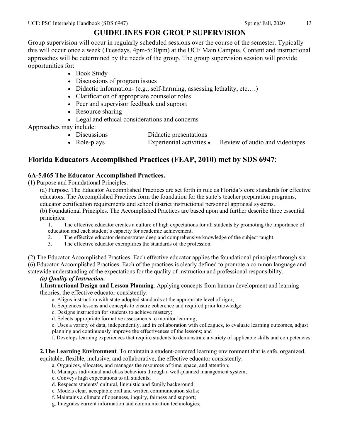# **GUIDELINES FOR GROUP SUPERVISION**

Group supervision will occur in regularly scheduled sessions over the course of the semester. Typically this will occur once a week (Tuesdays, 4pm-5:30pm) at the UCF Main Campus. Content and instructional approaches will be determined by the needs of the group. The group supervision session will provide opportunities for:

- Book Study
- Discussions of program issues
- Didactic information- (e.g., self-harming, assessing lethality, etc....)
- Clarification of appropriate counselor roles
- Peer and supervisor feedback and support
- Resource sharing
- Legal and ethical considerations and concerns

Approaches may include:

- Discussions Didactic presentations
- Role-plays Experiential activities Review of audio and videotapes

# **Florida Educators Accomplished Practices (FEAP, 2010) met by SDS 6947**:

#### **6A-5.065 The Educator Accomplished Practices.**

(1) Purpose and Foundational Principles.

(a) Purpose. The Educator Accomplished Practices are set forth in rule as Florida's core standards for effective educators. The Accomplished Practices form the foundation for the state's teacher preparation programs, educator certification requirements and school district instructional personnel appraisal systems.

(b) Foundational Principles. The Accomplished Practices are based upon and further describe three essential principles:

1. The effective educator creates a culture of high expectations for all students by promoting the importance of education and each student's capacity for academic achievement.

- 2. The effective educator demonstrates deep and comprehensive knowledge of the subject taught.
- 3. The effective educator exemplifies the standards of the profession.

(2) The Educator Accomplished Practices. Each effective educator applies the foundational principles through six (6) Educator Accomplished Practices. Each of the practices is clearly defined to promote a common language and statewide understanding of the expectations for the quality of instruction and professional responsibility.

#### *(a) Quality of Instruction.*

**1.Instructional Design and Lesson Planning**. Applying concepts from human development and learning theories, the effective educator consistently:

- a. Aligns instruction with state-adopted standards at the appropriate level of rigor;
- b. Sequences lessons and concepts to ensure coherence and required prior knowledge.
- c. Designs instruction for students to achieve mastery;
- d. Selects appropriate formative assessments to monitor learning;
- e. Uses a variety of data, independently, and in collaboration with colleagues, to evaluate learning outcomes, adjust planning and continuously improve the effectiveness of the lessons; and
- f. Develops learning experiences that require students to demonstrate a variety of applicable skills and competencies.

**2.The Learning Environment**. To maintain a student-centered learning environment that is safe, organized,

equitable, flexible, inclusive, and collaborative, the effective educator consistently:

- a. Organizes, allocates, and manages the resources of time, space, and attention;
- b. Manages individual and class behaviors through a well-planned management system;
- c. Conveys high expectations to all students;
- d. Respects students' cultural, linguistic and family background;
- e. Models clear, acceptable oral and written communication skills;
- f. Maintains a climate of openness, inquiry, fairness and support;
- g. Integrates current information and communication technologies;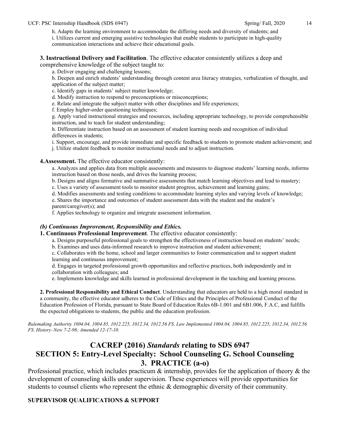#### h. Adapts the learning environment to accommodate the differing needs and diversity of students; and

i. Utilizes current and emerging assistive technologies that enable students to participate in high-quality communication interactions and achieve their educational goals.

**3. Instructional Delivery and Facilitation**. The effective educator consistently utilizes a deep and comprehensive knowledge of the subject taught to:

a. Deliver engaging and challenging lessons;

b. Deepen and enrich students' understanding through content area literacy strategies, verbalization of thought, and application of the subject matter;

c. Identify gaps in students' subject matter knowledge;

d. Modify instruction to respond to preconceptions or misconceptions;

e. Relate and integrate the subject matter with other disciplines and life experiences;

f. Employ higher-order questioning techniques;

g. Apply varied instructional strategies and resources, including appropriate technology, to provide comprehensible instruction, and to teach for student understanding;

h. Differentiate instruction based on an assessment of student learning needs and recognition of individual differences in students;

i. Support, encourage, and provide immediate and specific feedback to students to promote student achievement; and

j. Utilize student feedback to monitor instructional needs and to adjust instruction.

**4.Assessment.** The effective educator consistently:

a. Analyzes and applies data from multiple assessments and measures to diagnose students' learning needs, informs instruction based on those needs, and drives the learning process;

b. Designs and aligns formative and summative assessments that match learning objectives and lead to mastery;

c. Uses a variety of assessment tools to monitor student progress, achievement and learning gains;

d. Modifies assessments and testing conditions to accommodate learning styles and varying levels of knowledge;

e. Shares the importance and outcomes of student assessment data with the student and the student's parent/caregiver(s); and

f. Applies technology to organize and integrate assessment information.

#### *(b) Continuous Improvement, Responsibility and Ethics.*

**1. Continuous Professional Improvement**. The effective educator consistently:

a. Designs purposeful professional goals to strengthen the effectiveness of instruction based on students' needs;

b. Examines and uses data-informed research to improve instruction and student achievement;

c. Collaborates with the home, school and larger communities to foster communication and to support student learning and continuous improvement;

d. Engages in targeted professional growth opportunities and reflective practices, both independently and in collaboration with colleagues; and

e. Implements knowledge and skills learned in professional development in the teaching and learning process.

**2. Professional Responsibility and Ethical Conduct**. Understanding that educators are held to a high moral standard in a community, the effective educator adheres to the Code of Ethics and the Principles of Professional Conduct of the Education Profession of Florida, pursuant to State Board of Education Rules 6B-1.001 and 6B1.006, F.A.C, and fulfills the expected obligations to students, the public and the education profession.

*Rulemaking Authority 1004.04, 1004.85, 1012.225, 1012.34, 1012.56 FS. Law Implemented 1004.04, 1004.85, 1012.225, 1012.34, 1012.56 FS. History–New 7-2-98; Amended 12-17-10.* 

# **CACREP (2016)** *Standards* **relating to SDS 6947 SECTION 5: Entry-Level Specialty: School Counseling G. School Counseling 3. PRACTICE (a-o)**

Professional practice, which includes practicum  $\&$  internship, provides for the application of theory  $\&$  the development of counseling skills under supervision. These experiences will provide opportunities for students to counsel clients who represent the ethnic & demographic diversity of their community.

#### **SUPERVISOR QUALIFICATIONS & SUPPORT**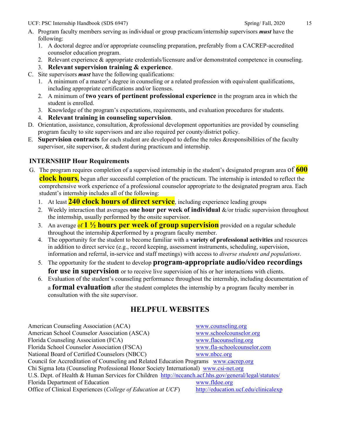- A. Program faculty members serving as individual or group practicum/internship supervisors *must* have the following:
	- 1. A doctoral degree and/or appropriate counseling preparation, preferably from a CACREP-accredited counselor education program.
	- 2. Relevant experience & appropriate credentials/licensure and/or demonstrated competence in counseling.
	- 3. **Relevant supervision training & experience**.
- C. Site supervisors *must* have the following qualifications:
	- 1. A minimum of a master's degree in counseling or a related profession with equivalent qualifications, including appropriate certifications and/or licenses.
	- 2. A minimum of **two years of pertinent professional experience** in the program area in which the student is enrolled.
	- 3. Knowledge of the program's expectations, requirements, and evaluation procedures for students.
	- 4. **Relevant training in counseling supervision**.
- D. Orientation, assistance, consultation, &professional development opportunities are provided by counseling program faculty to site supervisors and are also required per county/district policy.
- E. **Supervision contracts** for each student are developed to define the roles &responsibilities of the faculty supervisor, site supervisor, & student during practicum and internship.

### **INTERNSHIP Hour Requirements**

- G. The program requires completion of a supervised internship in the student's designated program area of **600 clock hours,** begun after successful completion of the practicum. The internship is intended to reflect the comprehensive work experience of a professional counselor appropriate to the designated program area. Each student's internship includes all of the following:
	- 1. At least **240 clock hours of direct service**, including experience leading groups
	- 2. Weekly interaction that averages **one hour per week of individual** &/or triadic supervision throughout the internship, usually performed by the onsite supervisor.
	- 3. An average of **1 ½ hours per week of group supervision** provided on a regular schedule throughout the internship &performed by a program faculty member.
	- 4. The opportunity for the student to become familiar with a **variety of professional activities** and resources in addition to direct service (e.g., record keeping, assessment instruments, scheduling, supervision, information and referral, in-service and staff meetings) with access to *diverse students and populations*.
	- 5. The opportunity for the student to develop **program-appropriate audio/video recordings for use in supervision** or to receive live supervision of his or her interactions with clients.
	- 6. Evaluation of the student's counseling performance throughout the internship, including documentation of a **formal evaluation** after the student completes the internship by a program faculty member in consultation with the site supervisor.

# **HELPFUL WEBSITES**

| www.counseling.org                                                                                    |
|-------------------------------------------------------------------------------------------------------|
| www.schoolcounselor.org                                                                               |
| www.flacounseling.org                                                                                 |
| www.fla-schoolcounselor.com                                                                           |
| www.nbcc.org                                                                                          |
| Council for Accreditation of Counseling and Related Education Programs www.cacrep.org                 |
| Chi Sigma Iota (Counseling Professional Honor Society International) www.csi-net.org                  |
| U.S. Dept. of Health & Human Services for Children http://nccanch.acf.hhs.gov/general/legal/statutes/ |
| www.fldoe.org                                                                                         |
| http://education.ucf.edu/clinicalexp                                                                  |
|                                                                                                       |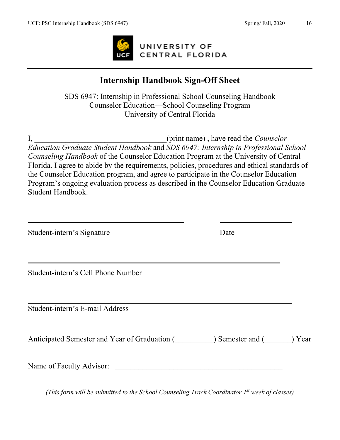

# **Internship Handbook Sign-Off Sheet**

SDS 6947: Internship in Professional School Counseling Handbook Counselor Education—School Counseling Program University of Central Florida

I, \_\_\_\_\_\_\_\_\_\_\_\_\_\_\_\_\_\_\_\_\_\_\_\_\_\_\_\_\_\_\_\_\_\_(print name) , have read the *Counselor Education Graduate Student Handbook* and *SDS 6947: Internship in Professional School Counseling Handbook* of the Counselor Education Program at the University of Central Florida. I agree to abide by the requirements, policies, procedures and ethical standards of the Counselor Education program, and agree to participate in the Counselor Education Program's ongoing evaluation process as described in the Counselor Education Graduate Student Handbook.

Student-intern's Signature Date

Student-intern's Cell Phone Number

Student-intern's E-mail Address

Anticipated Semester and Year of Graduation (  $\Box$  ) Semester and (  $\Box$  ) Year

Name of Faculty Advisor:

*(This form will be submitted to the School Counseling Track Coordinator 1st week of classes)*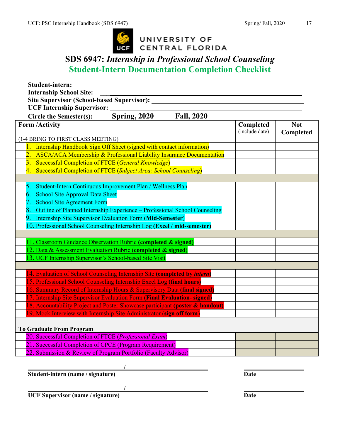

# UNIVERSITY OF CENTRAL FLORIDA

# **SDS 6947:** *Internship in Professional School Counseling* **Student-Intern Documentation Completion Checklist**

| Student-intern:                                                                   |                                                           |                   |                |            |
|-----------------------------------------------------------------------------------|-----------------------------------------------------------|-------------------|----------------|------------|
| <b>Internship School Site:</b>                                                    |                                                           |                   |                |            |
| <b>Site Supervisor (School-based Supervisor):</b>                                 |                                                           |                   |                |            |
| <b>UCF Internship Supervisor:</b>                                                 |                                                           |                   |                |            |
| <b>Circle the Semester(s):</b>                                                    | <b>Spring, 2020</b>                                       | <b>Fall, 2020</b> |                |            |
| <b>Form /Activity</b>                                                             |                                                           |                   | Completed      | <b>Not</b> |
|                                                                                   |                                                           |                   | (include date) | Completed  |
| (1-4 BRING TO FIRST CLASS MEETING)                                                |                                                           |                   |                |            |
| Internship Handbook Sign Off Sheet (signed with contact information)<br>1.        |                                                           |                   |                |            |
| 2. ASCA/ACA Membership & Professional Liability Insurance Documentation           |                                                           |                   |                |            |
| 3. Successful Completion of FTCE (General Knowledge)                              |                                                           |                   |                |            |
| Successful Completion of FTCE (Subject Area: School Counseling)<br>4.             |                                                           |                   |                |            |
|                                                                                   |                                                           |                   |                |            |
| Student-Intern Continuous Improvement Plan / Wellness Plan<br>5.                  |                                                           |                   |                |            |
| School Site Approval Data Sheet<br>6.                                             |                                                           |                   |                |            |
| <b>School Site Agreement Form</b>                                                 |                                                           |                   |                |            |
| 8.<br>Outline of Planned Internship Experience - Professional School Counseling   |                                                           |                   |                |            |
| 9.                                                                                | Internship Site Supervisor Evaluation Form (Mid-Semester) |                   |                |            |
| 10. Professional School Counseling Internship Log (Excel / mid-semester)          |                                                           |                   |                |            |
|                                                                                   |                                                           |                   |                |            |
| 11. Classroom Guidance Observation Rubric (completed & signed)                    |                                                           |                   |                |            |
| 12. Data & Assessment Evaluation Rubric (completed & signed)                      |                                                           |                   |                |            |
| 13. UCF Internship Supervisor's School-based Site Visit                           |                                                           |                   |                |            |
|                                                                                   |                                                           |                   |                |            |
| 14. Evaluation of School Counseling Internship Site (completed by <i>intern</i> ) |                                                           |                   |                |            |
| 15. Professional School Counseling Internship Excel Log (final hours)             |                                                           |                   |                |            |
| 16. Summary Record of Internship Hours & Supervisory Data (final signed)          |                                                           |                   |                |            |
| 17. Internship Site Supervisor Evaluation Form (Final Evaluation-signed)          |                                                           |                   |                |            |
| 18. Accountability Project and Poster Showcase participant (poster & handout)     |                                                           |                   |                |            |
| 19. Mock Interview with Internship Site Administrator (sign off form              |                                                           |                   |                |            |
|                                                                                   |                                                           |                   |                |            |
| <b>To Graduate From Program</b>                                                   |                                                           |                   |                |            |
| 20. Successful Completion of FTCE (Professional Exam)                             |                                                           |                   |                |            |
| 21. Successful Completion of CPCE (Program Requirement)                           |                                                           |                   |                |            |
| 22. Submission & Review of Program Portfolio (Faculty Advisor)                    |                                                           |                   |                |            |
|                                                                                   |                                                           |                   |                |            |

**Student-intern (name / signature) Date** 

**/**

**/**

**UCF Supervisor (name / signature) Date**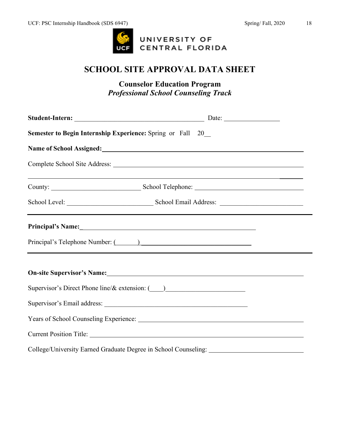

# **SCHOOL SITE APPROVAL DATA SHEET**

**Counselor Education Program** *Professional School Counseling Track*

| <b>Semester to Begin Internship Experience: Spring or Fall 20</b>                                                    |  |  |  |
|----------------------------------------------------------------------------------------------------------------------|--|--|--|
| Name of School Assigned: 1997 and 2008 and 2009 and 2009 and 2009 and 2009 and 2009 and 2009 and 2009 and 2009 $\mu$ |  |  |  |
|                                                                                                                      |  |  |  |
| <u> 1999 - Jan Barnett, fransk politik (d. 1989)</u>                                                                 |  |  |  |
|                                                                                                                      |  |  |  |
|                                                                                                                      |  |  |  |
|                                                                                                                      |  |  |  |
| On-site Supervisor's Name: 1988 Manual Contract of Supervisor's Name: 1988                                           |  |  |  |
| Supervisor's Direct Phone line/& extension: (1)                                                                      |  |  |  |
|                                                                                                                      |  |  |  |
|                                                                                                                      |  |  |  |
|                                                                                                                      |  |  |  |
| College/University Earned Graduate Degree in School Counseling: _________________                                    |  |  |  |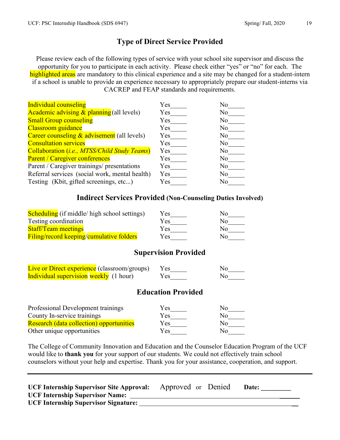# **Type of Direct Service Provided**

Please review each of the following types of service with your school site supervisor and discuss the opportunity for you to participate in each activity. Please check either "yes" or "no" for each. The highlighted areas are mandatory to this clinical experience and a site may be changed for a student-intern if a school is unable to provide an experience necessary to appropriately prepare our student-interns via CACREP and FEAP standards and requirements.

| <b>Individual counseling</b>                   | Yes | No             |
|------------------------------------------------|-----|----------------|
| Academic advising $&$ planning (all levels)    | Yes | No             |
| <b>Small Group counseling</b>                  | Yes | No             |
| <b>Classroom</b> guidance                      | Yes | No             |
| Career counseling & advisement (all levels)    | Yes | No             |
| <b>Consultation services</b>                   | Yes | No             |
| Collaboration (i.e., MTSS/Child Study Teams)   | Yes | No             |
| Parent / Caregiver conferences                 | Yes | No             |
| Parent / Caregiver trainings/ presentations    | Yes | No             |
| Referral services (social work, mental health) | Yes | No             |
| Testing (Kbit, gifted screenings, etc)         | Yes | N <sub>0</sub> |

### **Indirect Services Provided (Non-Counseling Duties Involved)**

| <b>Scheduling</b> (if middle/ high school settings) | Yes | Nο  |
|-----------------------------------------------------|-----|-----|
| Testing coordination                                | Yes | No. |
| <b>Staff/Team meetings</b>                          | Yes | Nο  |
| Filing/record keeping/cumulative folders            | Yes | N٥  |

### **Supervision Provided**

| Live or Direct experience (classroom/groups) Yes |  |     | Nο |
|--------------------------------------------------|--|-----|----|
| <b>Individual supervision weekly</b> (1 hour)    |  | Yes | No |

#### **Education Provided**

| Professional Development trainings              | Yes | No.          |
|-------------------------------------------------|-----|--------------|
| County In-service trainings                     | Yes | No.          |
| <b>Research (data collection) opportunities</b> | Yes | $N_{\Omega}$ |
| Other unique opportunities                      | Yes | $\Delta$     |

The College of Community Innovation and Education and the Counselor Education Program of the UCF would like to **thank you** for your support of our students. We could not effectively train school counselors without your help and expertise. Thank you for your assistance, cooperation, and support.

| <b>UCF Internship Supervisor Site Approval:</b> | Approved or Denied | Date: |
|-------------------------------------------------|--------------------|-------|
| <b>UCF Internship Supervisor Name:</b>          |                    |       |
| <b>UCF Internship Supervisor Signature:</b>     |                    |       |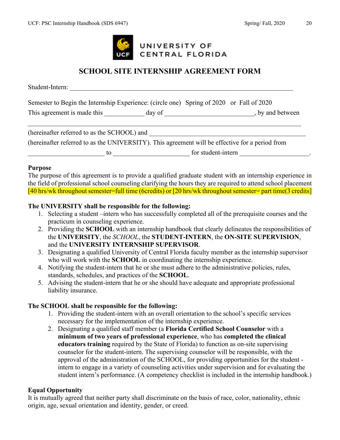

# **SCHOOL SITE INTERNSHIP AGREEMENT FORM**

Student-Intern:

|                             | Semester to Begin the Internship Experience: (circle one) Spring of 2020 or Fall of 2020 |                  |
|-----------------------------|------------------------------------------------------------------------------------------|------------------|
| This agreement is made this | day of                                                                                   | , by and between |
|                             |                                                                                          |                  |

| (hereinafter referred to as the SCHOOL) and |                                                                                                 |
|---------------------------------------------|-------------------------------------------------------------------------------------------------|
|                                             | (hereinafter referred to as the UNIVERSITY). This agreement will be effective for a period from |
| ТΩ                                          | for student-intern                                                                              |

#### **Purpose**

The purpose of this agreement is to provide a qualified graduate student with an internship experience in the field of professional school counseling clarifying the hours they are required to attend school placement [40 hrs/wk throughout semester=full time (6credits) or [20 hrs/wk throughout semester= part time(3 credits]

#### **The UNIVERSITY shall be responsible for the following:**

- 1. Selecting a student –intern who has successfully completed all of the prerequisite courses and the practicum in counseling experience.
- 2. Providing the **SCHOOL** with an internship handbook that clearly delineates the responsibilities of the **UNIVERSITY**, the *SCHOOL*, the **STUDENT-INTERN**, the **ON-SITE SUPERVISION**, and the **UNIVERSITY INTERNSHIP SUPERVISOR**.
- 3. Designating a qualified University of Central Florida faculty member as the internship supervisor who will work with the **SCHOOL** in coordinating the internship experience.
- 4. Notifying the student-intern that he or she must adhere to the administrative policies, rules, standards, schedules, and practices of the **SCHOOL**.
- 5. Advising the student-intern that he or she should have adequate and appropriate professional liability insurance.

#### **The SCHOOL shall be responsible for the following:**

- 1. Providing the student-intern with an overall orientation to the school's specific services necessary for the implementation of the internship experience.
- 2. Designating a qualified staff member (a **Florida Certified School Counselor** with a **minimum of two years of professional experience**, who has **completed the clinical educators training** required by the State of Florida) to function as on-site supervising counselor for the student-intern. The supervising counselor will be responsible, with the approval of the administration of the SCHOOL, for providing opportunities for the student intern to engage in a variety of counseling activities under supervision and for evaluating the student intern's performance. (A competency checklist is included in the internship handbook.)

#### **Equal Opportunity**

It is mutually agreed that neither party shall discriminate on the basis of race, color, nationality, ethnic origin, age, sexual orientation and identity, gender, or creed.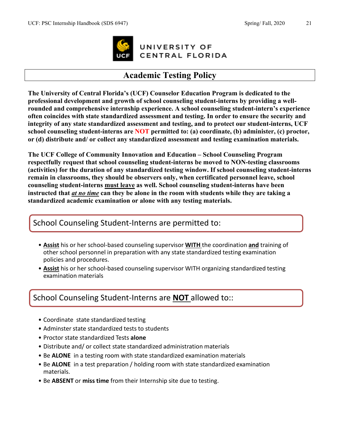

UNIVERSITY OF CENTRAL FLORIDA

# **Academic Testing Policy**

**The University of Central Florida's (UCF) Counselor Education Program is dedicated to the professional development and growth of school counseling student-interns by providing a wellrounded and comprehensive internship experience. A school counseling student-intern's experience often coincides with state standardized assessment and testing. In order to ensure the security and integrity of any state standardized assessment and testing, and to protect our student-interns, UCF school counseling student-interns are NOT permitted to: (a) coordinate, (b) administer, (c) proctor, or (d) distribute and/ or collect any standardized assessment and testing examination materials.** 

**The UCF College of Community Innovation and Education – School Counseling Program respectfully request that school counseling student-interns be moved to NON-testing classrooms (activities) for the duration of any standardized testing window. If school counseling student-interns remain in classrooms, they should be observers only, when certificated personnel leave, school counseling student-interns must leave as well. School counseling student-interns have been instructed that** *at no time* **can they be alone in the room with students while they are taking a standardized academic examination or alone with any testing materials.**

# School Counseling Student-Interns are permitted to:

- **Assist** his or her school-based counseling supervisor **WITH** the coordination **and** training of other school personnel in preparation with any state standardized testing examination policies and procedures.
- **Assist** his or her school-based counseling supervisor WITH organizing standardized testing examination materials

# School Counseling Student-Interns are **NOT** allowed to::

- Coordinate state standardized testing
- Adminster state standardized tests to students
- Proctor state standardized Tests **alone**
- Distribute and/ or collect state standardized administration materials
- Be **ALONE** in a testing room with state standardized examination materials
- Be **ALONE** in a test preparation / holding room with state standardized examination materials.
- Be **ABSENT** or **miss time** from their Internship site due to testing.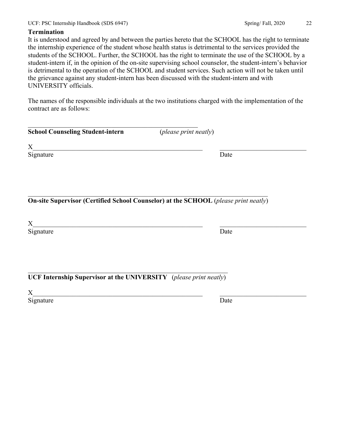#### **Termination**

It is understood and agreed by and between the parties hereto that the SCHOOL has the right to terminate the internship experience of the student whose health status is detrimental to the services provided the students of the SCHOOL. Further, the SCHOOL has the right to terminate the use of the SCHOOL by a student-intern if, in the opinion of the on-site supervising school counselor, the student-intern's behavior is detrimental to the operation of the SCHOOL and student services. Such action will not be taken until the grievance against any student-intern has been discussed with the student-intern and with UNIVERSITY officials.

The names of the responsible individuals at the two institutions charged with the implementation of the contract are as follows:

 $X_\_$ 

| <b>School Counseling Student-intern</b> | ( <i>please print neatly</i> ) |
|-----------------------------------------|--------------------------------|
|                                         |                                |

 $\mathcal{L}_\mathcal{L}$  , and the set of the set of the set of the set of the set of the set of the set of the set of the set of the set of the set of the set of the set of the set of the set of the set of the set of the set of th **On-site Supervisor (Certified School Counselor) at the SCHOOL** (*please print neatly*)

 $X_\_$ 

Signature Date

\_\_\_\_\_\_\_\_\_\_\_\_\_\_\_\_\_\_\_\_\_\_\_\_\_\_\_\_\_\_\_\_\_\_\_\_\_\_\_\_\_\_\_\_\_\_\_\_\_\_\_\_\_\_\_\_\_\_\_\_ **UCF Internship Supervisor at the UNIVERSITY** (*please print neatly*)

 $X_\_$ 

Signature Date

Signature Date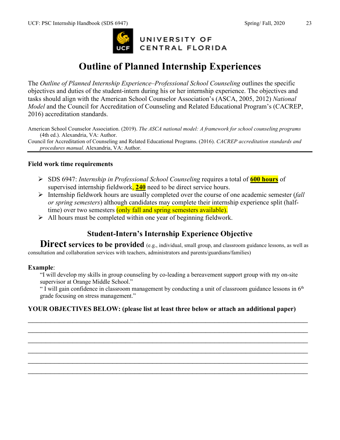

# **Outline of Planned Internship Experiences**

The *Outline of Planned Internship Experience–Professional School Counseling* outlines the specific objectives and duties of the student-intern during his or her internship experience. The objectives and tasks should align with the American School Counselor Association's (ASCA, 2005, 2012) *National Model* and the Council for Accreditation of Counseling and Related Educational Program's (CACREP, 2016) accreditation standards.

American School Counselor Association. (2019). *The ASCA national model: A framework for school counseling programs* (4th ed.). Alexandria, VA: Author.

Council for Accreditation of Counseling and Related Educational Programs. (2016). *CACREP accreditation standards and procedures manual.* Alexandria, VA: Author.

#### **Field work time requirements**

- SDS 6947: *Internship in Professional School Counseling* requires a total of **600 hours** of supervised internship fieldwork, **240** need to be direct service hours.
- Internship fieldwork hours are usually completed over the course of one academic semester (*fall or spring semesters*) although candidates may complete their internship experience split (halftime) over two semesters (only fall and spring semesters available).
- $\triangleright$  All hours must be completed within one year of beginning fieldwork.

# **Student-Intern's Internship Experience Objective**

**Direct services to be provided** (e.g., individual, small group, and classroom guidance lessons, as well as consultation and collaboration services with teachers, administrators and parents/guardians/families)

#### **Example**:

"I will develop my skills in group counseling by co-leading a bereavement support group with my on-site supervisor at Orange Middle School."

" I will gain confidence in classroom management by conducting a unit of classroom guidance lessons in  $6<sup>th</sup>$ grade focusing on stress management."

#### **YOUR OBJECTIVES BELOW: (please list at least three below or attach an additional paper)**

\_\_\_\_\_\_\_\_\_\_\_\_\_\_\_\_\_\_\_\_\_\_\_\_\_\_\_\_\_\_\_\_\_\_\_\_\_\_\_\_\_\_\_\_\_\_\_\_\_\_\_\_\_\_\_\_\_\_\_\_\_\_\_ \_\_\_\_\_\_\_\_\_\_\_\_\_\_\_\_\_\_\_\_\_\_\_\_\_\_\_\_\_\_\_\_\_\_\_\_\_\_\_\_\_\_\_\_\_\_\_\_\_\_\_\_\_\_\_\_\_\_\_\_\_\_\_  $\mathcal{L}_\mathcal{L} = \{ \mathcal{L}_\mathcal{L} = \{ \mathcal{L}_\mathcal{L} = \{ \mathcal{L}_\mathcal{L} = \{ \mathcal{L}_\mathcal{L} = \{ \mathcal{L}_\mathcal{L} = \{ \mathcal{L}_\mathcal{L} = \{ \mathcal{L}_\mathcal{L} = \{ \mathcal{L}_\mathcal{L} = \{ \mathcal{L}_\mathcal{L} = \{ \mathcal{L}_\mathcal{L} = \{ \mathcal{L}_\mathcal{L} = \{ \mathcal{L}_\mathcal{L} = \{ \mathcal{L}_\mathcal{L} = \{ \mathcal{L}_\mathcal{$  $\mathcal{L}_\mathcal{L} = \{ \mathcal{L}_\mathcal{L} = \{ \mathcal{L}_\mathcal{L} = \{ \mathcal{L}_\mathcal{L} = \{ \mathcal{L}_\mathcal{L} = \{ \mathcal{L}_\mathcal{L} = \{ \mathcal{L}_\mathcal{L} = \{ \mathcal{L}_\mathcal{L} = \{ \mathcal{L}_\mathcal{L} = \{ \mathcal{L}_\mathcal{L} = \{ \mathcal{L}_\mathcal{L} = \{ \mathcal{L}_\mathcal{L} = \{ \mathcal{L}_\mathcal{L} = \{ \mathcal{L}_\mathcal{L} = \{ \mathcal{L}_\mathcal{$  $\mathcal{L}_\mathcal{L} = \{ \mathcal{L}_\mathcal{L} = \{ \mathcal{L}_\mathcal{L} = \{ \mathcal{L}_\mathcal{L} = \{ \mathcal{L}_\mathcal{L} = \{ \mathcal{L}_\mathcal{L} = \{ \mathcal{L}_\mathcal{L} = \{ \mathcal{L}_\mathcal{L} = \{ \mathcal{L}_\mathcal{L} = \{ \mathcal{L}_\mathcal{L} = \{ \mathcal{L}_\mathcal{L} = \{ \mathcal{L}_\mathcal{L} = \{ \mathcal{L}_\mathcal{L} = \{ \mathcal{L}_\mathcal{L} = \{ \mathcal{L}_\mathcal{$  $\mathcal{L}_\mathcal{L} = \{ \mathcal{L}_\mathcal{L} = \{ \mathcal{L}_\mathcal{L} = \{ \mathcal{L}_\mathcal{L} = \{ \mathcal{L}_\mathcal{L} = \{ \mathcal{L}_\mathcal{L} = \{ \mathcal{L}_\mathcal{L} = \{ \mathcal{L}_\mathcal{L} = \{ \mathcal{L}_\mathcal{L} = \{ \mathcal{L}_\mathcal{L} = \{ \mathcal{L}_\mathcal{L} = \{ \mathcal{L}_\mathcal{L} = \{ \mathcal{L}_\mathcal{L} = \{ \mathcal{L}_\mathcal{L} = \{ \mathcal{L}_\mathcal{$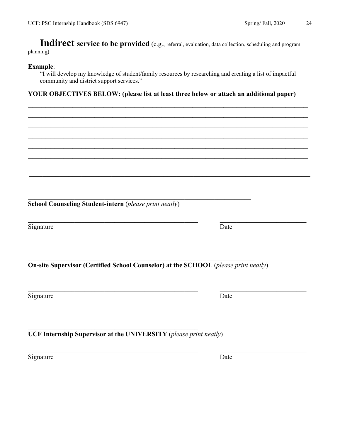Indirect service to be provided (e.g., referral, evaluation, data collection, scheduling and program planning)

#### **Example**:

"I will develop my knowledge of student/family resources by researching and creating a list of impactful community and district support services."

 $\mathcal{L}_\mathcal{L} = \{ \mathcal{L}_\mathcal{L} = \{ \mathcal{L}_\mathcal{L} = \{ \mathcal{L}_\mathcal{L} = \{ \mathcal{L}_\mathcal{L} = \{ \mathcal{L}_\mathcal{L} = \{ \mathcal{L}_\mathcal{L} = \{ \mathcal{L}_\mathcal{L} = \{ \mathcal{L}_\mathcal{L} = \{ \mathcal{L}_\mathcal{L} = \{ \mathcal{L}_\mathcal{L} = \{ \mathcal{L}_\mathcal{L} = \{ \mathcal{L}_\mathcal{L} = \{ \mathcal{L}_\mathcal{L} = \{ \mathcal{L}_\mathcal{$ \_\_\_\_\_\_\_\_\_\_\_\_\_\_\_\_\_\_\_\_\_\_\_\_\_\_\_\_\_\_\_\_\_\_\_\_\_\_\_\_\_\_\_\_\_\_\_\_\_\_\_\_\_\_\_\_\_\_\_\_\_\_\_ \_\_\_\_\_\_\_\_\_\_\_\_\_\_\_\_\_\_\_\_\_\_\_\_\_\_\_\_\_\_\_\_\_\_\_\_\_\_\_\_\_\_\_\_\_\_\_\_\_\_\_\_\_\_\_\_\_\_\_\_\_\_\_ \_\_\_\_\_\_\_\_\_\_\_\_\_\_\_\_\_\_\_\_\_\_\_\_\_\_\_\_\_\_\_\_\_\_\_\_\_\_\_\_\_\_\_\_\_\_\_\_\_\_\_\_\_\_\_\_\_\_\_\_\_\_\_  $\mathcal{L}_\mathcal{L} = \{ \mathcal{L}_\mathcal{L} = \{ \mathcal{L}_\mathcal{L} = \{ \mathcal{L}_\mathcal{L} = \{ \mathcal{L}_\mathcal{L} = \{ \mathcal{L}_\mathcal{L} = \{ \mathcal{L}_\mathcal{L} = \{ \mathcal{L}_\mathcal{L} = \{ \mathcal{L}_\mathcal{L} = \{ \mathcal{L}_\mathcal{L} = \{ \mathcal{L}_\mathcal{L} = \{ \mathcal{L}_\mathcal{L} = \{ \mathcal{L}_\mathcal{L} = \{ \mathcal{L}_\mathcal{L} = \{ \mathcal{L}_\mathcal{$  $\mathcal{L}_\mathcal{L} = \{ \mathcal{L}_\mathcal{L} = \{ \mathcal{L}_\mathcal{L} = \{ \mathcal{L}_\mathcal{L} = \{ \mathcal{L}_\mathcal{L} = \{ \mathcal{L}_\mathcal{L} = \{ \mathcal{L}_\mathcal{L} = \{ \mathcal{L}_\mathcal{L} = \{ \mathcal{L}_\mathcal{L} = \{ \mathcal{L}_\mathcal{L} = \{ \mathcal{L}_\mathcal{L} = \{ \mathcal{L}_\mathcal{L} = \{ \mathcal{L}_\mathcal{L} = \{ \mathcal{L}_\mathcal{L} = \{ \mathcal{L}_\mathcal{$ 

**\_\_\_\_\_\_\_\_\_\_\_\_\_\_\_\_\_\_\_\_\_\_\_\_\_\_\_\_\_\_\_\_\_\_\_\_\_\_\_\_\_\_\_\_\_\_\_\_\_\_\_\_\_\_\_\_\_\_\_\_\_\_\_\_\_**

#### **YOUR OBJECTIVES BELOW: (please list at least three below or attach an additional paper)**

**School Counseling Student-intern** (*please print neatly*)

Signature Date

\_\_\_\_\_\_\_\_\_\_\_\_\_\_\_\_\_\_\_\_\_\_\_\_\_\_\_\_\_\_\_\_\_\_\_\_\_\_\_\_\_\_\_\_\_\_\_\_\_\_\_\_\_\_\_\_\_\_\_\_\_\_\_\_\_\_\_\_ **On-site Supervisor (Certified School Counselor) at the SCHOOL** (*please print neatly*)

 $\mathcal{L}_\text{max}$  , and the contribution of the contribution of the contribution of the contribution of the contribution of the contribution of the contribution of the contribution of the contribution of the contribution of t

\_\_\_\_\_\_\_\_\_\_\_\_\_\_\_\_\_\_\_\_\_\_\_\_\_\_\_\_\_\_\_\_\_\_\_\_\_\_\_\_\_\_\_\_\_\_\_\_\_\_\_\_\_\_\_\_\_\_\_\_\_\_\_\_\_\_\_

Signature Date

**UCF Internship Supervisor at the UNIVERSITY** (*please print neatly*)

\_\_\_\_\_\_\_\_\_\_\_\_\_\_\_\_\_\_\_\_\_\_\_\_\_\_\_\_\_\_\_\_\_\_\_\_\_\_\_\_\_\_\_\_\_\_\_\_\_\_\_

Signature Date

 $\mathcal{L}_\text{max}$  , and the contribution of the contribution of the contribution of the contribution of the contribution of the contribution of the contribution of the contribution of the contribution of the contribution of t

 $\mathcal{L}_\text{max}$  , and the contribution of the contribution of the contribution of the contribution of the contribution of the contribution of the contribution of the contribution of the contribution of the contribution of t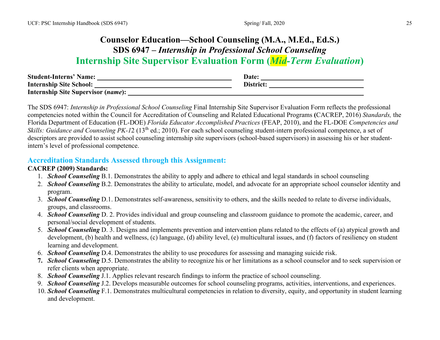# **Counselor Education—School Counseling (M.A., M.Ed., Ed.S.) SDS 6947 –** *Internship in Professional School Counseling* **Internship Site Supervisor Evaluation Form (***Mid-Term Evaluation***)**

| <b>Student-Interns' Name:</b>             | Date:     |
|-------------------------------------------|-----------|
| <b>Internship Site School:</b>            | District: |
| <b>Internship Site Supervisor (name):</b> |           |

The SDS 6947: *Internship in Professional School Counseling* Final Internship Site Supervisor Evaluation Form reflects the professional competencies noted within the Council for Accreditation of Counseling and Related Educational Programs **(**CACREP, 2016) *Standards,* the Florida Department of Education (FL-DOE) *Florida Educator Accomplished Practices* (FEAP, 2010), and the FL-DOE *Competencies and Skills: Guidance and Counseling PK-12* (13<sup>th</sup> ed.; 2010). For each school counseling student-intern professional competence, a set of descriptors are provided to assist school counseling internship site supervisors (school-based supervisors) in assessing his or her studentintern's level of professional competence.

### **Accreditation Standards Assessed through this Assignment:**

#### **CACREP (2009) Standards:**

- 1. *School Counseling* B.1. Demonstrates the ability to apply and adhere to ethical and legal standards in school counseling
- 2. *School Counseling* B.2. Demonstrates the ability to articulate, model, and advocate for an appropriate school counselor identity and program.
- 3. *School Counseling* D.1. Demonstrates self-awareness, sensitivity to others, and the skills needed to relate to diverse individuals, groups, and classrooms.
- 4. *School Counseling* D. 2. Provides individual and group counseling and classroom guidance to promote the academic, career, and personal/social development of students.
- 5. *School Counseling* D. 3. Designs and implements prevention and intervention plans related to the effects of (a) atypical growth and development, (b) health and wellness, (c) language, (d) ability level, (e) multicultural issues, and (f) factors of resiliency on student learning and development.
- 6. *School Counseling* D.4. Demonstrates the ability to use procedures for assessing and managing suicide risk.
- **7.** *School Counseling* D.5. Demonstrates the ability to recognize his or her limitations as a school counselor and to seek supervision or refer clients when appropriate.
- 8. *School Counseling* J.1. Applies relevant research findings to inform the practice of school counseling.
- 9. *School Counseling* J.2. Develops measurable outcomes for school counseling programs, activities, interventions, and experiences.
- 10. *School Counseling* F.1. Demonstrates multicultural competencies in relation to diversity, equity, and opportunity in student learning and development.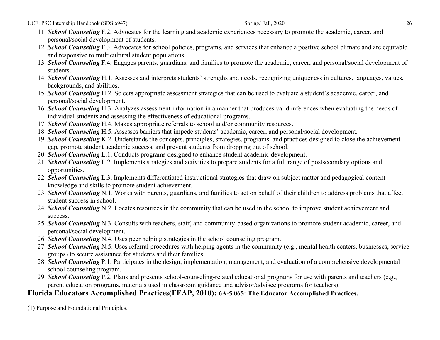UCF: PSC Internship Handbook (SDS 6947) 26

- 11. *School Counseling* F.2. Advocates for the learning and academic experiences necessary to promote the academic, career, and personal/social development of students.
- 12. *School Counseling* F.3. Advocates for school policies, programs, and services that enhance a positive school climate and are equitable and responsive to multicultural student populations.
- 13. *School Counseling* F.4. Engages parents, guardians, and families to promote the academic, career, and personal/social development of students.
- 14. *School Counseling* H.1. Assesses and interprets students' strengths and needs, recognizing uniqueness in cultures, languages, values, backgrounds, and abilities.
- 15. *School Counseling* H.2. Selects appropriate assessment strategies that can be used to evaluate a student's academic, career, and personal/social development.
- 16. *School Counseling* H.3. Analyzes assessment information in a manner that produces valid inferences when evaluating the needs of individual students and assessing the effectiveness of educational programs.
- 17. *School Counseling* H.4. Makes appropriate referrals to school and/or community resources.
- 18. *School Counseling* H.5. Assesses barriers that impede students' academic, career, and personal/social development.
- 19. *School Counseling* K.2. Understands the concepts, principles, strategies, programs, and practices designed to close the achievement gap, promote student academic success, and prevent students from dropping out of school.
- 20. *School Counseling* L.1. Conducts programs designed to enhance student academic development.
- 21. *School Counseling* L.2. Implements strategies and activities to prepare students for a full range of postsecondary options and opportunities.
- 22. *School Counseling* L.3. Implements differentiated instructional strategies that draw on subject matter and pedagogical content knowledge and skills to promote student achievement.
- 23. *School Counseling* N.1. Works with parents, guardians, and families to act on behalf of their children to address problems that affect student success in school.
- 24. *School Counseling* N.2. Locates resources in the community that can be used in the school to improve student achievement and success.
- 25. *School Counseling* N.3. Consults with teachers, staff, and community-based organizations to promote student academic, career, and personal/social development.
- 26. *School Counseling* N.4. Uses peer helping strategies in the school counseling program.
- 27. *School Counseling* N.5. Uses referral procedures with helping agents in the community (e.g., mental health centers, businesses, service groups) to secure assistance for students and their families.
- 28. *School Counseling* P.1. Participates in the design, implementation, management, and evaluation of a comprehensive developmental school counseling program.
- 29. *School Counseling* P.2. Plans and presents school-counseling-related educational programs for use with parents and teachers (e.g., parent education programs, materials used in classroom guidance and advisor/advisee programs for teachers).

# **Florida Educators Accomplished Practices(FEAP, 2010): 6A-5.065: The Educator Accomplished Practices.**

(1) Purpose and Foundational Principles.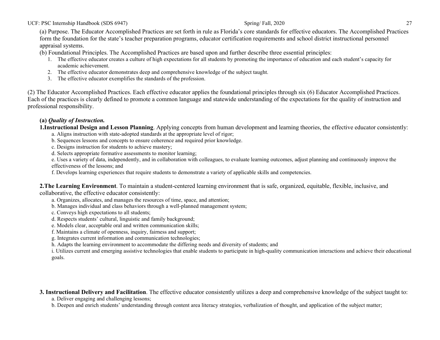(a) Purpose. The Educator Accomplished Practices are set forth in rule as Florida's core standards for effective educators. The Accomplished Practices form the foundation for the state's teacher preparation programs, educator certification requirements and school district instructional personnel appraisal systems.

(b) Foundational Principles. The Accomplished Practices are based upon and further describe three essential principles:

- 1. The effective educator creates a culture of high expectations for all students by promoting the importance of education and each student's capacity for academic achievement.
- 2. The effective educator demonstrates deep and comprehensive knowledge of the subject taught.
- 3. The effective educator exemplifies the standards of the profession.

(2) The Educator Accomplished Practices. Each effective educator applies the foundational principles through six (6) Educator Accomplished Practices. Each of the practices is clearly defined to promote a common language and statewide understanding of the expectations for the quality of instruction and professional responsibility.

#### **(a)** *Quality of Instruction.*

**1.Instructional Design and Lesson Planning**. Applying concepts from human development and learning theories, the effective educator consistently:

a. Aligns instruction with state-adopted standards at the appropriate level of rigor;

b. Sequences lessons and concepts to ensure coherence and required prior knowledge.

c. Designs instruction for students to achieve mastery;

d. Selects appropriate formative assessments to monitor learning;

e. Uses a variety of data, independently, and in collaboration with colleagues, to evaluate learning outcomes, adjust planning and continuously improve the effectiveness of the lessons; and

f. Develops learning experiences that require students to demonstrate a variety of applicable skills and competencies.

**2.The Learning Environment**. To maintain a student-centered learning environment that is safe, organized, equitable, flexible, inclusive, and collaborative, the effective educator consistently:

a. Organizes, allocates, and manages the resources of time, space, and attention;

- b. Manages individual and class behaviors through a well-planned management system;
- c. Conveys high expectations to all students;
- d. Respects students' cultural, linguistic and family background;
- e. Models clear, acceptable oral and written communication skills;

f. Maintains a climate of openness, inquiry, fairness and support;

g. Integrates current information and communication technologies;

h. Adapts the learning environment to accommodate the differing needs and diversity of students; and

i. Utilizes current and emerging assistive technologies that enable students to participate in high-quality communication interactions and achieve their educational goals.

**3. Instructional Delivery and Facilitation**. The effective educator consistently utilizes a deep and comprehensive knowledge of the subject taught to:

a. Deliver engaging and challenging lessons;

b. Deepen and enrich students' understanding through content area literacy strategies, verbalization of thought, and application of the subject matter;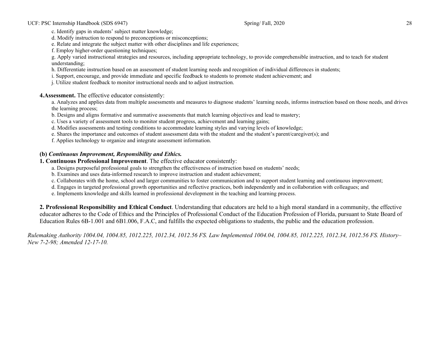c. Identify gaps in students' subject matter knowledge;

d. Modify instruction to respond to preconceptions or misconceptions;

e. Relate and integrate the subject matter with other disciplines and life experiences;

f. Employ higher-order questioning techniques;

g. Apply varied instructional strategies and resources, including appropriate technology, to provide comprehensible instruction, and to teach for student understanding;

h. Differentiate instruction based on an assessment of student learning needs and recognition of individual differences in students;

i. Support, encourage, and provide immediate and specific feedback to students to promote student achievement; and

j. Utilize student feedback to monitor instructional needs and to adjust instruction.

**4.Assessment.** The effective educator consistently:

a. Analyzes and applies data from multiple assessments and measures to diagnose students' learning needs, informs instruction based on those needs, and drives the learning process;

b. Designs and aligns formative and summative assessments that match learning objectives and lead to mastery;

c. Uses a variety of assessment tools to monitor student progress, achievement and learning gains;

d. Modifies assessments and testing conditions to accommodate learning styles and varying levels of knowledge;

e. Shares the importance and outcomes of student assessment data with the student and the student's parent/caregiver(s); and

f. Applies technology to organize and integrate assessment information.

#### **(b)** *Continuous Improvement, Responsibility and Ethics.*

**1. Continuous Professional Improvement**. The effective educator consistently:

a. Designs purposeful professional goals to strengthen the effectiveness of instruction based on students' needs;

b. Examines and uses data-informed research to improve instruction and student achievement;

c. Collaborates with the home, school and larger communities to foster communication and to support student learning and continuous improvement;

d. Engages in targeted professional growth opportunities and reflective practices, both independently and in collaboration with colleagues; and

e. Implements knowledge and skills learned in professional development in the teaching and learning process.

**2. Professional Responsibility and Ethical Conduct**. Understanding that educators are held to a high moral standard in a community, the effective educator adheres to the Code of Ethics and the Principles of Professional Conduct of the Education Profession of Florida, pursuant to State Board of Education Rules 6B-1.001 and 6B1.006, F.A.C, and fulfills the expected obligations to students, the public and the education profession.

*Rulemaking Authority 1004.04, 1004.85, 1012.225, 1012.34, 1012.56 FS. Law Implemented 1004.04, 1004.85, 1012.225, 1012.34, 1012.56 FS. History– New 7-2-98; Amended 12-17-10.*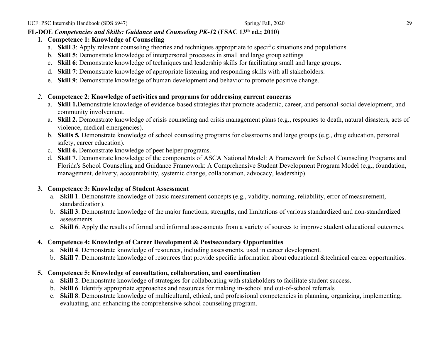#### **FL-DOE** *Competencies and Skills: Guidance and Counseling PK-1***2** (**FSAC 13th ed.; 2010**)

- **1. Competence 1: Knowledge of Counseling** 
	- a. **Skill 3**: Apply relevant counseling theories and techniques appropriate to specific situations and populations.
	- b. **Skill 5**: Demonstrate knowledge of interpersonal processes in small and large group settings
	- c. **Skill 6**: Demonstrate knowledge of techniques and leadership skills for facilitating small and large groups.
	- d. **Skill 7**: Demonstrate knowledge of appropriate listening and responding skills with all stakeholders.
	- e. **Skill 9**: Demonstrate knowledge of human development and behavior to promote positive change.

#### *2.* **Competence 2**: **Knowledge of activities and programs for addressing current concerns**

- a. **Skill 1.**Demonstrate knowledge of evidence-based strategies that promote academic, career, and personal-social development, and community involvement.
- a. **Skill 2.** Demonstrate knowledge of crisis counseling and crisis management plans (e.g., responses to death, natural disasters, acts of violence, medical emergencies).
- b. **Skills 5***.* Demonstrate knowledge of school counseling programs for classrooms and large groups (e.g., drug education, personal safety, career education).
- c. **Skill 6.** Demonstrate knowledge of peer helper programs.
- d. **Skill 7.** Demonstrate knowledge of the components of ASCA National Model: A Framework for School Counseling Programs and Florida's School Counseling and Guidance Framework: A Comprehensive Student Development Program Model (e.g., foundation, management, delivery, accountability, systemic change, collaboration, advocacy, leadership).

#### **3. Competence 3: Knowledge of Student Assessment**

- a. **Skill 1**. Demonstrate knowledge of basic measurement concepts (e.g., validity, norming, reliability, error of measurement, standardization).
- b. **Skill 3**. Demonstrate knowledge of the major functions, strengths, and limitations of various standardized and non-standardized assessments.
- c. **Skill 6**. Apply the results of formal and informal assessments from a variety of sources to improve student educational outcomes.

#### **4. Competence 4: Knowledge of Career Development & Postsecondary Opportunities**

- a. **Skill 4**. Demonstrate knowledge of resources, including assessments, used in career development.
- b. **Skill 7**. Demonstrate knowledge of resources that provide specific information about educational &technical career opportunities.

#### **5. Competence 5: Knowledge of consultation, collaboration, and coordination**

- a. **Skill 2**. Demonstrate knowledge of strategies for collaborating with stakeholders to facilitate student success.
- b. **Skill 6**. Identify appropriate approaches and resources for making in-school and out-of-school referrals
- c. **Skill 8**. Demonstrate knowledge of multicultural, ethical, and professional competencies in planning, organizing, implementing, evaluating, and enhancing the comprehensive school counseling program.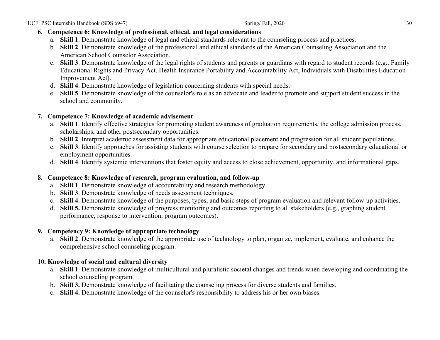#### **6. Competence 6: Knowledge of professional, ethical, and legal considerations**

- a. **Skill 1**. Demonstrate knowledge of legal and ethical standards relevant to the counseling process and practices.
- b. **Skill 2**. Demonstrate knowledge of the professional and ethical standards of the American Counseling Association and the American School Counselor Association.
- c. **Skill 3**. Demonstrate knowledge of the legal rights of students and parents or guardians with regard to student records (e.g., Family Educational Rights and Privacy Act, Health Insurance Portability and Accountability Act, Individuals with Disabilities Education Improvement Act).
- d. **Skill 4**. Demonstrate knowledge of legislation concerning students with special needs.
- e. **Skill 5**. Demonstrate knowledge of the counselor's role as an advocate and leader to promote and support student success in the school and community.

#### **7. Competence 7: Knowledge of academic advisement**

- a. **Skill 1**. Identify effective strategies for promoting student awareness of graduation requirements, the college admission process, scholarships, and other postsecondary opportunities.
- b. **Skill 2**. Interpret academic assessment data for appropriate educational placement and progression for all student populations.
- c. **Skill 3**. Identify approaches for assisting students with course selection to prepare for secondary and postsecondary educational or employment opportunities.
- d. **Skill 4**. Identify systemic interventions that foster equity and access to close achievement, opportunity, and informational gaps.

#### **8. Competence 8: Knowledge of research, program evaluation, and follow-up**

- a. **Skill 1**. Demonstrate knowledge of accountability and research methodology.
- b. **Skill 3**. Demonstrate knowledge of needs assessment techniques.
- c. **Skill 4**. Demonstrate knowledge of the purposes, types, and basic steps of program evaluation and relevant follow-up activities.
- d. **Skill 5.** Demonstrate knowledge of progress monitoring and outcomes reporting to all stakeholders (e.g., graphing student performance, response to intervention, program outcomes).

#### **9. Competency 9: Knowledge of appropriate technology**

a. **Skill 2**. Demonstrate knowledge of the appropriate use of technology to plan, organize, implement, evaluate, and enhance the comprehensive school counseling program.

#### **10. Knowledge of social and cultural diversity**

- a. **Skill 1**. Demonstrate knowledge of multicultural and pluralistic societal changes and trends when developing and coordinating the school counseling program.
- b. **Skill 3.** Demonstrate knowledge of facilitating the counseling process for diverse students and families.
- c. **Skill 4.** Demonstrate knowledge of the counselor's responsibility to address his or her own biases.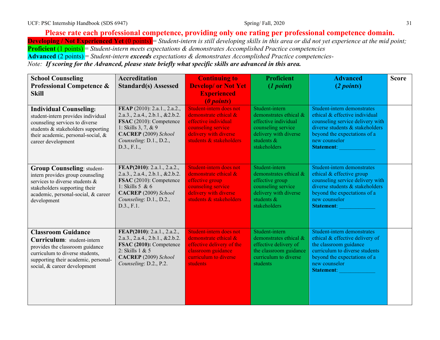#### **Please rate each professional competence, providing only one rating per professional competence domain. Developing / Not Experienced Yet** (0 points) = *Student-intern is still developing skills in this area or did not yet experience at the mid point;*

**Proficient** (1 points) = *Student-intern meets expectations & demonstrates Accomplished Practice competencies*

**Advanced** (2 points) = *Student-intern exceeds expectations & demonstrates Accomplished Practice competencies-*

*Note: If scoring for the Advanced, please state briefly what specific skills are advanced in this area.*

| <b>School Counseling</b>                                                                                                                                                                                | <b>Accreditation</b>                                                                                                                                                                 | <b>Continuing to</b>                                                                                                                                             | <b>Proficient</b>                                                                                                                                | <b>Advanced</b>                                                                                                                                                                                                 | <b>Score</b> |
|---------------------------------------------------------------------------------------------------------------------------------------------------------------------------------------------------------|--------------------------------------------------------------------------------------------------------------------------------------------------------------------------------------|------------------------------------------------------------------------------------------------------------------------------------------------------------------|--------------------------------------------------------------------------------------------------------------------------------------------------|-----------------------------------------------------------------------------------------------------------------------------------------------------------------------------------------------------------------|--------------|
| <b>Professional Competence &amp;</b>                                                                                                                                                                    | <b>Standard(s) Assessed</b>                                                                                                                                                          | <b>Develop/ or Not Yet</b>                                                                                                                                       | (1 point)                                                                                                                                        | (2 points)                                                                                                                                                                                                      |              |
| <b>Skill</b>                                                                                                                                                                                            |                                                                                                                                                                                      | <b>Experienced</b>                                                                                                                                               |                                                                                                                                                  |                                                                                                                                                                                                                 |              |
| <b>Individual Counseling:</b><br>student-intern provides individual<br>counseling services to diverse<br>students & stakeholders supporting<br>their academic, personal-social, &<br>career development | FEAP (2010): 2.a.1., 2.a.2.,<br>2.a.3., 2.a.4., 2.b.1., & 2.b.2.<br>FSAC (2010): Competence<br>1: Skills 3, 7, & 9<br>CACREP (2009) School<br>Counseling: D.1., D.2.,<br>D.3., F.1., | (0 points)<br>Student-intern does not<br>demonstrate ethical &<br>effective individual<br>counseling service<br>delivery with diverse<br>students & stakeholders | Student-intern<br>demonstrates ethical &<br>effective individual<br>counseling service<br>delivery with diverse<br>students $\&$<br>stakeholders | Student-intern demonstrates<br>ethical & effective individual<br>counseling service delivery with<br>diverse students & stakeholders<br>beyond the expectations of a<br>new counselor<br>Statement:             |              |
| <b>Group Counseling: student-</b><br>intern provides group counseling<br>services to diverse students &<br>stakeholders supporting their<br>academic, personal-social, & career<br>development          | FEAP(2010): 2.a.1., 2.a.2.,<br>2.a.3., 2.a.4., 2.b.1., & 2.b.2.<br>FSAC (2010): Competence<br>1: Skills $5 & 6$<br>CACREP (2009) School<br>Counseling: D.1., D.2.,<br>D.3., F.1.     | Student-intern does not<br>demonstrate ethical &<br>effective group<br>counseling service<br>delivery with diverse<br>students & stakeholders                    | Student-intern<br>demonstrates ethical &<br>effective group<br>counseling service<br>delivery with diverse<br>students &<br>stakeholders         | Student-intern demonstrates<br>ethical & effective group<br>counseling service delivery with<br>diverse students & stakeholders<br>beyond the expectations of a<br>new counselor<br><b>Statement:</b>           |              |
| <b>Classroom Guidance</b><br>Curriculum: student-intern<br>provides the classroom guidance<br>curriculum to diverse students,<br>supporting their academic, personal-<br>social, & career development   | FEAP(2010): 2.a.1., 2.a.2.,<br>2.a.3., 2.a.4., 2.b.1., & 2.b.2.<br>FSAC (2010): Competence<br>2: Skills 1 & 5<br>CACREP (2009) School<br>Counseling: D.2., P.2.                      | Student-intern does not<br>demonstrate ethical &<br>effective delivery of the<br>classroom guidance<br>curriculum to diverse<br>students                         | Student-intern<br>demonstrates ethical &<br>effective delivery of<br>the classroom guidance<br>curriculum to diverse<br>students                 | Student-intern demonstrates<br>ethical & effective delivery of<br>the classroom guidance<br>curriculum to diverse students<br>beyond the expectations of a<br>new counselor<br>Statement: Electronic Statement: |              |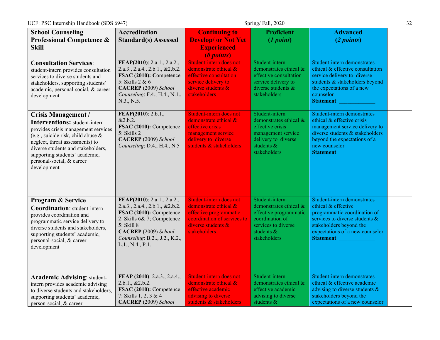| <b>School Counseling</b>                                                                                                                                                                                                                                                                                  | <b>Accreditation</b>                                                                                                                                                                                                | <b>Continuing to</b>                                                                                                                                                    | <b>Proficient</b>                                                                                                                          | <b>Advanced</b>                                                                                                                                                                                         |  |
|-----------------------------------------------------------------------------------------------------------------------------------------------------------------------------------------------------------------------------------------------------------------------------------------------------------|---------------------------------------------------------------------------------------------------------------------------------------------------------------------------------------------------------------------|-------------------------------------------------------------------------------------------------------------------------------------------------------------------------|--------------------------------------------------------------------------------------------------------------------------------------------|---------------------------------------------------------------------------------------------------------------------------------------------------------------------------------------------------------|--|
| <b>Professional Competence &amp;</b>                                                                                                                                                                                                                                                                      | <b>Standard(s) Assessed</b>                                                                                                                                                                                         | <b>Develop/ or Not Yet</b>                                                                                                                                              | (1 point)                                                                                                                                  | (2 points)                                                                                                                                                                                              |  |
| <b>Skill</b>                                                                                                                                                                                                                                                                                              |                                                                                                                                                                                                                     | <b>Experienced</b>                                                                                                                                                      |                                                                                                                                            |                                                                                                                                                                                                         |  |
| <b>Consultation Services:</b><br>student-intern provides consultation<br>services to diverse students and<br>stakeholders, supporting students'<br>academic, personal-social, & career<br>development                                                                                                     | FEAP(2010): 2.a.1., 2.a.2.,<br>2.a.3., 2.a.4., 2.b.1., & 2.b.2.<br>FSAC (2010): Competence<br>5: Skills 2 & 6<br>CACREP (2009) School<br>Counseling: F.4., H.4., N.1.,<br>N.3., N.5.                                | ( <i>l</i> points)<br>Student-intern does not<br>demonstrate ethical &<br>effective consultation<br>service delivery to<br>diverse students $\&$<br><b>stakeholders</b> | Student-intern<br>demonstrates ethical &<br>effective consultation<br>service delivery to<br>diverse students $\&$<br>stakeholders         | Student-intern demonstrates<br>ethical & effective consultation<br>service delivery to diverse<br>students & stakeholders beyond<br>the expectations of a new<br>counselor<br><b>Statement:</b>         |  |
| <b>Crisis Management /</b><br><b>Interventions:</b> student-intern<br>provides crisis management services<br>(e.g., suicide risk, child abuse $\&$<br>neglect, threat assessments) to<br>diverse students and stakeholders,<br>supporting students' academic,<br>personal-social, & career<br>development | FEAP(2010): 2.b.1.,<br>&2.b.2.<br>FSAC (2010): Competence<br>5: Skills 2<br>CACREP (2009) School<br>Counseling: D.4., H.4., N.5                                                                                     | Student-intern does not<br>demonstrate ethical &<br>effective crisis<br>management service<br>delivery to diverse<br>students & stakeholders                            | Student-intern<br>demonstrates ethical &<br>effective crisis<br>management service<br>delivery to diverse<br>students &<br>stakeholders    | Student-intern demonstrates<br>ethical & effective crisis<br>management service delivery to<br>diverse students & stakeholders<br>beyond the expectations of a<br>new counselor<br><b>Statement:</b>    |  |
| <b>Program &amp; Service</b><br><b>Coordination:</b> student-intern<br>provides coordination and<br>programmatic service delivery to<br>diverse students and stakeholders,<br>supporting students' academic,<br>personal-social, & career<br>development                                                  | FEAP(2010): 2.a.1., 2.a.2.,<br>2.a.3., 2.a.4., 2.b.1., & 2.b.2.<br>FSAC (2010): Competence<br>2: Skills 6& 7; Competence<br>5: Skill 8<br>CACREP (2009) School<br>Counseling: B.2., J.2., K.2.,<br>L.1., N.4., P.1. | Student-intern does not<br>demonstrate ethical &<br>effective programmatic<br>coordination of services to<br>diverse students $\&$<br><b>stakeholders</b>               | Student-intern<br>demonstrates ethical &<br>effective programmatic<br>coordination of<br>services to diverse<br>students &<br>stakeholders | Student-intern demonstrates<br>ethical & effective<br>programmatic coordination of<br>services to diverse students &<br>stakeholders beyond the<br>expectations of a new counselor<br><b>Statement:</b> |  |
| <b>Academic Advising: student-</b><br>intern provides academic advising<br>to diverse students and stakeholders,<br>supporting students' academic,<br>person-social, & career                                                                                                                             | FEAP (2010): 2.a.3., 2.a.4.,<br>2.b.1., & 2.b.2.<br>FSAC (2010): Competence<br>7: Skills 1, 2, 3 & 4<br>CACREP (2009) School                                                                                        | Student-intern does not<br>demonstrate ethical &<br>effective academic<br>advising to diverse<br>students & stakeholders                                                | Student-intern<br>demonstrates ethical &<br>effective academic<br>advising to diverse<br>students &                                        | Student-intern demonstrates<br>ethical & effective academic<br>advising to diverse students $\&$<br>stakeholders beyond the<br>expectations of a new counselor                                          |  |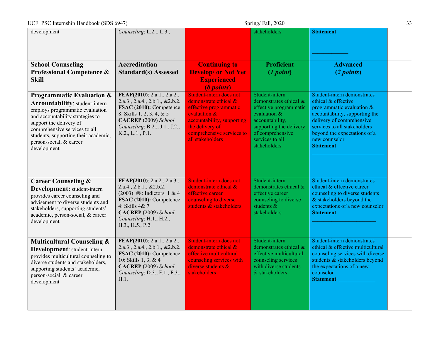| UCF: PSC Internship Handbook (SDS 6947)                                                                                                                                                                                                                                                            |                                                                                                                                                                                                               |                                                                                                                                                                                              | Spring/Fall, 2020                                                                                                                                                                          |                                                                                                                                                                                                                                                      | 33 |
|----------------------------------------------------------------------------------------------------------------------------------------------------------------------------------------------------------------------------------------------------------------------------------------------------|---------------------------------------------------------------------------------------------------------------------------------------------------------------------------------------------------------------|----------------------------------------------------------------------------------------------------------------------------------------------------------------------------------------------|--------------------------------------------------------------------------------------------------------------------------------------------------------------------------------------------|------------------------------------------------------------------------------------------------------------------------------------------------------------------------------------------------------------------------------------------------------|----|
| development                                                                                                                                                                                                                                                                                        | Counseling: L.2., L.3.,                                                                                                                                                                                       |                                                                                                                                                                                              | stakeholders                                                                                                                                                                               | <b>Statement:</b>                                                                                                                                                                                                                                    |    |
| <b>School Counseling</b><br><b>Professional Competence &amp;</b><br><b>Skill</b>                                                                                                                                                                                                                   | <b>Accreditation</b><br><b>Standard(s) Assessed</b>                                                                                                                                                           | <b>Continuing to</b><br><b>Develop/ or Not Yet</b><br><b>Experienced</b><br>(0 points)                                                                                                       | <b>Proficient</b><br>(1 point)                                                                                                                                                             | <b>Advanced</b><br>(2 points)                                                                                                                                                                                                                        |    |
| <b>Programmatic Evaluation &amp;</b><br><b>Accountability:</b> student-intern<br>employs programmatic evaluation<br>and accountability strategies to<br>support the delivery of<br>comprehensive services to all<br>students, supporting their academic,<br>person-social, & career<br>development | FEAP(2010): 2.a.1., 2.a.2.,<br>2.a.3., 2.a.4., 2.b.1., & 2.b.2.<br>FSAC (2010): Competence<br>8: Skills 1, 2, 3, 4, & 5<br>CACREP (2009) School<br>Counseling: B.2, J.1., J.2.,<br>K.2., L.1., P.1.           | Student-intern does not<br>demonstrate ethical &<br>effective programmatic<br>evaluation &<br>accountability, supporting<br>the delivery of<br>comprehensive services to<br>all stakeholders | Student-intern<br>demonstrates ethical &<br>effective programmatic<br>evaluation $\&$<br>accountability,<br>supporting the delivery<br>of comprehensive<br>services to all<br>stakeholders | Student-intern demonstrates<br>ethical & effective<br>programmatic evaluation &<br>accountability, supporting the<br>delivery of comprehensive<br>services to all stakeholders<br>beyond the expectations of a<br>new counselor<br><b>Statement:</b> |    |
| <b>Career Counseling &amp;</b><br>Development: student-intern<br>provides career counseling and<br>advisement to diverse students and<br>stakeholders, supporting students'<br>academic, person-social, & career<br>development                                                                    | FEAP(2010): 2.a.2., 2.a.3.,<br>2.a.4., 2.b.1., & 2.b.2.<br>$(2003)$ : #8: Indictors 1 & 4<br>FSAC (2010): Competence<br>4: Skills 4& 7<br>CACREP (2009) School<br>Counseling: H.1., H.2.,<br>H.3., H.5., P.2. | Student-intern does not<br>demonstrate ethical &<br>effective career<br>counseling to diverse<br>students & stakeholders                                                                     | Student-intern<br>demonstrates ethical &<br>effective career<br>counseling to diverse<br>students $\&$<br>stakeholders                                                                     | Student-intern demonstrates<br>ethical & effective career<br>counseling to diverse students<br>& stakeholders beyond the<br>expectations of a new counselor<br><b>Statement:</b>                                                                     |    |
| <b>Multicultural Counseling &amp;</b><br>Development: student-intern<br>provides multicultural counseling to<br>diverse students and stakeholders,<br>supporting students' academic,<br>person-social, & career<br>development                                                                     | FEAP(2010): 2.a.1., 2.a.2.,<br>2.a.3., 2.a.4., 2.b.1., & 2.b.2.<br>FSAC (2010): Competence<br>10: Skills 1, 3, & 4<br>CACREP (2009) School<br>Counseling: D.3., F.1., F.3.,<br>H.1.                           | Student-intern does not<br>demonstrate ethical &<br>effective multicultural<br>counseling services with<br>diverse students $\&$<br>stakeholders                                             | Student-intern<br>demonstrates ethical &<br>effective multicultural<br>counseling services<br>with diverse students<br>& stakeholders                                                      | Student-intern demonstrates<br>ethical & effective multicultural<br>counseling services with diverse<br>students & stakeholders beyond<br>the expectations of a new<br>counselor<br><b>Statement:</b>                                                |    |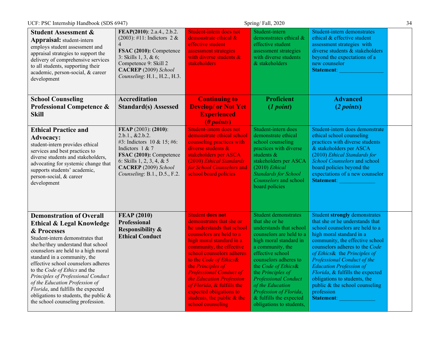|                                                                                                                                                                                                                                                                             |                                                                                                                                                                                                                      |                                                                                                                                                                                                                     | Student-intern                                                                                                                                                                                                                 | Student-intern demonstrates                                                                                                                                                                                                                                                     |  |
|-----------------------------------------------------------------------------------------------------------------------------------------------------------------------------------------------------------------------------------------------------------------------------|----------------------------------------------------------------------------------------------------------------------------------------------------------------------------------------------------------------------|---------------------------------------------------------------------------------------------------------------------------------------------------------------------------------------------------------------------|--------------------------------------------------------------------------------------------------------------------------------------------------------------------------------------------------------------------------------|---------------------------------------------------------------------------------------------------------------------------------------------------------------------------------------------------------------------------------------------------------------------------------|--|
| <b>Student Assessment &amp;</b><br><b>Appraisal:</b> student-intern<br>employs student assessment and<br>appraisal strategies to support the<br>delivery of comprehensive services<br>to all students, supporting their<br>academic, person-social, & career<br>development | FEAP(2010): 2.a.4., 2.b.2.<br>$(2003)$ : #11: Indictors 2 &<br>$\overline{4}$<br>FSAC (2010): Competence<br>3: Skills $1, 3, \& 6;$<br>Competence 9: Skill 2<br>CACREP (2009) School<br>Counseling: H.1., H.2., H.3. | Student-intern does not<br>demonstrate ethical &<br>effective student<br>assessment strategies<br>with diverse students &<br><b>stakeholders</b>                                                                    | demonstrates ethical &<br>effective student<br>assessment strategies<br>with diverse students<br>& stakeholders                                                                                                                | ethical & effective student<br>assessment strategies with<br>diverse students & stakeholders<br>beyond the expectations of a<br>new counselor<br><b>Statement:</b>                                                                                                              |  |
| <b>School Counseling</b>                                                                                                                                                                                                                                                    | <b>Accreditation</b>                                                                                                                                                                                                 | <b>Continuing to</b>                                                                                                                                                                                                | <b>Proficient</b>                                                                                                                                                                                                              | <b>Advanced</b>                                                                                                                                                                                                                                                                 |  |
| <b>Professional Competence &amp;</b>                                                                                                                                                                                                                                        | <b>Standard(s) Assessed</b>                                                                                                                                                                                          | <b>Develop/ or Not Yet</b>                                                                                                                                                                                          | (1 point)                                                                                                                                                                                                                      | (2 points)                                                                                                                                                                                                                                                                      |  |
| <b>Skill</b>                                                                                                                                                                                                                                                                |                                                                                                                                                                                                                      | <b>Experienced</b>                                                                                                                                                                                                  |                                                                                                                                                                                                                                |                                                                                                                                                                                                                                                                                 |  |
|                                                                                                                                                                                                                                                                             |                                                                                                                                                                                                                      | (0 points)                                                                                                                                                                                                          |                                                                                                                                                                                                                                |                                                                                                                                                                                                                                                                                 |  |
| <b>Ethical Practice and</b><br><b>Advocacy:</b><br>student-intern provides ethical<br>services and best practices to<br>diverse students and stakeholders,<br>advocating for systemic change that<br>supports students' academic,<br>person-social, & career<br>development | FEAP (2003): (2010):<br>2.b.1., & 2.b.2.<br>#3: Indictors 10 & 15; #6:<br>Indictors 1 & 7<br>FSAC (2010): Competence<br>6: Skills 1, 2, 3, 4, & 5<br>CACREP (2009) School<br>Counseling: B.1., D.5., F.2.            | Student-intern does not<br>demonstrate ethical school<br>counseling practices with<br>diverse students &<br>stakeholders per ASCA<br>(2010) Ethical Standards<br>for School Counselors and<br>school board policies | Student-intern does<br>demonstrate ethical<br>school counseling<br>practices with diverse<br>students &<br>stakeholders per ASCA<br>$(2010)$ Ethical<br><b>Standards for School</b><br>Counselors and school<br>board policies | Student-intern does demonstrate<br>ethical school counseling<br>practices with diverse students<br>& stakeholders per ASCA<br>(2010) Ethical Standards for<br>School Counselors and school<br>board policies beyond the<br>expectations of a new counselor<br><b>Statement:</b> |  |
| <b>Demonstration of Overall</b>                                                                                                                                                                                                                                             | <b>FEAP (2010)</b>                                                                                                                                                                                                   | <b>Student does not</b>                                                                                                                                                                                             | <b>Student demonstrates</b>                                                                                                                                                                                                    | <b>Student strongly demonstrates</b>                                                                                                                                                                                                                                            |  |
| <b>Ethical &amp; Legal Knowledge</b>                                                                                                                                                                                                                                        | <b>Professional</b>                                                                                                                                                                                                  | demonstrates that she or                                                                                                                                                                                            | that she or he                                                                                                                                                                                                                 | that she or he understands that                                                                                                                                                                                                                                                 |  |
| & Processes                                                                                                                                                                                                                                                                 | <b>Responsibility &amp;</b>                                                                                                                                                                                          | he understands that school                                                                                                                                                                                          | understands that school                                                                                                                                                                                                        | school counselors are held to a                                                                                                                                                                                                                                                 |  |
| Student-intern demonstrates that                                                                                                                                                                                                                                            | <b>Ethical Conduct</b>                                                                                                                                                                                               | counselors are held to a                                                                                                                                                                                            | counselors are held to a                                                                                                                                                                                                       | high moral standard in a                                                                                                                                                                                                                                                        |  |
| she/he/they understand that school                                                                                                                                                                                                                                          |                                                                                                                                                                                                                      | high moral standard in a<br>community, the effective                                                                                                                                                                | high moral standard in<br>a community, the                                                                                                                                                                                     | community, the effective school<br>counselors adheres to the Code                                                                                                                                                                                                               |  |
| counselors are held to a high moral                                                                                                                                                                                                                                         |                                                                                                                                                                                                                      | school counselors adheres                                                                                                                                                                                           | effective school                                                                                                                                                                                                               | of Ethics& the Principles of                                                                                                                                                                                                                                                    |  |
| standard in a community, the<br>effective school counselors adheres                                                                                                                                                                                                         |                                                                                                                                                                                                                      | to the Code of Ethics&                                                                                                                                                                                              | counselors adheres to                                                                                                                                                                                                          | <b>Professional Conduct of the</b>                                                                                                                                                                                                                                              |  |
| to the Code of Ethics and the                                                                                                                                                                                                                                               |                                                                                                                                                                                                                      | the Principles of                                                                                                                                                                                                   | the Code of Ethics&                                                                                                                                                                                                            | <b>Education Profession of</b>                                                                                                                                                                                                                                                  |  |
| Principles of Professional Conduct                                                                                                                                                                                                                                          |                                                                                                                                                                                                                      | <b>Professional Conduct of</b><br>the Education Profession                                                                                                                                                          | the Principles of<br><b>Professional Conduct</b>                                                                                                                                                                               | Florida, & fulfills the expected<br>obligations to students, the                                                                                                                                                                                                                |  |
| of the Education Profession of                                                                                                                                                                                                                                              |                                                                                                                                                                                                                      | of Florida, & fulfills the                                                                                                                                                                                          | of the Education                                                                                                                                                                                                               | public $&$ the school counseling                                                                                                                                                                                                                                                |  |
| Florida, and fulfills the expected                                                                                                                                                                                                                                          |                                                                                                                                                                                                                      | expected obligations to                                                                                                                                                                                             | Profession of Florida,                                                                                                                                                                                                         | profession                                                                                                                                                                                                                                                                      |  |
| obligations to students, the public $\&$<br>the school counseling profession.                                                                                                                                                                                               |                                                                                                                                                                                                                      | students, the public $\&$ the                                                                                                                                                                                       | & fulfills the expected                                                                                                                                                                                                        | <b>Statement:</b>                                                                                                                                                                                                                                                               |  |
|                                                                                                                                                                                                                                                                             |                                                                                                                                                                                                                      | school counseling                                                                                                                                                                                                   | obligations to students,                                                                                                                                                                                                       |                                                                                                                                                                                                                                                                                 |  |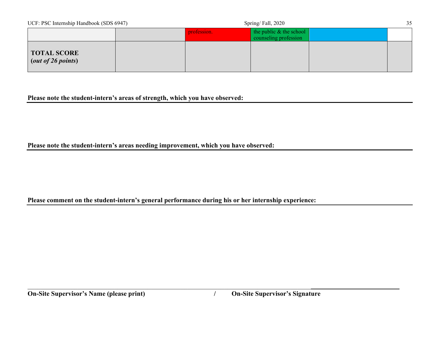| UCF: PSC Internship Handbook (SDS 6947)  |  | Spring/Fall, 2020 |                                                    |  | 35 |
|------------------------------------------|--|-------------------|----------------------------------------------------|--|----|
|                                          |  | profession.       | the public $&$ the school<br>counseling profession |  |    |
| <b>TOTAL SCORE</b><br>(out of 26 points) |  |                   |                                                    |  |    |

#### **Please note the student-intern's areas of strength, which you have observed:**

**Please note the student-intern's areas needing improvement, which you have observed:**

### **Please comment on the student-intern's general performance during his or her internship experience:**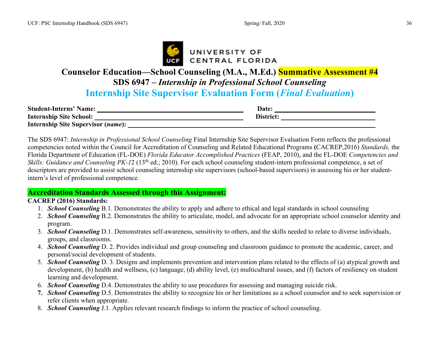

# **Counselor Education—School Counseling (M.A., M.Ed.) Summative Assessment #4 SDS 6947 –** *Internship in Professional School Counseling* **Internship Site Supervisor Evaluation Form (***Final Evaluation***)**

| <b>Student-Interns' Name:</b>             | <b>Date:</b> |  |
|-------------------------------------------|--------------|--|
| <b>Internship Site School:</b>            | District:    |  |
| <b>Internship Site Supervisor (name):</b> |              |  |

The SDS 6947: *Internship in Professional School Counseling* Final Internship Site Supervisor Evaluation Form reflects the professional competencies noted within the Council for Accreditation of Counseling and Related Educational Programs **(**CACREP,2016) *Standards,* the Florida Department of Education (FL-DOE) *Florida Educator Accomplished Practices* (FEAP, 2010), and the FL-DOE *Competencies and Skills: Guidance and Counseling PK-12* (13<sup>th</sup> ed.; 2010). For each school counseling student-intern professional competence, a set of descriptors are provided to assist school counseling internship site supervisors (school-based supervisors) in assessing his or her studentintern's level of professional competence.

#### **Accreditation Standards Assessed through this Assignment:**

#### **CACREP (2016) Standards:**

- 1. *School Counseling* B.1. Demonstrates the ability to apply and adhere to ethical and legal standards in school counseling
- 2. *School Counseling* B.2. Demonstrates the ability to articulate, model, and advocate for an appropriate school counselor identity and program.
- 3. *School Counseling* D.1. Demonstrates self-awareness, sensitivity to others, and the skills needed to relate to diverse individuals, groups, and classrooms.
- 4. *School Counseling* D. 2. Provides individual and group counseling and classroom guidance to promote the academic, career, and personal/social development of students.
- 5. *School Counseling* D. 3. Designs and implements prevention and intervention plans related to the effects of (a) atypical growth and development, (b) health and wellness, (c) language, (d) ability level, (e) multicultural issues, and (f) factors of resiliency on student learning and development.
- 6. *School Counseling* D.4. Demonstrates the ability to use procedures for assessing and managing suicide risk.
- **7.** *School Counseling* D.5. Demonstrates the ability to recognize his or her limitations as a school counselor and to seek supervision or refer clients when appropriate.
- 8. *School Counseling* J.1. Applies relevant research findings to inform the practice of school counseling.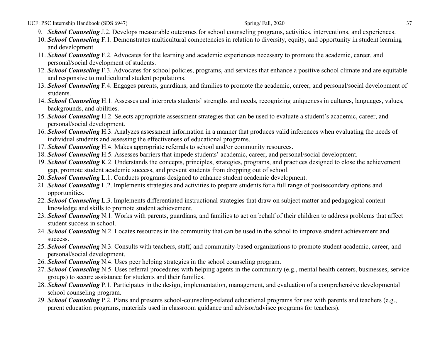UCF: PSC Internship Handbook (SDS 6947) 37

- 9. *School Counseling* J.2. Develops measurable outcomes for school counseling programs, activities, interventions, and experiences.
- 10. *School Counseling* F.1. Demonstrates multicultural competencies in relation to diversity, equity, and opportunity in student learning and development.
- 11. *School Counseling* F.2. Advocates for the learning and academic experiences necessary to promote the academic, career, and personal/social development of students.
- 12. *School Counseling* F.3. Advocates for school policies, programs, and services that enhance a positive school climate and are equitable and responsive to multicultural student populations.
- 13. *School Counseling* F.4. Engages parents, guardians, and families to promote the academic, career, and personal/social development of students.
- 14. *School Counseling* H.1. Assesses and interprets students' strengths and needs, recognizing uniqueness in cultures, languages, values, backgrounds, and abilities.
- 15. *School Counseling* H.2. Selects appropriate assessment strategies that can be used to evaluate a student's academic, career, and personal/social development.
- 16. *School Counseling* H.3. Analyzes assessment information in a manner that produces valid inferences when evaluating the needs of individual students and assessing the effectiveness of educational programs.
- 17. *School Counseling* H.4. Makes appropriate referrals to school and/or community resources.
- 18. *School Counseling* H.5. Assesses barriers that impede students' academic, career, and personal/social development.
- 19. *School Counseling* K.2. Understands the concepts, principles, strategies, programs, and practices designed to close the achievement gap, promote student academic success, and prevent students from dropping out of school.
- 20. *School Counseling* L.1. Conducts programs designed to enhance student academic development.
- 21. *School Counseling* L.2. Implements strategies and activities to prepare students for a full range of postsecondary options and opportunities.
- 22. *School Counseling* L.3. Implements differentiated instructional strategies that draw on subject matter and pedagogical content knowledge and skills to promote student achievement.
- 23. *School Counseling* N.1. Works with parents, guardians, and families to act on behalf of their children to address problems that affect student success in school.
- 24. *School Counseling* N.2. Locates resources in the community that can be used in the school to improve student achievement and success.
- 25. *School Counseling* N.3. Consults with teachers, staff, and community-based organizations to promote student academic, career, and personal/social development.
- 26. *School Counseling* N.4. Uses peer helping strategies in the school counseling program.
- 27. *School Counseling* N.5. Uses referral procedures with helping agents in the community (e.g., mental health centers, businesses, service groups) to secure assistance for students and their families.
- 28. *School Counseling* P.1. Participates in the design, implementation, management, and evaluation of a comprehensive developmental school counseling program.
- 29. *School Counseling* P.2. Plans and presents school-counseling-related educational programs for use with parents and teachers (e.g., parent education programs, materials used in classroom guidance and advisor/advisee programs for teachers).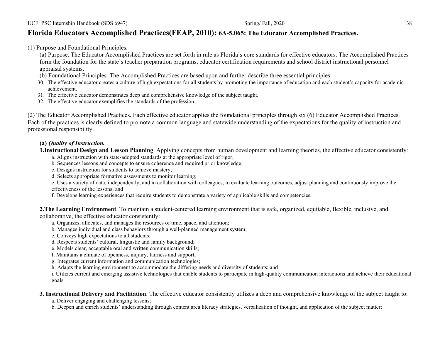#### **Florida Educators Accomplished Practices(FEAP, 2010): 6A-5.065: The Educator Accomplished Practices.**

(1) Purpose and Foundational Principles.

(a) Purpose. The Educator Accomplished Practices are set forth in rule as Florida's core standards for effective educators. The Accomplished Practices form the foundation for the state's teacher preparation programs, educator certification requirements and school district instructional personnel appraisal systems.

- (b) Foundational Principles. The Accomplished Practices are based upon and further describe three essential principles:
- 30. The effective educator creates a culture of high expectations for all students by promoting the importance of education and each student's capacity for academic achievement.
- 31. The effective educator demonstrates deep and comprehensive knowledge of the subject taught.
- 32. The effective educator exemplifies the standards of the profession.

(2) The Educator Accomplished Practices. Each effective educator applies the foundational principles through six (6) Educator Accomplished Practices. Each of the practices is clearly defined to promote a common language and statewide understanding of the expectations for the quality of instruction and professional responsibility.

#### **(a)** *Quality of Instruction.*

**1.Instructional Design and Lesson Planning**. Applying concepts from human development and learning theories, the effective educator consistently:

- a. Aligns instruction with state-adopted standards at the appropriate level of rigor;
- b. Sequences lessons and concepts to ensure coherence and required prior knowledge.
- c. Designs instruction for students to achieve mastery;
- d. Selects appropriate formative assessments to monitor learning;

e. Uses a variety of data, independently, and in collaboration with colleagues, to evaluate learning outcomes, adjust planning and continuously improve the effectiveness of the lessons; and

f. Develops learning experiences that require students to demonstrate a variety of applicable skills and competencies.

**2.The Learning Environment**. To maintain a student-centered learning environment that is safe, organized, equitable, flexible, inclusive, and collaborative, the effective educator consistently:

- a. Organizes, allocates, and manages the resources of time, space, and attention;
- b. Manages individual and class behaviors through a well-planned management system;
- c. Conveys high expectations to all students;
- d. Respects students' cultural, linguistic and family background;
- e. Models clear, acceptable oral and written communication skills;
- f. Maintains a climate of openness, inquiry, fairness and support;
- g. Integrates current information and communication technologies;
- h. Adapts the learning environment to accommodate the differing needs and diversity of students; and

i. Utilizes current and emerging assistive technologies that enable students to participate in high-quality communication interactions and achieve their educational goals.

#### **3. Instructional Delivery and Facilitation**. The effective educator consistently utilizes a deep and comprehensive knowledge of the subject taught to:

a. Deliver engaging and challenging lessons;

b. Deepen and enrich students' understanding through content area literacy strategies, verbalization of thought, and application of the subject matter;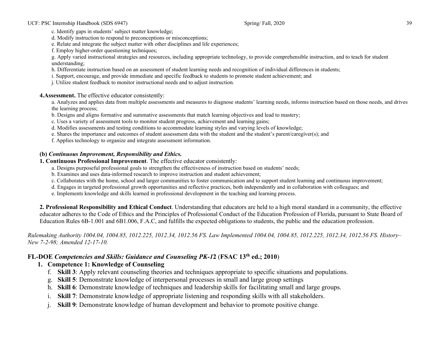c. Identify gaps in students' subject matter knowledge;

d. Modify instruction to respond to preconceptions or misconceptions;

e. Relate and integrate the subject matter with other disciplines and life experiences;

f. Employ higher-order questioning techniques;

g. Apply varied instructional strategies and resources, including appropriate technology, to provide comprehensible instruction, and to teach for student understanding;

h. Differentiate instruction based on an assessment of student learning needs and recognition of individual differences in students;

i. Support, encourage, and provide immediate and specific feedback to students to promote student achievement; and

j. Utilize student feedback to monitor instructional needs and to adjust instruction.

**4.Assessment.** The effective educator consistently:

a. Analyzes and applies data from multiple assessments and measures to diagnose students' learning needs, informs instruction based on those needs, and drives the learning process;

b. Designs and aligns formative and summative assessments that match learning objectives and lead to mastery;

c. Uses a variety of assessment tools to monitor student progress, achievement and learning gains;

d. Modifies assessments and testing conditions to accommodate learning styles and varying levels of knowledge;

e. Shares the importance and outcomes of student assessment data with the student and the student's parent/caregiver(s); and

f. Applies technology to organize and integrate assessment information.

#### **(b)** *Continuous Improvement, Responsibility and Ethics.*

**1. Continuous Professional Improvement**. The effective educator consistently:

a. Designs purposeful professional goals to strengthen the effectiveness of instruction based on students' needs;

b. Examines and uses data-informed research to improve instruction and student achievement;

c. Collaborates with the home, school and larger communities to foster communication and to support student learning and continuous improvement;

d. Engages in targeted professional growth opportunities and reflective practices, both independently and in collaboration with colleagues; and

e. Implements knowledge and skills learned in professional development in the teaching and learning process.

**2. Professional Responsibility and Ethical Conduct**. Understanding that educators are held to a high moral standard in a community, the effective educator adheres to the Code of Ethics and the Principles of Professional Conduct of the Education Profession of Florida, pursuant to State Board of Education Rules 6B-1.001 and 6B1.006, F.A.C, and fulfills the expected obligations to students, the public and the education profession.

*Rulemaking Authority 1004.04, 1004.85, 1012.225, 1012.34, 1012.56 FS. Law Implemented 1004.04, 1004.85, 1012.225, 1012.34, 1012.56 FS. History– New 7-2-98; Amended 12-17-10.* 

#### **FL-DOE** *Competencies and Skills: Guidance and Counseling PK-1***2** (**FSAC 13th ed.; 2010**)

#### **1. Competence 1: Knowledge of Counseling**

- f. **Skill 3**: Apply relevant counseling theories and techniques appropriate to specific situations and populations.
- g. **Skill 5**: Demonstrate knowledge of interpersonal processes in small and large group settings
- h. **Skill 6**: Demonstrate knowledge of techniques and leadership skills for facilitating small and large groups.
- i. **Skill 7**: Demonstrate knowledge of appropriate listening and responding skills with all stakeholders.
- **Skill 9**: Demonstrate knowledge of human development and behavior to promote positive change.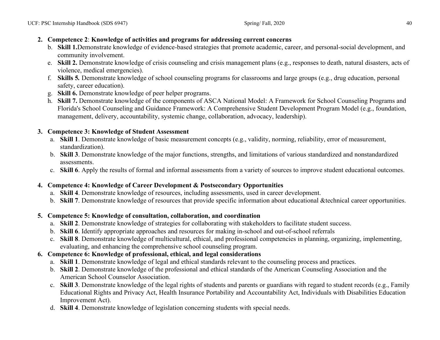#### **2. Competence 2**: **Knowledge of activities and programs for addressing current concerns**

- b. **Skill 1.**Demonstrate knowledge of evidence-based strategies that promote academic, career, and personal-social development, and community involvement.
- e. **Skill 2.** Demonstrate knowledge of crisis counseling and crisis management plans (e.g., responses to death, natural disasters, acts of violence, medical emergencies).
- f. **Skills 5***.* Demonstrate knowledge of school counseling programs for classrooms and large groups (e.g., drug education, personal safety, career education).
- g. **Skill 6.** Demonstrate knowledge of peer helper programs.
- h. **Skill 7.** Demonstrate knowledge of the components of ASCA National Model: A Framework for School Counseling Programs and Florida's School Counseling and Guidance Framework: A Comprehensive Student Development Program Model (e.g., foundation, management, delivery, accountability, systemic change, collaboration, advocacy, leadership).

#### **3. Competence 3: Knowledge of Student Assessment**

- a. **Skill 1**. Demonstrate knowledge of basic measurement concepts (e.g., validity, norming, reliability, error of measurement, standardization).
- b. **Skill 3**. Demonstrate knowledge of the major functions, strengths, and limitations of various standardized and nonstandardized assessments.
- c. **Skill 6**. Apply the results of formal and informal assessments from a variety of sources to improve student educational outcomes.

### **4. Competence 4: Knowledge of Career Development & Postsecondary Opportunities**

- a. **Skill 4**. Demonstrate knowledge of resources, including assessments, used in career development.
- b. **Skill 7**. Demonstrate knowledge of resources that provide specific information about educational &technical career opportunities.

#### **5. Competence 5: Knowledge of consultation, collaboration, and coordination**

- a. **Skill 2**. Demonstrate knowledge of strategies for collaborating with stakeholders to facilitate student success.
- b. **Skill 6**. Identify appropriate approaches and resources for making in-school and out-of-school referrals
- c. **Skill 8**. Demonstrate knowledge of multicultural, ethical, and professional competencies in planning, organizing, implementing, evaluating, and enhancing the comprehensive school counseling program.

### **6. Competence 6: Knowledge of professional, ethical, and legal considerations**

- a. **Skill 1**. Demonstrate knowledge of legal and ethical standards relevant to the counseling process and practices.
- b. **Skill 2**. Demonstrate knowledge of the professional and ethical standards of the American Counseling Association and the American School Counselor Association.
- c. **Skill 3**. Demonstrate knowledge of the legal rights of students and parents or guardians with regard to student records (e.g., Family Educational Rights and Privacy Act, Health Insurance Portability and Accountability Act, Individuals with Disabilities Education Improvement Act).
- d. **Skill 4**. Demonstrate knowledge of legislation concerning students with special needs.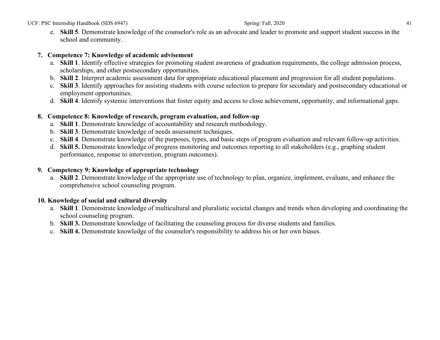e. **Skill 5**. Demonstrate knowledge of the counselor's role as an advocate and leader to promote and support student success in the school and community.

#### **7. Competence 7: Knowledge of academic advisement**

- a. **Skill 1**. Identify effective strategies for promoting student awareness of graduation requirements, the college admission process, scholarships, and other postsecondary opportunities.
- b. **Skill 2**. Interpret academic assessment data for appropriate educational placement and progression for all student populations.
- c. **Skill 3**. Identify approaches for assisting students with course selection to prepare for secondary and postsecondary educational or employment opportunities.
- d. **Skill 4**. Identify systemic interventions that foster equity and access to close achievement, opportunity, and informational gaps.

#### **8. Competence 8: Knowledge of research, program evaluation, and follow-up**

- a. **Skill 1**. Demonstrate knowledge of accountability and research methodology.
- b. **Skill 3**. Demonstrate knowledge of needs assessment techniques.
- c. **Skill 4**. Demonstrate knowledge of the purposes, types, and basic steps of program evaluation and relevant follow-up activities.
- d. **Skill 5.** Demonstrate knowledge of progress monitoring and outcomes reporting to all stakeholders (e.g., graphing student performance, response to intervention, program outcomes).

#### **9. Competency 9: Knowledge of appropriate technology**

a. **Skill 2**. Demonstrate knowledge of the appropriate use of technology to plan, organize, implement, evaluate, and enhance the comprehensive school counseling program.

#### **10. Knowledge of social and cultural diversity**

- a. **Skill 1**. Demonstrate knowledge of multicultural and pluralistic societal changes and trends when developing and coordinating the school counseling program.
- b. **Skill 3.** Demonstrate knowledge of facilitating the counseling process for diverse students and families.
- c. **Skill 4.** Demonstrate knowledge of the counselor's responsibility to address his or her own biases.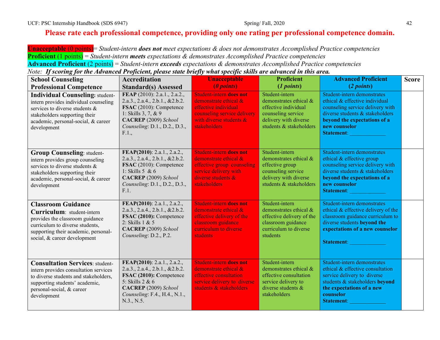## **Please rate each professional competence, providing only one rating per professional competence domain.**

**Unacceptable** (0 points)= *Student-intern does not meet expectations & does not demonstrates Accomplished Practice competencies* **Proficient** (1 points) = *Student-intern meets expectations & demonstrates Accomplished Practice competencies* **Advanced Proficient** (2 points) = *Student-intern exceeds expectations & demonstrates Accomplished Practice competencies*

*Note: If scoring for the Advanced Proficient, please state briefly what specific skills are advanced in this area.*

| <b>School Counseling</b><br><b>Professional Competence</b>                                                                                                                                               | <b>Accreditation</b><br><b>Standard(s) Assessed</b>                                                                                                                                  | <b>Unacceptable</b><br>(0 points)                                                                                                                                   | <b>Proficient</b><br>(1 points)                                                                                                            | <b>Advanced Proficient</b><br>(2 points)                                                                                                                                                                   | <b>Score</b> |
|----------------------------------------------------------------------------------------------------------------------------------------------------------------------------------------------------------|--------------------------------------------------------------------------------------------------------------------------------------------------------------------------------------|---------------------------------------------------------------------------------------------------------------------------------------------------------------------|--------------------------------------------------------------------------------------------------------------------------------------------|------------------------------------------------------------------------------------------------------------------------------------------------------------------------------------------------------------|--------------|
| <b>Individual Counseling: student-</b><br>intern provides individual counseling<br>services to diverse students &<br>stakeholders supporting their<br>academic, personal-social, & career<br>development | FEAP (2010): 2.a.1., 2.a.2.,<br>2.a.3., 2.a.4., 2.b.1., & 2.b.2.<br>FSAC (2010): Competence<br>1: Skills 3, 7, & 9<br>CACREP (2009) School<br>Counseling: D.1., D.2., D.3.,<br>F.1., | <b>Student-intern does not</b><br>demonstrate ethical &<br>effective individual<br>counseling service delivery<br>with diverse students $\&$<br><b>stakeholders</b> | Student-intern<br>demonstrates ethical &<br>effective individual<br>counseling service<br>delivery with diverse<br>students & stakeholders | Student-intern demonstrates<br>ethical & effective individual<br>counseling service delivery with<br>diverse students & stakeholders<br>beyond the expectations of a<br>new counselor<br><b>Statement:</b> |              |
| <b>Group Counseling: student-</b><br>intern provides group counseling<br>services to diverse students &<br>stakeholders supporting their<br>academic, personal-social, & career<br>development           | FEAP(2010): 2.a.1., 2.a.2.,<br>2.a.3., 2.a.4., 2.b.1., & 2.b.2.<br>FSAC (2010): Competence<br>1: Skills $5 & 6$<br>CACREP (2009) School<br>Counseling: D.1., D.2., D.3.,<br>F.1.     | <b>Student-intern does not</b><br>demonstrate ethical &<br>effective group counseling<br>service delivery with<br>diverse students $\&$<br><b>stakeholders</b>      | Student-intern<br>demonstrates ethical &<br>effective group<br>counseling service<br>delivery with diverse<br>students & stakeholders      | Student-intern demonstrates<br>ethical & effective group<br>counseling service delivery with<br>diverse students & stakeholders<br>beyond the expectations of a<br>new counselor<br><b>Statement:</b>      |              |
| <b>Classroom Guidance</b><br>Curriculum: student-intern<br>provides the classroom guidance<br>curriculum to diverse students,<br>supporting their academic, personal-<br>social, & career development    | FEAP(2010): 2.a.1., 2.a.2.,<br>2.a.3., 2.a.4., 2.b.1., & 2.b.2.<br>FSAC (2010): Competence<br>2: Skills $1 & 5$<br>CACREP (2009) School<br>Counseling: D.2., P.2.                    | <b>Student-intern does not</b><br>demonstrate ethical &<br>effective delivery of the<br>classroom guidance<br>curriculum to diverse<br>students                     | Student-intern<br>demonstrates ethical &<br>effective delivery of the<br>classroom guidance<br>curriculum to diverse<br>students           | Student-intern demonstrates<br>ethical & effective delivery of the<br>classroom guidance curriculum to<br>diverse students beyond the<br>expectations of a new counselor<br><b>Statement:</b>              |              |
| <b>Consultation Services: student-</b><br>intern provides consultation services<br>to diverse students and stakeholders,<br>supporting students' academic,<br>personal-social, & career<br>development   | FEAP(2010): 2.a.1., 2.a.2.,<br>2.a.3., 2.a.4., 2.b.1., & 2.b.2.<br>FSAC (2010): Competence<br>5: Skills 2 & 6<br>CACREP (2009) School<br>Counseling: F.4., H.4., N.1.,<br>N.3., N.5. | <b>Student-intern does not</b><br>demonstrate ethical &<br>effective consultation<br>service delivery to diverse<br>students & stakeholders                         | Student-intern<br>demonstrates ethical &<br>effective consultation<br>service delivery to<br>diverse students $\&$<br>stakeholders         | Student-intern demonstrates<br>ethical & effective consultation<br>service delivery to diverse<br>students & stakeholders beyond<br>the expectations of a new<br>counselor<br><b>Statement:</b>            |              |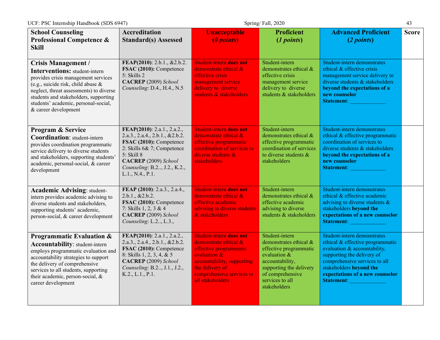| <b>School Counseling</b><br><b>Professional Competence &amp;</b><br><b>Skill</b>                                                                                                                                                                                                                    | <b>Accreditation</b><br><b>Standard(s) Assessed</b>                                                                                                                                                                | <b>Unacceptable</b><br>(0 points)                                                                                                                                                                   | <b>Proficient</b><br>(1 points)                                                                                                                                                           | <b>Advanced Proficient</b><br>(2 points)                                                                                                                                                                                                          | <b>Score</b> |
|-----------------------------------------------------------------------------------------------------------------------------------------------------------------------------------------------------------------------------------------------------------------------------------------------------|--------------------------------------------------------------------------------------------------------------------------------------------------------------------------------------------------------------------|-----------------------------------------------------------------------------------------------------------------------------------------------------------------------------------------------------|-------------------------------------------------------------------------------------------------------------------------------------------------------------------------------------------|---------------------------------------------------------------------------------------------------------------------------------------------------------------------------------------------------------------------------------------------------|--------------|
| <b>Crisis Management /</b><br><b>Interventions: student-intern</b><br>provides crisis management services<br>(e.g., suicide risk, child abuse &<br>neglect, threat assessments) to diverse<br>students and stakeholders, supporting<br>students' academic, personal-social,<br>& career development | FEAP(2010): 2.b.1., &2.b.2.<br>FSAC (2010): Competence<br>5: Skills 2<br>CACREP (2009) School<br>Counseling: D.4., H.4., N.5                                                                                       | Student-intern does not<br>demonstrate ethical &<br>effective crisis<br>management service<br>delivery to diverse<br>students & stakeholders                                                        | Student-intern<br>demonstrates ethical &<br>effective crisis<br>management service<br>delivery to diverse<br>students & stakeholders                                                      | Student-intern demonstrates<br>ethical & effective crisis<br>management service delivery to<br>diverse students & stakeholders<br>beyond the expectations of a<br>new counselor<br><b>Statement:</b>                                              |              |
| Program & Service<br><b>Coordination:</b> student-intern<br>provides coordination programmatic<br>service delivery to diverse students<br>and stakeholders, supporting students'<br>academic, personal-social, & career<br>development                                                              | FEAP(2010): 2.a.1., 2.a.2.,<br>2.a.3., 2.a.4., 2.b.1., & 2.b.2.<br>FSAC (2010): Competence<br>2: Skills 6& 7; Competence<br>5: Skill 8<br>CACREP (2009) School<br>Counseling: B.2, J.2., K.2.,<br>L.1., N.4., P.1. | <b>Student-intern does not</b><br>demonstrate ethical &<br>effective programmatic<br>coordination of services to<br>diverse students $\&$<br>stakeholders                                           | Student-intern<br>demonstrates ethical &<br>effective programmatic<br>coordination of services<br>to diverse students &<br>stakeholders                                                   | Student-intern demonstrates<br>ethical & effective programmatic<br>coordination of services to<br>diverse students & stakeholders<br>beyond the expectations of a<br>new counselor<br><b>Statement:</b>                                           |              |
| <b>Academic Advising: student-</b><br>intern provides academic advising to<br>diverse students and stakeholders,<br>supporting students' academic,<br>person-social, & career development                                                                                                           | FEAP (2010): 2.a.3., 2.a.4.,<br>2.b.1., & 2.b.2.<br>FSAC (2010): Competence<br>7: Skills 1, 2, 3 & 4<br>CACREP (2009) School<br>Counseling: L.2., L.3.,                                                            | <b>Student-intern does not</b><br>demonstrate ethical &<br>effective academic<br>advising to diverse students<br>& stakeholders                                                                     | Student-intern<br>demonstrates ethical &<br>effective academic<br>advising to diverse<br>students & stakeholders                                                                          | Student-intern demonstrates<br>ethical & effective academic<br>advising to diverse students $\&$<br>stakeholders beyond the<br>expectations of a new counselor<br>Statement: New York Statement:                                                  |              |
| Programmatic Evaluation &<br><b>Accountability:</b> student-intern<br>employs programmatic evaluation and<br>accountability strategies to support<br>the delivery of comprehensive<br>services to all students, supporting<br>their academic, person-social, &<br>career development                | FEAP(2010): 2.a.1., 2.a.2.,<br>2.a.3., 2.a.4., 2.b.1., & 2.b.2.<br>FSAC (2010): Competence<br>8: Skills 1, 2, 3, 4, & 5<br>CACREP (2009) School<br>Counseling: B.2, J.1., J.2.,<br>K.2., L.1., P.1.                | <b>Student-intern does not</b><br>demonstrate ethical &<br>effective programmatic<br>evaluation &<br>accountability, supporting<br>the delivery of<br>comprehensive services to<br>all stakeholders | Student-intern<br>demonstrates ethical &<br>effective programmatic<br>evaluation $&$<br>accountability,<br>supporting the delivery<br>of comprehensive<br>services to all<br>stakeholders | Student-intern demonstrates<br>ethical & effective programmatic<br>evaluation & accountability,<br>supporting the delivery of<br>comprehensive services to all<br>stakeholders beyond the<br>expectations of a new counselor<br><b>Statement:</b> |              |

UCF: PSC Internship Handbook (SDS 6947) Spring/ Fall, 2020 Spring/ Fall, 2020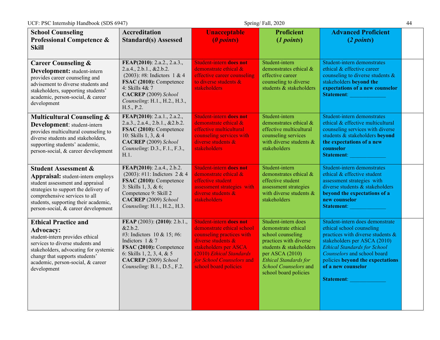| <b>School Counseling</b><br>Professional Competence &<br><b>Skill</b>                                                                                                                                                                                                    | <b>Accreditation</b><br><b>Standard(s) Assessed</b>                                                                                                                                                           | <b>Unacceptable</b><br>(0 points)                                                                                                                                                                                      | <b>Proficient</b><br>(1 points)                                                                                                                                                                                           | <b>Advanced Proficient</b><br>(2 points)                                                                                                                                                                                                                                                  |  |
|--------------------------------------------------------------------------------------------------------------------------------------------------------------------------------------------------------------------------------------------------------------------------|---------------------------------------------------------------------------------------------------------------------------------------------------------------------------------------------------------------|------------------------------------------------------------------------------------------------------------------------------------------------------------------------------------------------------------------------|---------------------------------------------------------------------------------------------------------------------------------------------------------------------------------------------------------------------------|-------------------------------------------------------------------------------------------------------------------------------------------------------------------------------------------------------------------------------------------------------------------------------------------|--|
| <b>Career Counseling &amp;</b><br>Development: student-intern<br>provides career counseling and<br>advisement to diverse students and<br>stakeholders, supporting students'<br>academic, person-social, & career<br>development                                          | FEAP(2010): 2.a.2., 2.a.3.,<br>2.a.4., 2.b.1., & 2.b.2.<br>$(2003)$ : #8: Indictors 1 & 4<br>FSAC (2010): Competence<br>4: Skills 4& 7<br>CACREP (2009) School<br>Counseling: H.1., H.2., H.3.,<br>H.5., P.2. | Student-intern does not<br>demonstrate ethical &<br>effective career counseling<br>to diverse students &<br>stakeholders                                                                                               | Student-intern<br>demonstrates ethical &<br>effective career<br>counseling to diverse<br>students & stakeholders                                                                                                          | Student-intern demonstrates<br>ethical & effective career<br>counseling to diverse students $\&$<br>stakeholders beyond the<br>expectations of a new counselor<br>Statement:                                                                                                              |  |
| <b>Multicultural Counseling &amp;</b><br>Development: student-intern<br>provides multicultural counseling to<br>diverse students and stakeholders,<br>supporting students' academic,<br>person-social, & career development                                              | FEAP(2010): 2.a.1., 2.a.2.,<br>2.a.3., 2.a.4., 2.b.1., & 2.b.2.<br>FSAC (2010): Competence<br>10: Skills 1, 3, & 4<br>CACREP (2009) School<br>Counseling: D.3., F.1., F.3.,<br>H.1.                           | Student-intern does not<br>demonstrate ethical &<br>effective multicultural<br>counseling services with<br>diverse students $\&$<br>stakeholders                                                                       | Student-intern<br>demonstrates ethical &<br>effective multicultural<br>counseling services<br>with diverse students $\&$<br>stakeholders                                                                                  | Student-intern demonstrates<br>ethical & effective multicultural<br>counseling services with diverse<br>students & stakeholders beyond<br>the expectations of a new<br>counselor<br>Statement:                                                                                            |  |
| <b>Student Assessment &amp;</b><br><b>Appraisal:</b> student-intern employs<br>student assessment and appraisal<br>strategies to support the delivery of<br>comprehensive services to all<br>students, supporting their academic,<br>person-social, & career development | FEAP(2010): 2.a.4., 2.b.2.<br>$(2003)$ : #11: Indictors 2 & 4<br>FSAC (2010): Competence<br>3: Skills 1, 3, & 6;<br>Competence 9: Skill 2<br>CACREP (2009) School<br>Counseling: H.1., H.2., H.3.             | <b>Student-intern does not</b><br>demonstrate ethical &<br>effective student<br>assessment strategies with<br>diverse students $\&$<br>stakeholders                                                                    | Student-intern<br>demonstrates ethical &<br>effective student<br>assessment strategies<br>with diverse students &<br>stakeholders                                                                                         | Student-intern demonstrates<br>ethical & effective student<br>assessment strategies with<br>diverse students & stakeholders<br>beyond the expectations of a<br>new counselor<br><b>Statement:</b>                                                                                         |  |
| <b>Ethical Practice and</b><br><b>Advocacy:</b><br>student-intern provides ethical<br>services to diverse students and<br>stakeholders, advocating for systemic<br>changr that supports students'<br>academic, person-social, & career<br>development                    | FEAP (2003): (2010): 2.b.1.,<br>&2.b.2.<br>#3: Indictors 10 & 15; #6:<br>Indictors 1 & 7<br>FSAC (2010): Competence<br>6: Skills 1, 2, 3, 4, & 5<br>CACREP (2009) School<br>Counseling: B.1., D.5., F.2.      | Student-intern does not<br>demonstrate ethical school<br>counseling practices with<br>diverse students $\&$<br>stakeholders per ASCA<br>(2010) Ethical Standards<br>for School Counselors and<br>school board policies | Student-intern does<br>demonstrate ethical<br>school counseling<br>practices with diverse<br>students & stakeholders<br>per ASCA (2010)<br><b>Ethical Standards for</b><br>School Counselors and<br>school board policies | Student-intern does demonstrate<br>ethical school counseling<br>practices with diverse students $\&$<br>stakeholders per ASCA (2010)<br><b>Ethical Standards for School</b><br>Counselors and school board<br>policies beyond the expectations<br>of a new counselor<br><b>Statement:</b> |  |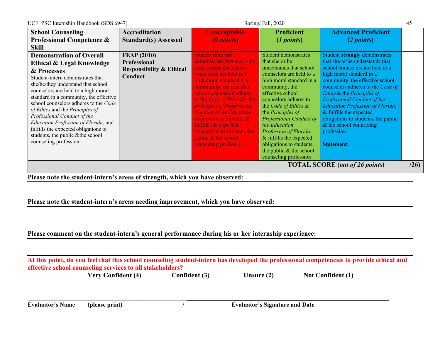| <b>School Counseling</b>                                                                                                                                                                                                                                                                                                                                                                                                                                                                         | <b>Accreditation</b>                                                                        | <b>Unacceptable</b>                                                                                                                                                                                                                                                                                                                                                                                                                            | <b>Proficient</b>                                                                                                                                                                                                                                                                                                                                                                                                                      | <b>Advanced Proficient</b>                                                                                                                                                                                                                                                                                                                                                                                                                       |
|--------------------------------------------------------------------------------------------------------------------------------------------------------------------------------------------------------------------------------------------------------------------------------------------------------------------------------------------------------------------------------------------------------------------------------------------------------------------------------------------------|---------------------------------------------------------------------------------------------|------------------------------------------------------------------------------------------------------------------------------------------------------------------------------------------------------------------------------------------------------------------------------------------------------------------------------------------------------------------------------------------------------------------------------------------------|----------------------------------------------------------------------------------------------------------------------------------------------------------------------------------------------------------------------------------------------------------------------------------------------------------------------------------------------------------------------------------------------------------------------------------------|--------------------------------------------------------------------------------------------------------------------------------------------------------------------------------------------------------------------------------------------------------------------------------------------------------------------------------------------------------------------------------------------------------------------------------------------------|
| <b>Professional Competence &amp;</b><br><b>Skill</b>                                                                                                                                                                                                                                                                                                                                                                                                                                             | <b>Standard(s)</b> Assessed                                                                 | (0 points)                                                                                                                                                                                                                                                                                                                                                                                                                                     | (1 points)                                                                                                                                                                                                                                                                                                                                                                                                                             | (2 points)                                                                                                                                                                                                                                                                                                                                                                                                                                       |
| <b>Demonstration of Overall</b><br>Ethical & Legal Knowledge<br>& Processes<br>Student-intern demonstrates that<br>she/he/they understand that school<br>counselors are held to a high moral<br>standard in a community, the effective<br>school counselors adheres to the Code<br>of Ethics and the Principles of<br>Professional Conduct of the<br>Education Profession of Florida, and<br>fulfills the expected obligations to<br>students, the public & the school<br>counseling profession. | <b>FEAP (2010)</b><br><b>Professional</b><br><b>Responsibility &amp; Ethical</b><br>Conduct | <b>Student does not</b><br>demonstrates that she or he<br>understands that school<br>counselors are held to a<br>high moral standard in a<br>community, the effective<br>school counselors adheres<br>to the Code of Ethics& the<br><b>Principles of Professional</b><br><b>Conduct of the Education</b><br>Profession of Florida, &<br>fulfills the expected<br>obligations to students, the<br>public & the school<br>counseling profession. | <b>Student demonstrates</b><br>that she or he<br>understands that school<br>counselors are held to a<br>high moral standard in a<br>community, the<br>effective school<br>counselors adheres to<br>the Code of Ethics &<br>the Principles of<br><b>Professional Conduct of</b><br>the Education<br>Profession of Florida,<br>& fulfills the expected<br>obligations to students,<br>the public $&$ the school<br>counseling profession | Student strongly demonstrates<br>that she or he understands that<br>school counselors are held to a<br>high moral standard in a<br>community, the effective school<br>counselors adheres to the Code of<br>Ethics& the Principles of<br>Professional Conduct of the<br><b>Education Profession of Florida,</b><br>& fulfills the expected<br>obligations to students, the public<br>$&$ the school counseling<br>profession<br><b>Statement:</b> |
| <b>TOTAL SCORE</b> (out of 26 points)<br>(26)                                                                                                                                                                                                                                                                                                                                                                                                                                                    |                                                                                             |                                                                                                                                                                                                                                                                                                                                                                                                                                                |                                                                                                                                                                                                                                                                                                                                                                                                                                        |                                                                                                                                                                                                                                                                                                                                                                                                                                                  |
| Please note the student-intern's areas of strength, which you have observed:                                                                                                                                                                                                                                                                                                                                                                                                                     |                                                                                             |                                                                                                                                                                                                                                                                                                                                                                                                                                                |                                                                                                                                                                                                                                                                                                                                                                                                                                        |                                                                                                                                                                                                                                                                                                                                                                                                                                                  |

**Please note the student-intern's areas needing improvement, which you have observed:**

**Please comment on the student-intern's general performance during his or her internship experience:**

**At this point, do you feel that this school counseling student-intern has developed the professional competencies to provide ethical and effective school counseling services to all stakeholders?**

\_\_\_\_\_\_\_\_\_\_\_\_\_\_\_\_\_\_\_\_\_\_\_\_\_\_\_\_\_\_\_\_\_\_\_\_\_\_\_\_\_\_\_\_\_\_\_\_\_\_\_\_ \_\_\_\_\_\_\_\_\_\_\_\_\_\_\_\_\_\_\_\_\_\_\_\_\_\_\_\_

**Very Confident (4) Confident (3) Unsure (2) Not Confident (1)**

**Evaluator's Name (please print) / Evaluator's Signature and Date**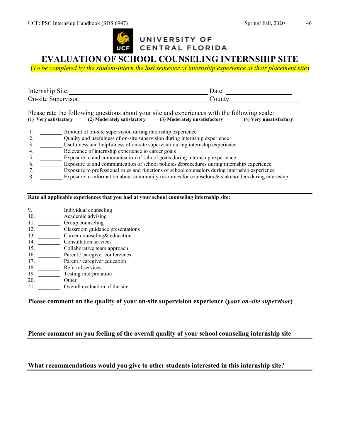

# UNIVERSITY OF CENTRAL FLORIDA

# **EVALUATION OF SCHOOL COUNSELING INTERNSHIP SITE**

(*To be completed by the student-intern the last semester of internship experience at their placement site*)

| Internship<br>Site: | Jate: |
|---------------------|-------|
| On-site Supervisor: | ount  |

Please rate the following questions about your site and experiences with the following scale:<br>
(1) Very satisfactory (2) Moderately satisfactory (3) Moderately unsatisfactory (4) Very unsat **(1) Very satisfactory (2) Moderately satisfactory (3) Moderately unsatisfactory (4) Very unsatisfactory**

- 1. Amount of on-site supervision during internship experience
- 2. 2. Quality and usefulness of on-site supervision during internship experience
- 3. \_\_\_\_\_\_\_\_ Usefulness and helpfulness of on-site supervisor during internship experience
- 4. \_\_\_\_\_\_\_\_ Relevance of internship experience to career goals
- 5. \_\_\_\_\_\_\_\_ Exposure to and communication of school goals during internship experience
- 6. \_\_\_\_\_\_\_\_ Exposure to and communication of school policies &procedures during internship experience
- 7. \_\_\_\_\_\_\_\_ Exposure to professional roles and functions of school counselors during internship experience
- 8.  $\blacksquare$  Exposure to information about community resources for counselors & stakeholders during internship

#### **Rate all applicable experiences that you had at your school counseling internship site:**

- 9. \_\_\_\_\_\_\_\_\_\_ Individual counseling
- 10. \_\_\_\_\_\_\_\_\_\_\_\_ Academic advising
- 11. \_\_\_\_\_\_\_\_\_\_ Group counseling
- 12. \_\_\_\_\_\_\_\_ Classroom guidance presentations
- 13. <u>Career</u> counseling& education
- 14. \_\_\_\_\_\_\_\_ Consultation services
- 15. \_\_\_\_\_\_\_\_ Collaborative team approach
- 16. Parent / caregiver conferences
- 17. **\_\_\_\_\_\_\_\_** Parent / caregiver education
- 18. \_\_\_\_\_\_\_\_ Referral services
- 19. \_\_\_\_\_\_\_\_ Testing interpretation 20. \_\_\_\_\_\_\_\_ Other \_\_\_\_\_\_\_\_\_\_\_\_\_\_\_\_\_\_\_\_\_\_\_\_\_\_\_\_\_\_\_\_\_\_\_\_\_\_\_\_
- 21. Overall evaluation of the site

#### **Please comment on the quality of your on-site supervision experience (***your on-site supervisor***)**

#### **Please comment on you feeling of the overall quality of your school counseling internship site**

#### **What recommendations would you give to other students interested in this internship site?**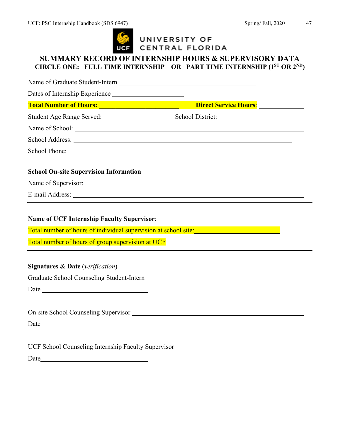

# UNIVERSITY OF<br>CENTRAL FLORIDA

# **SUMMARY RECORD OF INTERNSHIP HOURS & SUPERVISORY DATA CIRCLE ONE: FULL TIME INTERNSHIP OR PART TIME INTERNSHIP (1ST OR 2ND)**

| School Address: New York Contract to the School Address:                                                                                                                         |                                                                                                                                                                                                                                |
|----------------------------------------------------------------------------------------------------------------------------------------------------------------------------------|--------------------------------------------------------------------------------------------------------------------------------------------------------------------------------------------------------------------------------|
|                                                                                                                                                                                  |                                                                                                                                                                                                                                |
| <b>School On-site Supervision Information</b>                                                                                                                                    |                                                                                                                                                                                                                                |
|                                                                                                                                                                                  |                                                                                                                                                                                                                                |
|                                                                                                                                                                                  | E-mail Address: Note also a series and the series of the series of the series of the series of the series of the series of the series of the series of the series of the series of the series of the series of the series of t |
| Total number of hours of individual supervision at school site:<br>Total number of hours of group supervision at UCF<br><u>Total number of hours of group supervision at UCF</u> |                                                                                                                                                                                                                                |
|                                                                                                                                                                                  |                                                                                                                                                                                                                                |
| <b>Signatures &amp; Date</b> (verification)                                                                                                                                      |                                                                                                                                                                                                                                |
|                                                                                                                                                                                  |                                                                                                                                                                                                                                |
|                                                                                                                                                                                  |                                                                                                                                                                                                                                |
|                                                                                                                                                                                  |                                                                                                                                                                                                                                |
| On-site School Counseling Supervisor New York 1989 Supervisor                                                                                                                    |                                                                                                                                                                                                                                |
|                                                                                                                                                                                  |                                                                                                                                                                                                                                |
|                                                                                                                                                                                  |                                                                                                                                                                                                                                |
|                                                                                                                                                                                  | UCF School Counseling Internship Faculty Supervisor                                                                                                                                                                            |
| Date                                                                                                                                                                             |                                                                                                                                                                                                                                |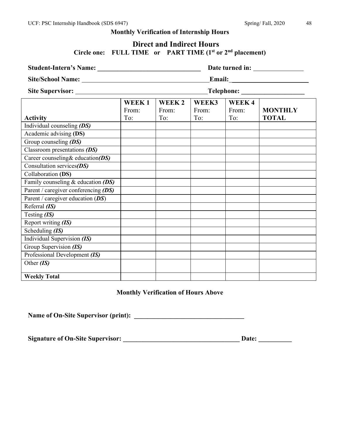### **Monthly Verification of Internship Hours**

#### **Direct and Indirect Hours Circle one: FULL TIME or PART TIME (1st or 2nd placement)**

| <b>Student-Intern's Name:</b>        |                       |                                   |                       |                       |                                       |
|--------------------------------------|-----------------------|-----------------------------------|-----------------------|-----------------------|---------------------------------------|
| Site/School Name:                    |                       |                                   |                       |                       | <b>Email: _______________________</b> |
| Site Supervisor:                     |                       |                                   | Telephone:            |                       |                                       |
| <b>Activity</b>                      | WEEK1<br>From:<br>To: | WEEK <sub>2</sub><br>From:<br>To: | WEEK3<br>From:<br>To: | WEEK4<br>From:<br>To: | <b>MONTHLY</b><br><b>TOTAL</b>        |
| Individual counseling (DS)           |                       |                                   |                       |                       |                                       |
| Academic advising (DS)               |                       |                                   |                       |                       |                                       |
| Group counseling $(DS)$              |                       |                                   |                       |                       |                                       |
| Classroom presentations (DS)         |                       |                                   |                       |                       |                                       |
| Career counseling& education(DS)     |                       |                                   |                       |                       |                                       |
| Consultation services $(DS)$         |                       |                                   |                       |                       |                                       |
| Collaboration (DS)                   |                       |                                   |                       |                       |                                       |
| Family counseling $&$ education (DS) |                       |                                   |                       |                       |                                       |
| Parent / caregiver conferencing (DS) |                       |                                   |                       |                       |                                       |
| Parent / caregiver education $(DS)$  |                       |                                   |                       |                       |                                       |
| Referral $(IS)$                      |                       |                                   |                       |                       |                                       |
| Testing $(IS)$                       |                       |                                   |                       |                       |                                       |
| Report writing (IS)                  |                       |                                   |                       |                       |                                       |
| Scheduling $(IS)$                    |                       |                                   |                       |                       |                                       |
| Individual Supervision (IS)          |                       |                                   |                       |                       |                                       |
| Group Supervision (IS)               |                       |                                   |                       |                       |                                       |
| Professional Development (IS)        |                       |                                   |                       |                       |                                       |
| Other $(IS)$                         |                       |                                   |                       |                       |                                       |
| <b>Weekly Total</b>                  |                       |                                   |                       |                       |                                       |

#### **Monthly Verification of Hours Above**

**Name of On-Site Supervisor (print): \_\_\_\_\_\_\_\_\_\_\_\_\_\_\_\_\_\_\_\_\_\_\_\_\_\_\_\_\_\_\_\_\_**

**Signature of On-Site Supervisor: \_\_\_\_\_\_\_\_\_\_\_\_\_\_\_\_\_\_\_\_\_\_\_\_\_\_\_\_\_\_\_\_\_\_\_ Date: \_\_\_\_\_\_\_\_\_\_**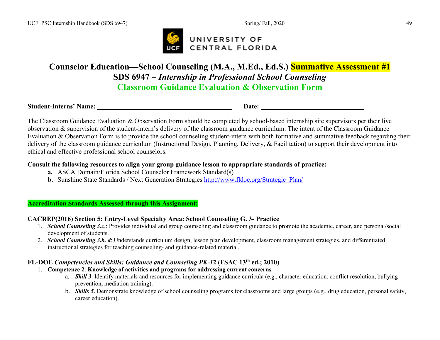

# **Counselor Education—School Counseling (M.A., M.Ed., Ed.S.) Summative Assessment #1 SDS 6947 –** *Internship in Professional School Counseling* **Classroom Guidance Evaluation & Observation Form**

**Student-Interns' Name: Date:** 

The Classroom Guidance Evaluation & Observation Form should be completed by school-based internship site supervisors per their live observation & supervision of the student-intern's delivery of the classroom guidance curriculum. The intent of the Classroom Guidance Evaluation & Observation Form is to provide the school counseling student-intern with both formative and summative feedback regarding their delivery of the classroom guidance curriculum (Instructional Design, Planning, Delivery, & Facilitation) to support their development into ethical and effective professional school counselors.

#### **Consult the following resources to align your group guidance lesson to appropriate standards of practice:**

- **a.** ASCA Domain/Florida School Counselor Framework Standard(s)
- **b.** Sunshine State Standards / Next Generation Strategies [http://www.fldoe.org/Strategic\\_Plan/](http://www.fldoe.org/Strategic_Plan/)

**Accreditation Standards Assessed through this Assignment:**

### **CACREP(2016) Section 5: Entry-Level Specialty Area: School Counseling G. 3- Practice**

- 1. *School Counseling 3.c.*: Provides individual and group counseling and classroom guidance to promote the academic, career, and personal/social development of students.
- 2. *School Counseling 3.b, d*: Understands curriculum design, lesson plan development, classroom management strategies, and differentiated instructional strategies for teaching counseling- and guidance-related material.

#### **FL-DOE** *Competencies and Skills: Guidance and Counseling PK-1***2** (**FSAC 13th ed.; 2010**)

- 1. **Competence 2**: **Knowledge of activities and programs for addressing current concerns**
	- a. *Skill 3*. Identify materials and resources for implementing guidance curricula (e.g., character education, conflict resolution, bullying prevention, mediation training).
	- b. *Skills 5.* Demonstrate knowledge of school counseling programs for classrooms and large groups (e.g., drug education, personal safety, career education).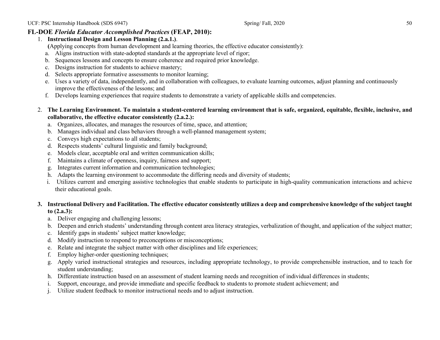#### **FL-DOE** *Florida Educator Accomplished Practices* **(FEAP, 2010):**

- 1. **Instructional Design and Lesson Planning (2.a.1.)**.
	- **(**Applying concepts from human development and learning theories, the effective educator consistently):
	- a. Aligns instruction with state-adopted standards at the appropriate level of rigor;
	- b. Sequences lessons and concepts to ensure coherence and required prior knowledge.
	- c. Designs instruction for students to achieve mastery;
	- d. Selects appropriate formative assessments to monitor learning;
	- e. Uses a variety of data, independently, and in collaboration with colleagues, to evaluate learning outcomes, adjust planning and continuously improve the effectiveness of the lessons; and
	- f. Develops learning experiences that require students to demonstrate a variety of applicable skills and competencies.
- 2. **The Learning Environment. To maintain a student-centered learning environment that is safe, organized, equitable, flexible, inclusive, and collaborative, the effective educator consistently (2.a.2.):**
	- a. Organizes, allocates, and manages the resources of time, space, and attention;
	- b. Manages individual and class behaviors through a well-planned management system;
	- c. Conveys high expectations to all students;
	- d. Respects students' cultural linguistic and family background;
	- e. Models clear, acceptable oral and written communication skills;
	- f. Maintains a climate of openness, inquiry, fairness and support;
	- g. Integrates current information and communication technologies;
	- h. Adapts the learning environment to accommodate the differing needs and diversity of students;
	- i. Utilizes current and emerging assistive technologies that enable students to participate in high-quality communication interactions and achieve their educational goals.

#### **3. Instructional Delivery and Facilitation. The effective educator consistently utilizes a deep and comprehensive knowledge of the subject taught to (2.a.3):**

- a. Deliver engaging and challenging lessons;
- b. Deepen and enrich students' understanding through content area literacy strategies, verbalization of thought, and application of the subject matter;
- c. Identify gaps in students' subject matter knowledge;
- d. Modify instruction to respond to preconceptions or misconceptions;
- e. Relate and integrate the subject matter with other disciplines and life experiences;
- f. Employ higher-order questioning techniques;
- g. Apply varied instructional strategies and resources, including appropriate technology, to provide comprehensible instruction, and to teach for student understanding;
- h. Differentiate instruction based on an assessment of student learning needs and recognition of individual differences in students;
- i. Support, encourage, and provide immediate and specific feedback to students to promote student achievement; and
- j. Utilize student feedback to monitor instructional needs and to adjust instruction.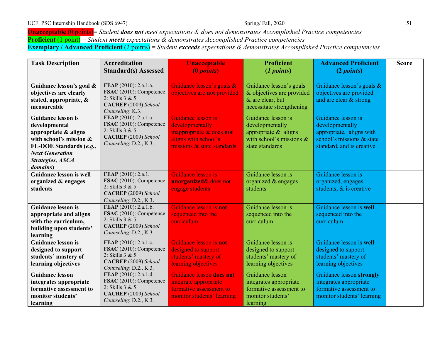**Unacceptable** (0 points)= *Student does not meet expectations & does not demonstrates Accomplished Practice competencies* **Proficient** (1 point) = *Student meets expectations & demonstrates Accomplished Practice competencies* **Exemplary / Advanced Proficient** (2 points) = *Student exceeds expectations & demonstrates Accomplished Practice competencies*

| <b>Task Description</b>                                                                                                                                                                    | <b>Accreditation</b><br><b>Standard(s)</b> Assessed                                                                     | <b>Unacceptable</b><br>(0 <i>points</i> )                                                                               | <b>Proficient</b><br>(1 points)                                                                                   | <b>Advanced Proficient</b><br>(2 points)                                                                                    | <b>Score</b> |
|--------------------------------------------------------------------------------------------------------------------------------------------------------------------------------------------|-------------------------------------------------------------------------------------------------------------------------|-------------------------------------------------------------------------------------------------------------------------|-------------------------------------------------------------------------------------------------------------------|-----------------------------------------------------------------------------------------------------------------------------|--------------|
| Guidance lesson's goal &<br>objectives are clearly<br>stated, appropriate, &<br>measureable                                                                                                | FEAP (2010): 2.a.1.a.<br>FSAC (2010): Competence<br>2: Skills $3 & 5$<br>CACREP (2009) School<br>Counseling: K.3.       | Guidance lesson's goals &<br>objectives are not provided                                                                | Guidance lesson's goals<br>& objectives are provided<br>& are clear, but<br>necessitate strengthening             | Guidance lesson's goals &<br>objectives are provided<br>and are clear & strong                                              |              |
| <b>Guidance lesson is</b><br>developmental<br>appropriate & aligns<br>with school's mission &<br>FL-DOE Standards (e.g.,<br><b>Next Generation</b><br>Strategies, ASCA<br><i>domains</i> ) | FEAP (2010): 2.a.1.a<br>FSAC (2010): Competence<br>2: Skills 3 & 5<br>CACREP (2009) School<br>Counseling: D.2., K.3.    | Guidance lesson is<br>developmentally<br>inappropriate & does not<br>aligns with school's<br>missions & state standards | Guidance lesson is<br>developmentally<br>appropriate $&$ aligns<br>with school's missions $\&$<br>state standards | Guidance lesson is<br>developmentally<br>appropriate, aligns with<br>school's missions & state<br>standard, and is creative |              |
| <b>Guidance lesson is well</b><br>organized & engages<br>students                                                                                                                          | FEAP (2010): 2.a.1.<br>FSAC (2010): Competence<br>2: Skills 3 & 5<br>CACREP (2009) School<br>Counseling: D.2., K.3.     | Guidance lesson is<br>unorganized& does not<br>engage students                                                          | Guidance lesson is<br>organized $\&$ engages<br>students                                                          | Guidance lesson is<br>organized, engages<br>students, $\&$ is creative                                                      |              |
| <b>Guidance lesson is</b><br>appropriate and aligns<br>with the curriculum,<br>building upon students'<br>learning                                                                         | FEAP (2010): 2.a.1.b.<br>FSAC (2010): Competence<br>2: Skills 3 & 5<br>CACREP (2009) School<br>Counseling: D.2., K.3.   | Guidance lesson is not<br>sequenced into the<br>curriculum                                                              | Guidance lesson is<br>sequenced into the<br>curriculum                                                            | Guidance lesson is well<br>sequenced into the<br>curriculum                                                                 |              |
| <b>Guidance lesson is</b><br>designed to support<br>students' mastery of<br>learning objectives                                                                                            | FEAP (2010): 2.a.1.c.<br>FSAC (2010): Competence<br>2: Skills $3 & 5$<br>CACREP (2009) School<br>Counseling: D.2., K.3. | Guidance lesson is not<br>designed to support<br>students' mastery of<br>learning objectives                            | Guidance lesson is<br>designed to support<br>students' mastery of<br>learning objectives                          | Guidance lesson is well<br>designed to support<br>students' mastery of<br>learning objectives                               |              |
| <b>Guidance lesson</b><br>integrates appropriate<br>formative assessment to<br>monitor students'<br>learning                                                                               | FEAP (2010): 2.a.1.d.<br>FSAC (2010): Competence<br>2: Skills 3 & 5<br>CACREP (2009) School<br>Counseling: D.2., K.3.   | Guidance lesson does not<br>integrate appropriate<br>formative assessment to<br>monitor students' learning              | Guidance lesson<br>integrates appropriate<br>formative assessment to<br>monitor students'<br>learning             | Guidance lesson strongly<br>integrates appropriate<br>formative assessment to<br>monitor students' learning                 |              |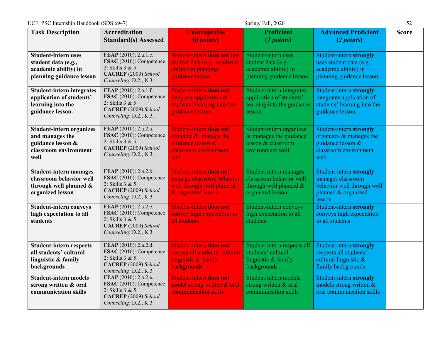UCF: PSC Internship Handbook (SDS 6947) Spring/ Fall, 2020 Spring/ Fall, 2020

| <b>Task Description</b>                                                                                  | <b>Accreditation</b><br><b>Standard(s) Assessed</b>                                                                   | <b>Unacceptable</b><br>(0 points)                                                                                | <b>Proficient</b><br>(1 points)                                                                 | <b>Advanced Proficient</b><br>(2 points)                                                                    | <b>Score</b> |
|----------------------------------------------------------------------------------------------------------|-----------------------------------------------------------------------------------------------------------------------|------------------------------------------------------------------------------------------------------------------|-------------------------------------------------------------------------------------------------|-------------------------------------------------------------------------------------------------------------|--------------|
| <b>Student-intern uses</b><br>student data (e.g.,<br>academic ability) in<br>planning guidance lesson    | FEAP (2010): 2.a.1.e.<br>FSAC (2010): Competence<br>2: Skills 3 & 5<br>CACREP (2009) School<br>Counseling: D.2., K.3. | Student-intern does not use<br>student data (e.g., academic<br>ability) in planning<br>guidance lesson           | Student-intern uses<br>student data (e.g.,<br>academic ability) in<br>planning guidance lesson  | Student-intern strongly<br>uses student data (e.g.,<br>academic ability) in<br>planning guidance lesson     |              |
| <b>Student-intern integrates</b><br>application of students'<br>learning into the<br>guidance lesson.    | FEAP (2010): 2.a.1.f.<br>FSAC (2010): Competence<br>2: Skills 3 & 5<br>CACREP (2009) School<br>Counseling: D.2., K.3. | Student-intern does not<br>integrate application of<br>students' learning into the<br>guidance lesson.           | Student-intern integrates<br>application of students'<br>learning into the guidance<br>lesson.  | Student-intern strongly<br>integrates application of<br>students' learning into the<br>guidance lesson.     |              |
| <b>Student-intern organizes</b><br>and manages the<br>guidance lesson &<br>classroom environment<br>well | FEAP (2010): 2.a.2.a.<br>FSAC (2010): Competence<br>2: Skills 3 & 5<br>CACREP (2009) School<br>Counseling: D.2., K.3. | <b>Student-intern does not</b><br>organize $\&$ manage the<br>guidance lesson &<br>classroom environment<br>well | Student-intern organizes<br>& manages the guidance<br>lesson & classroom<br>environment well    | Student-intern strongly<br>organizes $&$ manages the<br>guidance lesson &<br>classroom environment<br>well  |              |
| <b>Student-intern manages</b><br>classroom behavior well<br>through well planned &<br>organized lesson   | FEAP (2010): 2.a.2.b.<br>FSAC (2010): Competence<br>2: Skills 3 & 5<br>CACREP (2009) School<br>Counseling: D.2., K.3  | <b>Student-intern does not</b><br>manage classroom behavior<br>well through well planned<br>& organized lesson   | Student-intern manages<br>classroom behavior well<br>through well planned &<br>organized lesson | Student-intern strongly<br>manages classroom<br>behavior well through well<br>planned & organized<br>lesson |              |
| <b>Student-intern conveys</b><br>high expectation to all<br>students                                     | FEAP (2010): 2.a.2.c.<br>FSAC (2010): Competence<br>2: Skills 3 & 5<br>CACREP (2009) School<br>Counseling: D.2., K.3  | <b>Student-intern does not</b><br>convey high expectation to<br>all students                                     | Student-intern conveys<br>high expectation to all<br>students                                   | Student-intern strongly<br>conveys high expectation<br>to all students                                      |              |
| <b>Student-intern respects</b><br>all students' cultural<br>linguistic & family<br>backgrounds           | FEAP (2010): 2.a.2.d.<br>FSAC (2010): Competence<br>2: Skills 3 & 5<br>CACREP (2009) School<br>Counseling: D.2., K.3  | <b>Student-intern does not</b><br>respect all students' cultural<br>linguistic & family<br>backgrounds           | Student-intern respects all<br>students' cultural<br>linguistic & family<br>backgrounds         | Student-intern strongly<br>respects all students'<br>cultural linguistic &<br>family backgrounds            |              |
| <b>Student-intern models</b><br>strong written & oral<br>communication skills                            | FEAP (2010): 2.a.2.e.<br>FSAC (2010): Competence<br>2: Skills 3 & 5<br>CACREP (2009) School<br>Counseling: D.2., K.3  | <b>Student-intern does not</b><br>model strong written & oral<br>communication skills                            | Student-intern models<br>strong written & oral<br>communication skills                          | Student-intern strongly<br>models strong written &<br>oral communication skills                             |              |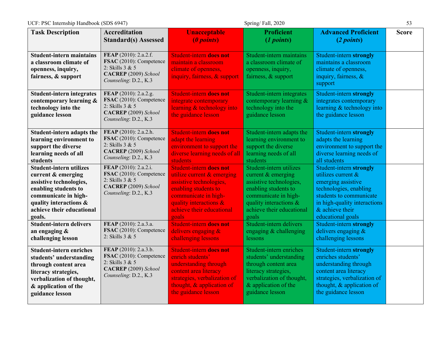| UCF: PSC Internship Handbook (SDS 6947)<br>Spring/Fall, 2020                                                                                                                                     |                                                                                                                      |                                                                                                                                                                                                         |                                                                                                                                                                                               | 53                                                                                                                                                                                                   |              |
|--------------------------------------------------------------------------------------------------------------------------------------------------------------------------------------------------|----------------------------------------------------------------------------------------------------------------------|---------------------------------------------------------------------------------------------------------------------------------------------------------------------------------------------------------|-----------------------------------------------------------------------------------------------------------------------------------------------------------------------------------------------|------------------------------------------------------------------------------------------------------------------------------------------------------------------------------------------------------|--------------|
| <b>Task Description</b>                                                                                                                                                                          | <b>Accreditation</b><br><b>Standard(s) Assessed</b>                                                                  | <b>Unacceptable</b><br>(0 points)                                                                                                                                                                       | <b>Proficient</b><br>(1 points)                                                                                                                                                               | <b>Advanced Proficient</b><br>(2 points)                                                                                                                                                             | <b>Score</b> |
| <b>Student-intern maintains</b><br>a classroom climate of<br>openness, inquiry,<br>fairness, & support                                                                                           | FEAP (2010): 2.a.2.f.<br>FSAC (2010): Competence<br>2: Skills 3 & 5<br>CACREP (2009) School<br>Counseling: D.2., K.3 | <b>Student-intern does not</b><br>maintain a classroom<br>climate of openness,<br>inquiry, fairness, & support                                                                                          | Student-intern maintains<br>a classroom climate of<br>openness, inquiry,<br>fairness, & support                                                                                               | Student-intern strongly<br>maintains a classroom<br>climate of openness,<br>inquiry, fairness, &<br>support                                                                                          |              |
| <b>Student-intern integrates</b><br>contemporary learning &<br>technology into the<br>guidance lesson                                                                                            | FEAP (2010): 2.a.2.g.<br>FSAC (2010): Competence<br>2: Skills 3 & 5<br>CACREP (2009) School<br>Counseling: D.2., K.3 | <b>Student-intern does not</b><br>integrate contemporary<br>learning & technology into<br>the guidance lesson                                                                                           | Student-intern integrates<br>contemporary learning &<br>technology into the<br>guidance lesson                                                                                                | Student-intern strongly<br>integrates contemporary<br>learning & technology into<br>the guidance lesson                                                                                              |              |
| Student-intern adapts the<br>learning environment to<br>support the diverse<br>learning needs of all<br>students                                                                                 | FEAP (2010): 2.a.2.h.<br>FSAC (2010): Competence<br>2: Skills 3 & 5<br>CACREP (2009) School<br>Counseling: D.2., K.3 | <b>Student-intern does not</b><br>adapt the learning<br>environment to support the<br>diverse learning needs of all<br>students                                                                         | Student-intern adapts the<br>learning environment to<br>support the diverse<br>learning needs of all<br>students                                                                              | Student-intern strongly<br>adapts the learning<br>environment to support the<br>diverse learning needs of<br>all students                                                                            |              |
| <b>Student-intern utilizes</b><br>current & emerging<br>assistive technologies,<br>enabling students to<br>communicate in high-<br>quality interactions &<br>achieve their educational<br>goals. | FEAP (2010): 2.a.2.i.<br>FSAC (2010): Competence<br>2: Skills 3 & 5<br>CACREP (2009) School<br>Counseling: D.2., K.3 | <b>Student-intern does not</b><br>utilize current & emerging<br>assistive technologies,<br>enabling students to<br>communicate in high-<br>quality interactions &<br>achieve their educational<br>goals | Student-intern utilizes<br>current $&$ emerging<br>assistive technologies,<br>enabling students to<br>communicate in high-<br>quality interactions $\&$<br>achieve their educational<br>goals | Student-intern strongly<br>utilizes current $&$<br>emerging assistive<br>technologies, enabling<br>students to communicate<br>in high-quality interactions<br>$&$ achieve their<br>educational goals |              |
| <b>Student-intern delivers</b><br>an engaging $\&$<br>challenging lesson                                                                                                                         | FEAP (2010): 2.a.3.a.<br>FSAC (2010): Competence<br>2: Skills 3 & 5                                                  | <b>Student-intern does not</b><br>delivers engaging &<br>challenging lessons                                                                                                                            | Student-intern delivers<br>engaging & challenging<br>lessons                                                                                                                                  | Student-intern strongly<br>delivers engaging &<br>challenging lessons                                                                                                                                |              |
| <b>Student-intern enriches</b><br>students' understanding<br>through content area<br>literacy strategies,<br>verbalization of thought,<br>& application of the<br>guidance lesson                | FEAP (2010): 2.a.3.b.<br>FSAC (2010): Competence<br>2: Skills 3 & 5<br>CACREP (2009) School<br>Counseling: D.2., K.3 | <b>Student-intern does not</b><br>enrich students'<br>understanding through<br>content area literacy<br>strategies, verbalization of<br>thought, & application of<br>the guidance lesson                | Student-intern enriches<br>students' understanding<br>through content area<br>literacy strategies,<br>verbalization of thought,<br>& application of the<br>guidance lesson                    | Student-intern strongly<br>enriches students'<br>understanding through<br>content area literacy<br>strategies, verbalization of<br>thought, & application of<br>the guidance lesson                  |              |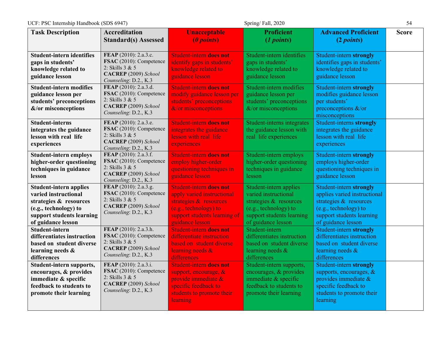UCF: PSC Internship Handbook (SDS 6947) Spring/ Fall, 2020 Spring/ Fall, 2020

| <b>Task Description</b>                                                                                                                                     | <b>Accreditation</b><br><b>Standard(s) Assessed</b>                                                                  | <b>Unacceptable</b><br>(0 points)                                                                                                                                  | <b>Proficient</b><br>(1 points)                                                                                                                      | <b>Advanced Proficient</b><br>(2 points)                                                                                                                      | <b>Score</b> |
|-------------------------------------------------------------------------------------------------------------------------------------------------------------|----------------------------------------------------------------------------------------------------------------------|--------------------------------------------------------------------------------------------------------------------------------------------------------------------|------------------------------------------------------------------------------------------------------------------------------------------------------|---------------------------------------------------------------------------------------------------------------------------------------------------------------|--------------|
| <b>Student-intern identifies</b><br>gaps in students'<br>knowledge related to<br>guidance lesson                                                            | FEAP (2010): 2.a.3.c.<br>FSAC (2010): Competence<br>2: Skills 3 & 5<br>CACREP (2009) School<br>Counseling: D.2., K.3 | <b>Student-intern does not</b><br>identify gaps in students'<br>knowledge related to<br>guidance lesson                                                            | Student-intern identifies<br>gaps in students'<br>knowledge related to<br>guidance lesson                                                            | Student-intern strongly<br>identifies gaps in students'<br>knowledge related to<br>guidance lesson                                                            |              |
| <b>Student-intern modifies</b><br>guidance lesson per<br>students' preconceptions<br>&/or misconceptions                                                    | FEAP (2010): 2.a.3.d.<br>FSAC (2010): Competence<br>2: Skills 3 & 5<br>CACREP (2009) School<br>Counseling: D.2., K.3 | <b>Student-intern does not</b><br>modify guidance lesson per<br>students' preconceptions<br>&/or misconceptions                                                    | Student-intern modifies<br>guidance lesson per<br>students' preconceptions<br>$&$ /or misconceptions                                                 | Student-intern strongly<br>modifies guidance lesson<br>per students'<br>preconceptions $\&$ /or<br>misconceptions                                             |              |
| <b>Student-interns</b><br>integrates the guidance<br>lesson with real life<br>experiences                                                                   | FEAP (2010): 2.a.3.e.<br>FSAC (2010): Competence<br>2: Skills 3 & 5<br>CACREP (2009) School<br>Counseling: D.2., K.3 | <b>Student-intern does not</b><br>integrates the guidance<br>lesson with real life<br>experiences                                                                  | Student-interns integrates<br>the guidance lesson with<br>real life experiences                                                                      | Student-interns strongly<br>integrates the guidance<br>lesson with real life<br>experiences                                                                   |              |
| <b>Student-intern employs</b><br>higher-order questioning<br>techniques in guidance<br>lesson                                                               | FEAP (2010): 2.a.3.f.<br>FSAC (2010): Competence<br>2: Skills 3 & 5<br>CACREP (2009) School<br>Counseling: D.2., K.3 | <b>Student-intern does not</b><br>employ higher-order<br>questioning techniques in<br>guidance lesson                                                              | Student-intern employs<br>higher-order questioning<br>techniques in guidance<br>lesson                                                               | Student-intern strongly<br>employs higher-order<br>questioning techniques in<br>guidance lesson                                                               |              |
| <b>Student-intern applies</b><br>varied instructional<br>strategies & resources<br>(e.g., technology) to<br>support students learning<br>of guidance lesson | FEAP (2010): 2.a.3.g.<br>FSAC (2010): Competence<br>2: Skills 3 & 5<br>CACREP (2009) School<br>Counseling: D.2., K.3 | <b>Student-intern does not</b><br>apply varied instructional<br>strategies & resources<br>(e.g., technology) to<br>support students learning of<br>guidance lesson | Student-intern applies<br>varied instructional<br>strategies & resources<br>(e.g., technology) to<br>support students learning<br>of guidance lesson | Student-intern strongly<br>applies varied instructional<br>strategies & resources<br>(e.g., technology) to<br>support students learning<br>of guidance lesson |              |
| Student-intern<br>differentiates instruction<br>based on student diverse<br>learning needs &<br>differences                                                 | FEAP (2010): 2.a.3.h.<br>FSAC (2010): Competence<br>2: Skills 3 & 5<br>CACREP (2009) School<br>Counseling: D.2., K.3 | <b>Student-intern does not</b><br>differentiate instruction<br>based on student diverse<br>learning needs &<br>differences                                         | Student-intern<br>differentiates instruction<br>based on student diverse<br>learning needs &<br>differences                                          | Student-intern strongly<br>differentiates instruction<br>based on student diverse<br>learning needs &<br>differences                                          |              |
| Student-intern supports,<br>encourages, & provides<br>immediate & specific<br>feedback to students to<br>promote their learning                             | FEAP (2010): 2.a.3.i.<br>FSAC (2010): Competence<br>2: Skills 3 & 5<br>CACREP (2009) School<br>Counseling: D.2., K.3 | <b>Student-intern does not</b><br>support, encourage, $\&$<br>provide immediate $\&$<br>specific feedback to<br>students to promote their<br>learning              | Student-intern supports,<br>encourages, & provides<br>immediate & specific<br>feedback to students to<br>promote their learning                      | Student-intern strongly<br>supports, encourages, $\&$<br>provides immediate $\&$<br>specific feedback to<br>students to promote their<br>learning             |              |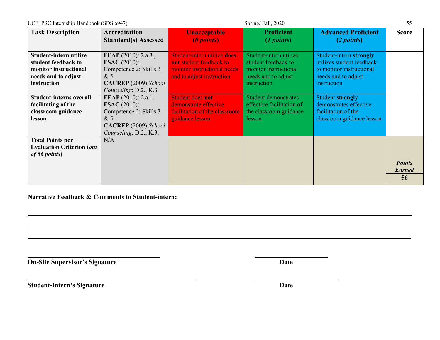| UCF: PSC Internship Handbook (SDS 6947)<br>Spring/Fall, 2020 |                              |                               |                             | 55                         |               |
|--------------------------------------------------------------|------------------------------|-------------------------------|-----------------------------|----------------------------|---------------|
| <b>Task Description</b>                                      | <b>Accreditation</b>         | <b>Unacceptable</b>           | <b>Proficient</b>           | <b>Advanced Proficient</b> | <b>Score</b>  |
|                                                              | <b>Standard(s)</b> Assessed  | ( <i>l</i> points)            | (1 points)                  | (2 points)                 |               |
|                                                              |                              |                               |                             |                            |               |
| Student-intern utilize                                       | <b>FEAP</b> (2010): 2.a.3.j. | Student-intern utilize does   | Student-intern utilize      | Student-intern strongly    |               |
| student feedback to                                          | <b>FSAC</b> (2010):          | not student feedback to       | student feedback to         | utilizes student feedback  |               |
| monitor instructional                                        | Competence 2: Skills 3       | monitor instructional needs   | monitor instructional       | to monitor instructional   |               |
| needs and to adjust                                          | &5                           | and to adjust instruction     | needs and to adjust         | needs and to adjust        |               |
| instruction                                                  | <b>CACREP</b> (2009) School  |                               | instruction                 | instruction                |               |
|                                                              | Counseling: D.2., K.3        |                               |                             |                            |               |
| <b>Student-interns overall</b>                               | <b>FEAP</b> (2010): 2.a.1.   | <b>Student does not</b>       | <b>Student demonstrates</b> | <b>Student strongly</b>    |               |
| facilitating of the                                          | <b>FSAC</b> (2010):          | demonstrate effective         | effective facilitation of   | demonstrates effective     |               |
| classroom guidance                                           | Competence 2: Skills 3       | facilitation of the classroom | the classroom guidance      | facilitation of the        |               |
| lesson                                                       | &5                           | guidance lesson               | lesson                      | classroom guidance lesson  |               |
|                                                              | <b>CACREP</b> (2009) School  |                               |                             |                            |               |
|                                                              | Counseling: D.2., K.3.       |                               |                             |                            |               |
| <b>Total Points per</b>                                      | N/A                          |                               |                             |                            |               |
| <b>Evaluation Criterion (out</b>                             |                              |                               |                             |                            |               |
| of 56 points)                                                |                              |                               |                             |                            |               |
|                                                              |                              |                               |                             |                            | <b>Points</b> |
|                                                              |                              |                               |                             |                            | <b>Earned</b> |
|                                                              |                              |                               |                             |                            | 56            |
|                                                              |                              |                               |                             |                            |               |

**\_\_\_\_\_\_\_\_\_\_\_\_\_\_\_\_\_\_\_\_\_\_\_\_\_\_\_\_\_\_\_\_\_\_\_\_\_\_\_\_\_\_\_\_\_\_\_\_\_\_\_\_\_\_\_\_\_\_\_\_\_\_\_\_\_\_\_\_\_\_\_\_\_\_\_\_\_\_\_\_\_\_\_\_\_\_\_\_\_\_\_\_\_\_\_\_\_\_\_\_\_\_\_\_\_\_\_\_\_\_\_**

**\_\_\_\_\_\_\_\_\_\_\_\_\_\_\_\_\_\_\_\_\_\_\_\_\_\_\_\_\_\_\_\_\_\_\_\_\_\_\_\_\_\_\_\_\_\_\_\_\_\_\_\_\_\_\_\_\_\_\_\_\_\_\_\_\_\_\_\_\_\_\_\_\_\_\_\_\_\_\_\_\_\_\_\_\_\_\_\_\_\_\_\_\_\_\_\_\_\_\_\_\_\_\_\_\_\_\_\_\_\_\_\_\_\_\_**

**Narrative Feedback & Comments to Student-intern:**

**On-Site Supervisor's Signature Date** 

**Student-Intern's Signature Date** 

**\_\_\_\_\_**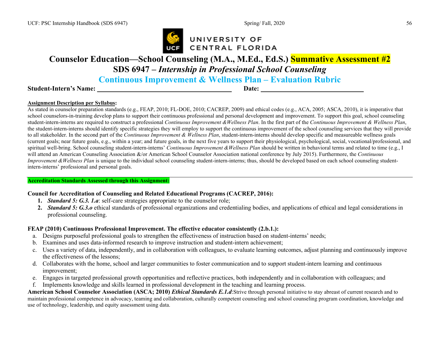

# **Counselor Education—School Counseling (M.A., M.Ed., Ed.S.) Summative Assessment #2**

**SDS 6947 –** *Internship in Professional School Counseling*

**Continuous Improvement & Wellness Plan – Evaluation Rubric**

#### **Student-Intern's Name:**  $\blacksquare$

#### **Assignment Description per Syllabus:**

As stated in counselor preparation standards (e.g., FEAP, 2010; FL-DOE, 2010; CACREP, 2009) and ethical codes (e.g., ACA, 2005; ASCA, 2010), it is imperative that school counselors-in-training develop plans to support their continuous professional and personal development and improvement. To support this goal, school counseling student-intern-interns are required to construct a professional *Continuous Improvement &Wellness Plan*. In the first part of the *Continuous Improvement & Wellness Plan*, the student-intern-interns should identify specific strategies they will employ to support the continuous improvement of the school counseling services that they will provide to all stakeholder. In the second part of the *Continuous Improvement & Wellness Plan*, student-intern-interns should develop specific and measureable wellness goals (current goals; near future goals, e.g., within a year; and future goals, in the next five years to support their physiological, psychological, social, vocational/professional, and spiritual well-bring. School counseling student-intern-interns' *Continuous Improvement &Wellness Plan* should be written in behavioral terms and related to time (e.g., I will attend an American Counseling Association &/or American School Counselor Association national conference by July 2015). Furthermore, the *Continuous Improvement* & Wellness Plan is unique to the individual school counseling student-intern-interns; thus, should be developed based on each school counseling studentintern-interns' professional and personal goals.

#### **Accreditation Standards Assessed through this Assignment:**

#### **Council for Accreditation of Counseling and Related Educational Programs (CACREP, 2016):**

- **1.** *Standard 5: G.3. 1.a*: self-care strategies appropriate to the counselor role;
- **2.** *Standard 5: G.3.o* ethical standards of professional organizations and credentialing bodies, and applications of ethical and legal considerations in professional counseling.

#### **FEAP (2010) Continuous Professional Improvement. The effective educator consistently (2.b.1.):**

- a. Designs purposeful professional goals to strengthen the effectiveness of instruction based on student-interns' needs;
- b. Examines and uses data-informed research to improve instruction and student-intern achievement;
- c. Uses a variety of data, independently, and in collaboration with colleagues, to evaluate learning outcomes, adjust planning and continuously improve the effectiveness of the lessons;
- d. Collaborates with the home, school and larger communities to foster communication and to support student-intern learning and continuous improvement;
- e. Engages in targeted professional growth opportunities and reflective practices, both independently and in collaboration with colleagues; and
- f. Implements knowledge and skills learned in professional development in the teaching and learning process.

**American School Counselor Association (ASCA; 2010)** *Ethical Standards E.1.d*:Strive through personal initiative to stay abreast of current research and to maintain professional competence in advocacy, teaming and collaboration, culturally competent counseling and school counseling program coordination, knowledge and use of technology, leadership, and equity assessment using data.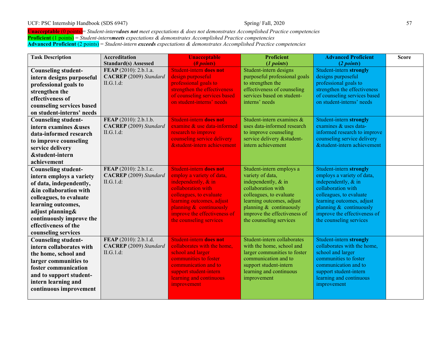#### UCF: PSC Internship Handbook (SDS 6947) Spring/ Fall, 2020 Spring/ Fall, 2020

**Unacceptable** (0 points)= *Student-interndoes not meet expectations & does not demonstrates Accomplished Practice competencies* **Proficient** (1 points) = *Student-internmeets expectations & demonstrates Accomplished Practice competencies* **Advanced Proficient** (2 points) = *Student-intern exceeds expectations & demonstrates Accomplished Practice competencies*

| <b>Task Description</b>    | <b>Accreditation</b>          | <b>Unacceptable</b>            | <b>Proficient</b>             | <b>Advanced Proficient</b>   | <b>Score</b> |
|----------------------------|-------------------------------|--------------------------------|-------------------------------|------------------------------|--------------|
|                            | <b>Standard(s) Assessed</b>   | (0 points)                     | (1 points)                    | (2 points)                   |              |
| <b>Counseling student-</b> | FEAP (2010): 2.b.1.a.         | <b>Student-intern does not</b> | Student-intern designs        | Student-intern strongly      |              |
| intern designs purposeful  | <b>CACREP</b> (2009) Standard | design purposeful              | purposeful professional goals | designs purposeful           |              |
| professional goals to      | II.G.1.d:                     | professional goals to          | to strengthen the             | professional goals to        |              |
| strengthen the             |                               | strengthen the effectiveness   | effectiveness of counseling   | strengthen the effectiveness |              |
| effectiveness of           |                               | of counseling services based   | services based on student-    | of counseling services based |              |
| counseling services based  |                               | on student-interns' needs      | interns' needs                | on student-interns' needs    |              |
| on student-interns' needs  |                               |                                |                               |                              |              |
| <b>Counseling student-</b> | FEAP (2010): 2.b.1.b.         | Student-intern does not        | Student-intern examines &     | Student-intern strongly      |              |
| intern examines &uses      | <b>CACREP</b> (2009) Standard | examine & use data-informed    | uses data-informed research   | examines & uses data-        |              |
| data-informed research     | II.G.1.d:                     | research to improve            | to improve counseling         | informed research to improve |              |
| to improve counseling      |                               | counseling service delivery    | service delivery & student-   | counseling service delivery  |              |
| service delivery           |                               | &student-intern achievement    | intern achievement            | &student-intern achievement  |              |
| &student-intern            |                               |                                |                               |                              |              |
| achievement                |                               |                                |                               |                              |              |
| <b>Counseling student-</b> | FEAP (2010): 2.b.1.c.         | Student-intern does not        | Student-intern employs a      | Student-intern strongly      |              |
| intern employs a variety   | <b>CACREP</b> (2009) Standard | employ a variety of data,      | variety of data,              | employs a variety of data,   |              |
| of data, independently,    | II.G.1.d:                     | independently, & in            | independently, & in           | independently, & in          |              |
| ∈ collaboration with       |                               | collaboration with             | collaboration with            | collaboration with           |              |
| colleagues, to evaluate    |                               | colleagues, to evaluate        | colleagues, to evaluate       | colleagues, to evaluate      |              |
| learning outcomes,         |                               | learning outcomes, adjust      | learning outcomes, adjust     | learning outcomes, adjust    |              |
| adjust planning&           |                               | planning & continuously        | planning $&$ continuously     | planning $&$ continuously    |              |
| continuously improve the   |                               | improve the effectiveness of   | improve the effectiveness of  | improve the effectiveness of |              |
| effectiveness of the       |                               | the counseling services        | the counseling services       | the counseling services      |              |
| counseling services        |                               |                                |                               |                              |              |
| <b>Counseling student-</b> | FEAP (2010): 2.b.1.d.         | Student-intern does not        | Student-intern collaborates   | Student-intern strongly      |              |
| intern collaborates with   | <b>CACREP</b> (2009) Standard | collaborates with the home,    | with the home, school and     | collaborates with the home,  |              |
| the home, school and       | II.G.1.d:                     | school and larger              | larger communities to foster  | school and larger            |              |
| larger communities to      |                               | communities to foster          | communication and to          | communities to foster        |              |
| foster communication       |                               | communication and to           | support student-intern        | communication and to         |              |
| and to support student-    |                               | support student-intern         | learning and continuous       | support student-intern       |              |
| intern learning and        |                               | learning and continuous        | improvement                   | learning and continuous      |              |
| continuous improvement     |                               | improvement                    |                               | improvement                  |              |
|                            |                               |                                |                               |                              |              |
|                            |                               |                                |                               |                              |              |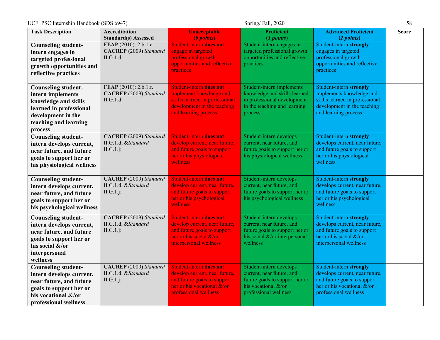| UCF: PSC Internship Handbook (SDS 6947)<br>Spring/Fall, 2020                                                                                                 |                                                                     |                                                                                                                                                         |                                                                                                                                        |                                                                                                                                                          | 58           |
|--------------------------------------------------------------------------------------------------------------------------------------------------------------|---------------------------------------------------------------------|---------------------------------------------------------------------------------------------------------------------------------------------------------|----------------------------------------------------------------------------------------------------------------------------------------|----------------------------------------------------------------------------------------------------------------------------------------------------------|--------------|
| <b>Task Description</b>                                                                                                                                      | <b>Accreditation</b><br><b>Standard(s) Assessed</b>                 | <b>Unacceptable</b><br>(0 points)                                                                                                                       | <b>Proficient</b><br>(1 points)                                                                                                        | <b>Advanced Proficient</b><br>(2 points)                                                                                                                 | <b>Score</b> |
| <b>Counseling student-</b><br>intern engages in<br>targeted professional<br>growth opportunities and<br>reflective practices                                 | FEAP (2010): 2.b.1.e.<br><b>CACREP</b> (2009) Standard<br>II.G.1.d: | <b>Student-intern does not</b><br>engage in targeted<br>professional growth<br>opportunities and reflective<br><i>practices</i>                         | Student-intern engages in<br>targeted professional growth<br>opportunities and reflective<br>practices                                 | Student-intern strongly<br>engages in targeted<br>professional growth<br>opportunities and reflective<br>practices                                       |              |
| <b>Counseling student-</b><br>intern implements<br>knowledge and skills<br>learned in professional<br>development in the<br>teaching and learning<br>process | FEAP (2010): 2.b.1.f.<br><b>CACREP</b> (2009) Standard<br>II.G.1.d: | <b>Student-intern does not</b><br>implement knowledge and<br>skills learned in professional<br>development in the teaching<br>and learning process      | Student-intern implements<br>knowledge and skills learned<br>in professional development<br>in the teaching and learning<br>process    | Student-intern strongly<br>implements knowledge and<br>skills learned in professional<br>development in the teaching<br>and learning process             |              |
| <b>Counseling student-</b><br>intern develops current,<br>near future, and future<br>goals to support her or<br>his physiological wellness                   | <b>CACREP</b> (2009) Standard<br>II.G.1.d; &Standard<br>II.G.1.j:   | Student-intern does not<br>develop current, near future,<br>and future goals to support<br>her or his physiological<br>wellness                         | Student-intern develops<br>current, near future, and<br>future goals to support her or<br>his physiological wellness                   | Student-intern strongly<br>develops current, near future,<br>and future goals to support<br>her or his physiological<br>wellness                         |              |
| <b>Counseling student-</b><br>intern develops current,<br>near future, and future<br>goals to support her or<br>his psychological wellness                   | <b>CACREP</b> (2009) Standard<br>II.G.1.d; &Standard<br>II.G.1.j:   | <b>Student-intern does not</b><br>develop current, near future,<br>and future goals to support<br>her or his psychological<br>wellness                  | Student-intern develops<br>current, near future, and<br>future goals to support her or<br>his psychological wellness                   | Student-intern strongly<br>develops current, near future,<br>and future goals to support<br>her or his psychological<br>wellness                         |              |
| <b>Counseling student-</b><br>intern develops current,<br>near future, and future<br>goals to support her or<br>his social &/or<br>interpersonal<br>wellness | <b>CACREP</b> (2009) Standard<br>II.G.1.d; &Standard<br>II.G.1.j:   | Student-intern does not<br>develop current, near future,<br>and future goals to support<br>her or his social &/or<br>interpersonal wellness             | Student-intern develops<br>current, near future, and<br>future goals to support her or<br>his social &/or interpersonal<br>wellness    | Student-intern strongly<br>develops current, near future,<br>and future goals to support<br>her or his social &/or<br>interpersonal wellness             |              |
| <b>Counseling student-</b><br>intern develops current,<br>near future, and future<br>goals to support her or<br>his vocational &/or<br>professional wellness | <b>CACREP</b> (2009) Standard<br>II.G.1.d; &Standard<br>II.G.1.j:   | Student-intern does not<br>develop current, near future,<br>and future goals to support<br>her or his vocational $&\text{/or}$<br>professional wellness | Student-intern develops<br>current, near future, and<br>future goals to support her or<br>his vocational &/or<br>professional wellness | Student-intern strongly<br>develops current, near future,<br>and future goals to support<br>her or his vocational $&\text{/or}$<br>professional wellness |              |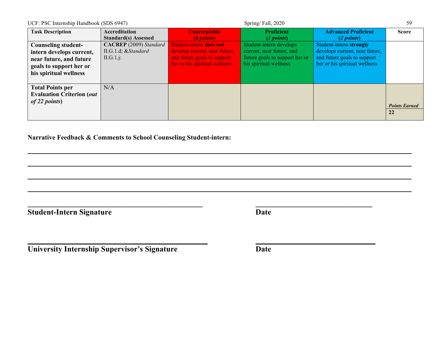| UCF: PSC Internship Handbook (SDS 6947)                                                                                                |                                                                    |                                                                                                                          | Spring/Fall, 2020                                                                                                |                                                                                                                           | 59                         |
|----------------------------------------------------------------------------------------------------------------------------------------|--------------------------------------------------------------------|--------------------------------------------------------------------------------------------------------------------------|------------------------------------------------------------------------------------------------------------------|---------------------------------------------------------------------------------------------------------------------------|----------------------------|
| <b>Task Description</b>                                                                                                                | Accreditation<br><b>Standard(s)</b> Assessed                       | <b>Unacceptable</b><br>(0 points)                                                                                        | <b>Proficient</b><br>$(1 \text{ points})$                                                                        | <b>Advanced Proficient</b><br>(2 points)                                                                                  | <b>Score</b>               |
| <b>Counseling student-</b><br>intern develops current,<br>near future, and future<br>goals to support her or<br>his spiritual wellness | <b>CACREP</b> (2009) Standard<br>II.G.1.d; & Standard<br>II.G.1.j: | Student-intern does not<br>develop current, near future,<br>and future goals to support<br>her or his spiritual wellness | Student-intern develops<br>current, near future, and<br>future goals to support her or<br>his spiritual wellness | Student-intern strongly<br>develops current, near future,<br>and future goals to support<br>her or his spiritual wellness |                            |
| <b>Total Points per</b><br><b>Evaluation Criterion (out</b><br>of 22 points)                                                           | N/A                                                                |                                                                                                                          |                                                                                                                  |                                                                                                                           | <b>Points Earned</b><br>22 |

**\_\_\_\_\_\_\_\_\_\_\_\_\_\_\_\_\_\_\_\_\_\_\_\_\_\_\_\_\_\_\_\_\_\_\_\_\_\_\_\_\_\_\_\_\_ \_\_\_\_\_\_\_\_\_\_\_\_\_\_\_\_\_\_\_\_\_\_\_\_\_\_\_\_\_\_**

**Narrative Feedback & Comments to School Counseling Student-intern:**

**Student-Intern Signature Date** 

**University Internship Supervisor's Signature Date**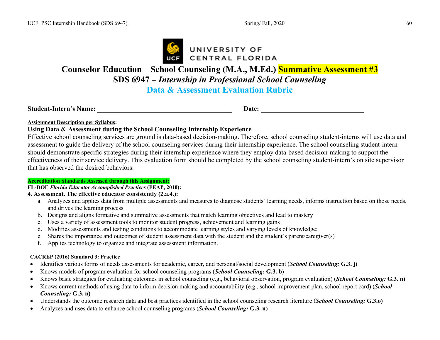

# **Counselor Education—School Counseling (M.A., M.Ed.) Summative Assessment #3 SDS 6947 –** *Internship in Professional School Counseling* **Data & Assessment Evaluation Rubric**

**Student-Intern's Name: Date:** 

#### **Assignment Description per Syllabus:**

#### **Using Data & Assessment during the School Counseling Internship Experience**

Effective school counseling services are ground is data-based decision-making. Therefore, school counseling student-interns will use data and assessment to guide the delivery of the school counseling services during their internship experience. The school counseling student-intern should demonstrate specific strategies during their internship experience where they employ data-based decision-making to support the effectiveness of their service delivery. This evaluation form should be completed by the school counseling student-intern's on site supervisor that has observed the desired behaviors.

#### **Accreditation Standards Assessed through this Assignment:**

#### **FL-DOE** *Florida Educator Accomplished Practices* **(FEAP, 2010):**

#### **4. Assessment. The effective educator consistently (2.a.4.):**

- a. Analyzes and applies data from multiple assessments and measures to diagnose students' learning needs, informs instruction based on those needs, and drives the learning process
- b. Designs and aligns formative and summative assessments that match learning objectives and lead to mastery
- c. Uses a variety of assessment tools to monitor student progress, achievement and learning gains
- d. Modifies assessments and testing conditions to accommodate learning styles and varying levels of knowledge;
- e. Shares the importance and outcomes of student assessment data with the student and the student's parent/caregiver(s)
- f. Applies technology to organize and integrate assessment information.

#### **CACREP (2016) Standard 3: Practice**

- Identifies various forms of needs assessments for academic, career, and personal/social development (*School Counseling:* **G.3. j)**
- Knows models of program evaluation for school counseling programs (*School Counseling:* **G.3. b)**
- Knows basic strategies for evaluating outcomes in school counseling (e.g., behavioral observation, program evaluation) (*School Counseling:* **G.3. n)**
- Knows current methods of using data to inform decision making and accountability (e.g., school improvement plan, school report card) (*School Counseling:* **G.3. n)**
- Understands the outcome research data and best practices identified in the school counseling research literature (*School Counseling:* **G.3.o)**
- Analyzes and uses data to enhance school counseling programs (*School Counseling:* **G.3. n)**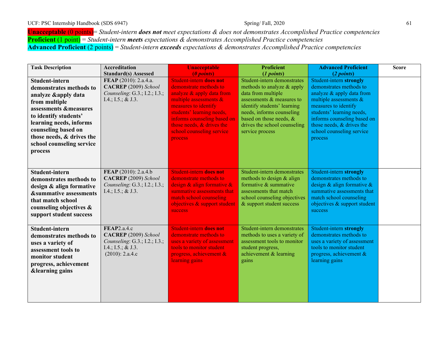**Unacceptable** (0 points)= *Student-intern does not meet expectations & does not demonstrates Accomplished Practice competencies* **Proficient** (1 point) = *Student-intern meets expectations & demonstrates Accomplished Practice competencies* **Advanced Proficient** (2 points) = *Student-intern exceeds expectations & demonstrates Accomplished Practice competencies*

| <b>Task Description</b>           | <b>Accreditation</b>          | <b>Unacceptable</b>                                      | <b>Proficient</b>                                    | <b>Advanced Proficient</b>                               | <b>Score</b> |
|-----------------------------------|-------------------------------|----------------------------------------------------------|------------------------------------------------------|----------------------------------------------------------|--------------|
|                                   | <b>Standard(s) Assessed</b>   | (0 points)                                               | (1 points)                                           | (2 points)                                               |              |
| Student-intern                    | FEAP (2010): 2.a.4.a.         | <b>Student-intern does not</b>                           | Student-intern demonstrates                          | Student-intern strongly                                  |              |
| demonstrates methods to           | CACREP (2009) School          | demonstrate methods to                                   | methods to analyze & apply                           | demonstrates methods to                                  |              |
| analyze & apply data              | Counseling: G.3.; I.2.; I.3.; | analyze & apply data from                                | data from multiple                                   | analyze & apply data from                                |              |
| from multiple                     | I.4.; I.5.; & J.3.            | multiple assessments &                                   | assessments $\&$ measures to                         | multiple assessments &                                   |              |
| assessments &measures             |                               | measures to identify                                     | identify students' learning                          | measures to identify                                     |              |
| to identify students'             |                               | students' learning needs,                                | needs, informs counseling<br>based on those needs, & | students' learning needs,                                |              |
| learning needs, informs           |                               | informs counseling based on<br>those needs, & drives the | drives the school counseling                         | informs counseling based on<br>those needs, & drives the |              |
| counseling based on               |                               | school counseling service                                | service process                                      | school counseling service                                |              |
| those needs, & drives the         |                               |                                                          |                                                      | process                                                  |              |
| school counseling service         |                               | process                                                  |                                                      |                                                          |              |
| process                           |                               |                                                          |                                                      |                                                          |              |
|                                   |                               |                                                          |                                                      |                                                          |              |
|                                   |                               |                                                          |                                                      |                                                          |              |
| Student-intern                    | FEAP (2010): 2.a.4.b          | <b>Student-intern does not</b>                           | Student-intern demonstrates                          | Student-intern strongly                                  |              |
|                                   | CACREP (2009) School          | demonstrate methods to                                   | methods to design & align                            | demonstrates methods to                                  |              |
| demonstrates methods to           | Counseling: G.3.; I.2.; I.3.; | design & align formative &                               | formative & summative                                | design $\&$ align formative $\&$                         |              |
| design & align formative          | I.4.; I.5.; & J.3.            | summative assessments that                               | assessments that match                               | summative assessments that                               |              |
| <b>&amp;summative assessments</b> |                               | match school counseling                                  | school counseling objectives                         | match school counseling                                  |              |
| that match school                 |                               | objectives & support student                             | & support student success                            | objectives & support student                             |              |
| counseling objectives &           |                               | <b>success</b>                                           |                                                      | success                                                  |              |
| support student success           |                               |                                                          |                                                      |                                                          |              |
|                                   |                               |                                                          |                                                      |                                                          |              |
| Student-intern                    | FEAP2.a.4.c                   | <b>Student-intern does not</b>                           | Student-intern demonstrates                          | Student-intern strongly                                  |              |
| demonstrates methods to           | CACREP (2009) School          | demonstrate methods to                                   | methods to uses a variety of                         | demonstrates methods to                                  |              |
| uses a variety of                 | Counseling: G.3.; I.2.; I.3.; | uses a variety of assessment                             | assessment tools to monitor                          | uses a variety of assessment                             |              |
| assessment tools to               | I.4.; I.5.; & J.3.            | tools to monitor student                                 | student progress,                                    | tools to monitor student                                 |              |
| monitor student                   | (2010): 2.a.4.c               | progress, achievement $\&$                               | achievement & learning                               | progress, achievement $\&$                               |              |
| progress, achievement             |                               | learning gains                                           | gains                                                | learning gains                                           |              |
| <b>&amp;learning gains</b>        |                               |                                                          |                                                      |                                                          |              |
|                                   |                               |                                                          |                                                      |                                                          |              |
|                                   |                               |                                                          |                                                      |                                                          |              |
|                                   |                               |                                                          |                                                      |                                                          |              |
|                                   |                               |                                                          |                                                      |                                                          |              |
|                                   |                               |                                                          |                                                      |                                                          |              |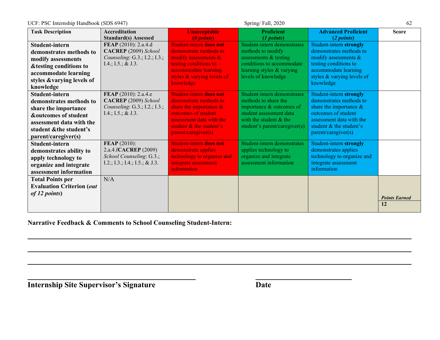UCF: PSC Internship Handbook (SDS 6947) Spring/ Fall, 2020 Spring/ Fall, 2020

| <b>Task Description</b><br><b>Unacceptable</b><br><b>Accreditation</b>             | <b>Proficient</b>             | <b>Advanced Proficient</b>                          | <b>Score</b>         |
|------------------------------------------------------------------------------------|-------------------------------|-----------------------------------------------------|----------------------|
| <b>Standard(s) Assessed</b><br>(0 points)                                          | (1 points)                    | (2 points)                                          |                      |
| FEAP (2010): 2.a.4.d<br>Student-intern does not<br>Student-intern                  | Student-intern demonstrates   | Student-intern strongly                             |                      |
| CACREP (2009) School<br>demonstrate methods to<br>demonstrates methods to          | methods to modify             | demonstrates methods to                             |                      |
| Counseling: G.3.; I.2.; I.3.;<br>modify assessments $\&$<br>modify assessments     | assessments & testing         | modify assessments &                                |                      |
| testing conditions to<br>I.4.; I.5.; & J.3.<br><b>&amp;testing conditions to</b>   | conditions to accommodate     | testing conditions to                               |                      |
| accommodate learning<br>accommodate learning                                       | learning styles & varying     | accommodate learning                                |                      |
| styles & varying levels of<br>styles &varying levels of<br>knowledge               | levels of knowledge           | styles & varying levels of<br>knowledge             |                      |
| knowledge                                                                          |                               |                                                     |                      |
| FEAP (2010): 2.a.4.e<br><b>Student-intern does not</b><br>Student-intern           | Student-intern demonstrates   | Student-intern strongly                             |                      |
| CACREP (2009) School<br>demonstrate methods to<br>demonstrates methods to          | methods to share the          | demonstrates methods to                             |                      |
| Counseling: G.3.; I.2.; I.3.;<br>share the importance $\&$<br>share the importance | importance & outcomes of      | share the importance $\&$                           |                      |
| outcomes of student<br>I.4.; I.5.; & J.3.<br><b>&amp;outcomes of student</b>       | student assessment data       | outcomes of student                                 |                      |
| assessment data with the<br>assessment data with the<br>student & the student's    | with the student & the        | assessment data with the<br>student & the student's |                      |
| student & the student's<br>parent/caregiver(s)                                     | student's parent/caregiver(s) | parent/caregiver(s)                                 |                      |
| parent/caregiver(s)                                                                |                               |                                                     |                      |
| <b>FEAP</b> (2010):<br><b>Student-intern does not</b><br>Student-intern            | Student-intern demonstrates   | Student-intern strongly                             |                      |
| 2.a.4.fCACREP (2009)<br>demonstrate applies<br>demonstrates ability to             | applies technology to         | demonstrates applies                                |                      |
| School Counseling: G.3.;<br>technology to organize and<br>apply technology to      | organize and integrate        | technology to organize and                          |                      |
| I.2.; I.3.; I.4.; I.5.; & J.3.<br>integrate assessment<br>organize and integrate   | assessment information        | integrate assessment<br>information                 |                      |
| information<br>assessment information                                              |                               |                                                     |                      |
| N/A<br><b>Total Points per</b>                                                     |                               |                                                     |                      |
| <b>Evaluation Criterion (out</b>                                                   |                               |                                                     |                      |
| <i>of 12 points</i> )                                                              |                               |                                                     |                      |
|                                                                                    |                               |                                                     | <b>Points Earned</b> |
|                                                                                    |                               |                                                     | 12                   |

**Narrative Feedback & Comments to School Counseling Student-Intern:**

**Internship Site Supervisor's Signature Date**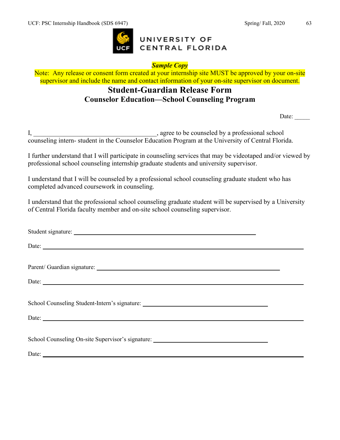

#### *Sample Copy*

Note: Any release or consent form created at your internship site MUST be approved by your on-site supervisor and include the name and contact information of your on-site supervisor on document.

# **Student-Guardian Release Form Counselor Education—School Counseling Program**

Date:

I, \_\_\_\_\_\_\_\_\_\_\_\_\_\_\_\_\_\_\_\_\_\_\_\_\_\_\_\_\_\_\_\_\_\_\_\_\_, agree to be counseled by a professional school counseling intern- student in the Counselor Education Program at the University of Central Florida.

I further understand that I will participate in counseling services that may be videotaped and/or viewed by professional school counseling internship graduate students and university supervisor.

I understand that I will be counseled by a professional school counseling graduate student who has completed advanced coursework in counseling.

I understand that the professional school counseling graduate student will be supervised by a University of Central Florida faculty member and on-site school counseling supervisor.

| Student signature:                                                                                                                                                                                                                                                                                                                                                                                            |  |
|---------------------------------------------------------------------------------------------------------------------------------------------------------------------------------------------------------------------------------------------------------------------------------------------------------------------------------------------------------------------------------------------------------------|--|
| Date:                                                                                                                                                                                                                                                                                                                                                                                                         |  |
|                                                                                                                                                                                                                                                                                                                                                                                                               |  |
| Parent/ Guardian signature: Manual Communication of the Communication of the Communication of the Communication                                                                                                                                                                                                                                                                                               |  |
| Date:                                                                                                                                                                                                                                                                                                                                                                                                         |  |
|                                                                                                                                                                                                                                                                                                                                                                                                               |  |
| School Counseling Student-Intern's signature: ___________________________________                                                                                                                                                                                                                                                                                                                             |  |
| Date: $\frac{1}{\sqrt{1-\frac{1}{2}}\sqrt{1-\frac{1}{2}}\sqrt{1-\frac{1}{2}}\sqrt{1-\frac{1}{2}}\sqrt{1-\frac{1}{2}}\sqrt{1-\frac{1}{2}}\sqrt{1-\frac{1}{2}}\sqrt{1-\frac{1}{2}}\sqrt{1-\frac{1}{2}}\sqrt{1-\frac{1}{2}}\sqrt{1-\frac{1}{2}}\sqrt{1-\frac{1}{2}}\sqrt{1-\frac{1}{2}}\sqrt{1-\frac{1}{2}}\sqrt{1-\frac{1}{2}}\sqrt{1-\frac{1}{2}}\sqrt{1-\frac{1}{2}}\sqrt{1-\frac{1}{2}}\sqrt{1-\frac{1}{2}}$ |  |
|                                                                                                                                                                                                                                                                                                                                                                                                               |  |
| School Counseling On-site Supervisor's signature: _______________________________                                                                                                                                                                                                                                                                                                                             |  |
|                                                                                                                                                                                                                                                                                                                                                                                                               |  |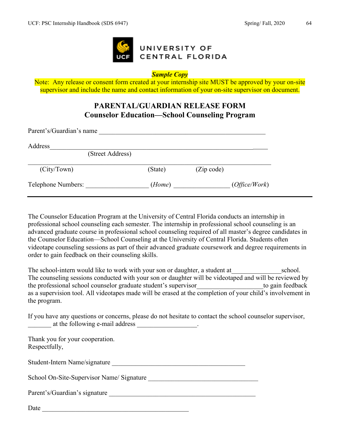

#### *Sample Copy*

Note: Any release or consent form created at your internship site MUST be approved by your on-site supervisor and include the name and contact information of your on-site supervisor on document.

# **PARENTAL/GUARDIAN RELEASE FORM Counselor Education—School Counseling Program**

| Parent's/Guardian's name |         |            |               |  |
|--------------------------|---------|------------|---------------|--|
| Address                  |         |            |               |  |
| (Street Address)         |         |            |               |  |
| (City/ Town)             | (State) | (Zip code) |               |  |
| Telephone Numbers:       | (Home)  |            | (Office/Work) |  |

The Counselor Education Program at the University of Central Florida conducts an internship in professional school counseling each semester. The internship in professional school counseling is an advanced graduate course in professional school counseling required of all master's degree candidates in the Counselor Education—School Counseling at the University of Central Florida. Students often videotape counseling sessions as part of their advanced graduate coursework and degree requirements in order to gain feedback on their counseling skills.

The school-intern would like to work with your son or daughter, a student at school. The counseling sessions conducted with your son or daughter will be videotaped and will be reviewed by the professional school counselor graduate student's supervisor to gain feedback as a supervision tool. All videotapes made will be erased at the completion of your child's involvement in the program.

If you have any questions or concerns, please do not hesitate to contact the school counselor supervisor, at the following e-mail address \_\_\_\_\_\_\_\_\_\_\_\_\_\_\_.

Thank you for your cooperation. Respectfully,

Student-Intern Name/signature

School On-Site-Supervisor Name/ Signature \_\_\_\_\_\_\_\_\_\_\_\_\_\_\_\_\_\_\_\_\_\_\_\_\_\_\_\_\_\_\_\_\_

Parent's/Guardian's signature \_\_\_\_\_\_\_\_\_\_\_\_\_\_\_\_\_\_\_\_\_\_\_\_\_\_\_\_\_\_\_\_\_\_\_\_\_\_\_\_\_\_\_\_

Date \_\_\_\_\_\_\_\_\_\_\_\_\_\_\_\_\_\_\_\_\_\_\_\_\_\_\_\_\_\_\_\_\_\_\_\_\_\_\_\_\_\_\_\_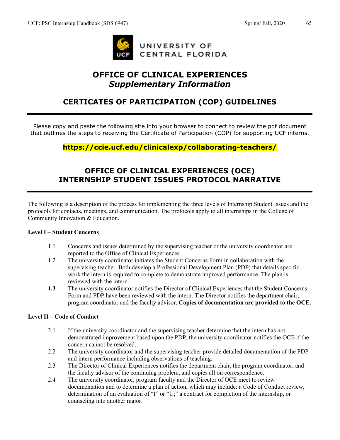

# **OFFICE OF CLINICAL EXPERIENCES** *Supplementary Information*

# **CERTICATES OF PARTICIPATION (COP) GUIDELINES**

Please copy and paste the following site into your browser to connect to review the pdf document that outlines the steps to receiving the Certificate of Participation (COP) for supporting UCF interns.

# **https://ccie.ucf.edu/clinicalexp/collaborating-teachers/**

# **OFFICE OF CLINICAL EXPERIENCES (OCE) INTERNSHIP STUDENT ISSUES PROTOCOL NARRATIVE**

The following is a description of the process for implementing the three levels of Internship Student Issues and the protocols for contacts, meetings, and communication. The protocols apply to all internships in the College of Community Innovation & Education.

#### **Level I – Student Concerns**

- 1.1 Concerns and issues determined by the supervising teacher or the university coordinator are reported to the Office of Clinical Experiences.
- 1.2 The university coordinator initiates the Student Concerns Form in collaboration with the supervising teacher. Both develop a Professional Development Plan (PDP) that details specific work the intern is required to complete to demonstrate improved performance. The plan is reviewed with the intern.
- **1.3** The university coordinator notifies the Director of Clinical Experiences that the Student Concerns Form and PDP have been reviewed with the intern. The Director notifies the department chair, program coordinator and the faculty advisor. **Copies of documentation are provided to the OCE.**

#### **Level II – Code of Conduct**

- 2.1 If the university coordinator and the supervising teacher determine that the intern has not demonstrated improvement based upon the PDP, the university coordinator notifies the OCE if the concern cannot be resolved.
- 2.2 The university coordinator and the supervising teacher provide detailed documentation of the PDP and intern performance including observations of teaching.
- 2.3 The Director of Clinical Experiences notifies the department chair, the program coordinator, and the faculty advisor of the continuing problem, and copies all on correspondence.
- 2.4 The university coordinator, program faculty and the Director of OCE meet to review documentation and to determine a plan of action, which may include: a Code of Conduct review; determination of an evaluation of "I" or "U;" a contract for completion of the internship, or counseling into another major.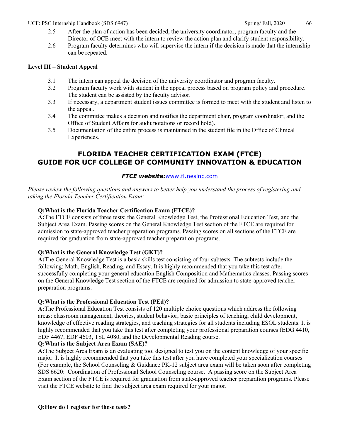- 2.5 After the plan of action has been decided, the university coordinator, program faculty and the Director of OCE meet with the intern to review the action plan and clarify student responsibility.
- 2.6 Program faculty determines who will supervise the intern if the decision is made that the internship can be repeated.

#### **Level III – Student Appeal**

- 3.1 The intern can appeal the decision of the university coordinator and program faculty.
- 3.2 Program faculty work with student in the appeal process based on program policy and procedure. The student can be assisted by the faculty advisor.
- 3.3 If necessary, a department student issues committee is formed to meet with the student and listen to the appeal.
- 3.4 The committee makes a decision and notifies the department chair, program coordinator, and the Office of Student Affairs for audit notations or record hold).
- 3.5 Documentation of the entire process is maintained in the student file in the Office of Clinical Experiences.

### **FLORIDA TEACHER CERTIFICATION EXAM (FTCE) GUIDE FOR UCF COLLEGE OF COMMUNITY INNOVATION & EDUCATION**

#### *FTCE website:*[www.fl.nesinc.com](http://www.fl.nesinc.com/)

*Please review the following questions and answers to better help you understand the process of registering and taking the Florida Teacher Certification Exam:*

#### **Q:What is the Florida Teacher Certification Exam (FTCE)?**

**A:**The FTCE consists of three tests: the General Knowledge Test, the Professional Education Test, and the Subject Area Exam. Passing scores on the General Knowledge Test section of the FTCE are required for admission to state-approved teacher preparation programs. Passing scores on all sections of the FTCE are required for graduation from state-approved teacher preparation programs.

#### **Q:What is the General Knowledge Test (GKT)?**

**A:**The General Knowledge Test is a basic skills test consisting of four subtests. The subtests include the following: Math, English, Reading, and Essay. It is highly recommended that you take this test after successfully completing your general education English Composition and Mathematics classes. Passing scores on the General Knowledge Test section of the FTCE are required for admission to state-approved teacher preparation programs.

#### **Q:What is the Professional Education Test (PEd)?**

**A:**The Professional Education Test consists of 120 multiple choice questions which address the following areas: classroom management, theories, student behavior, basic principles of teaching, child development, knowledge of effective reading strategies, and teaching strategies for all students including ESOL students. It is highly recommended that you take this test after completing your professional preparation courses (EDG 4410, EDF 4467, EDF 4603, TSL 4080, and the Developmental Reading course.

#### **Q:What is the Subject Area Exam (SAE)?**

**A:**The Subject Area Exam is an evaluating tool designed to test you on the content knowledge of your specific major. It is highly recommended that you take this test after you have completed your specialization courses (For example, the School Counseling & Guidance PK-12 subject area exam will be taken soon after completing SDS 6620: Coordination of Professional School Counseling course. A passing score on the Subject Area Exam section of the FTCE is required for graduation from state-approved teacher preparation programs. Please visit the FTCE website to find the subject area exam required for your major.